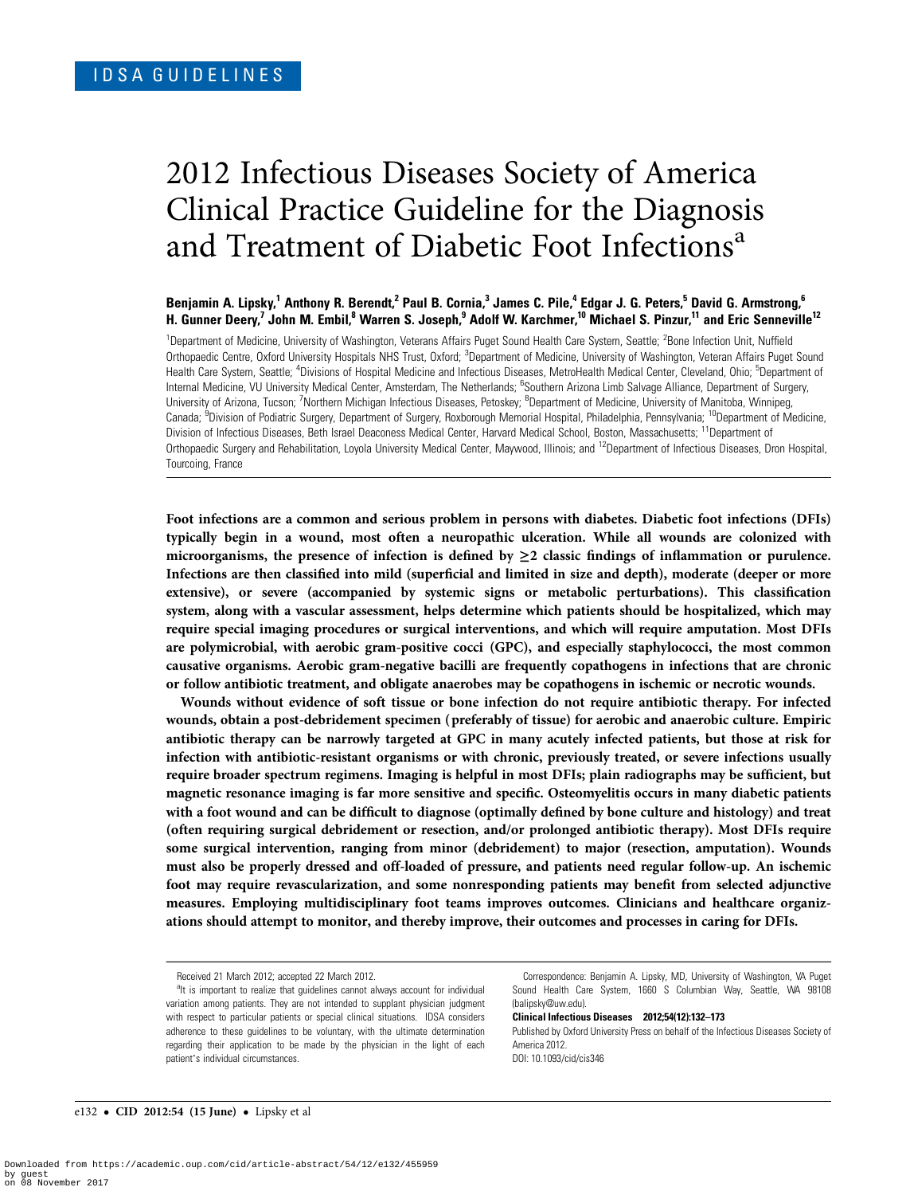# 2012 Infectious Diseases Society of America Clinical Practice Guideline for the Diagnosis and Treatment of Diabetic Foot Infections<sup>a</sup>

#### Benjamin A. Lipsky,<sup>1</sup> Anthony R. Berendt,<sup>2</sup> Paul B. Cornia,<sup>3</sup> James C. Pile,<sup>4</sup> Edgar J. G. Peters,<sup>5</sup> David G. Armstrong,<sup>6</sup> H. Gunner Deery,<sup>7</sup> John M. Embil,<sup>8</sup> Warren S. Joseph,<sup>9</sup> Adolf W. Karchmer,<sup>10</sup> Michael S. Pinzur,<sup>11</sup> and Eric Senneville<sup>12</sup>

<sup>1</sup>Department of Medicine, University of Washington, Veterans Affairs Puget Sound Health Care System, Seattle; <sup>2</sup>Bone Infection Unit, Nuffield Orthopaedic Centre, Oxford University Hospitals NHS Trust, Oxford; <sup>3</sup>Department of Medicine, University of Washington, Veteran Affairs Puget Sound Health Care System, Seattle; <sup>4</sup>Divisions of Hospital Medicine and Infectious Diseases, MetroHealth Medical Center, Cleveland, Ohio; <sup>5</sup>Department of Internal Medicine, VU University Medical Center, Amsterdam, The Netherlands; <sup>6</sup>Southern Arizona Limb Salvage Alliance, Department of Surgery, University of Arizona, Tucson; <sup>7</sup>Northern Michigan Infectious Diseases, Petoskey; <sup>8</sup>Department of Medicine, University of Manitoba, Winnipeg, Canada; <sup>9</sup>Division of Podiatric Surgery, Department of Surgery, Roxborough Memorial Hospital, Philadelphia, Pennsylvania; <sup>10</sup>Department of Medicine, Division of Infectious Diseases, Beth Israel Deaconess Medical Center, Harvard Medical School, Boston, Massachusetts; <sup>11</sup>Department of Orthopaedic Surgery and Rehabilitation, Loyola University Medical Center, Maywood, Illinois; and <sup>12</sup>Department of Infectious Diseases, Dron Hospital, Tourcoing, France

Foot infections are a common and serious problem in persons with diabetes. Diabetic foot infections (DFIs) typically begin in a wound, most often a neuropathic ulceration. While all wounds are colonized with microorganisms, the presence of infection is defined by  $\geq 2$  classic findings of inflammation or purulence. Infections are then classified into mild (superficial and limited in size and depth), moderate (deeper or more extensive), or severe (accompanied by systemic signs or metabolic perturbations). This classification system, along with a vascular assessment, helps determine which patients should be hospitalized, which may require special imaging procedures or surgical interventions, and which will require amputation. Most DFIs are polymicrobial, with aerobic gram-positive cocci (GPC), and especially staphylococci, the most common causative organisms. Aerobic gram-negative bacilli are frequently copathogens in infections that are chronic or follow antibiotic treatment, and obligate anaerobes may be copathogens in ischemic or necrotic wounds.

Wounds without evidence of soft tissue or bone infection do not require antibiotic therapy. For infected wounds, obtain a post-debridement specimen (preferably of tissue) for aerobic and anaerobic culture. Empiric antibiotic therapy can be narrowly targeted at GPC in many acutely infected patients, but those at risk for infection with antibiotic-resistant organisms or with chronic, previously treated, or severe infections usually require broader spectrum regimens. Imaging is helpful in most DFIs; plain radiographs may be sufficient, but magnetic resonance imaging is far more sensitive and specific. Osteomyelitis occurs in many diabetic patients with a foot wound and can be difficult to diagnose (optimally defined by bone culture and histology) and treat (often requiring surgical debridement or resection, and/or prolonged antibiotic therapy). Most DFIs require some surgical intervention, ranging from minor (debridement) to major (resection, amputation). Wounds must also be properly dressed and off-loaded of pressure, and patients need regular follow-up. An ischemic foot may require revascularization, and some nonresponding patients may benefit from selected adjunctive measures. Employing multidisciplinary foot teams improves outcomes. Clinicians and healthcare organizations should attempt to monitor, and thereby improve, their outcomes and processes in caring for DFIs.

Received 21 March 2012; accepted 22 March 2012.

<sup>a</sup>lt is important to realize that guidelines cannot always account for individual variation among patients. They are not intended to supplant physician judgment with respect to particular patients or special clinical situations. IDSA considers adherence to these guidelines to be voluntary, with the ultimate determination regarding their application to be made by the physician in the light of each patient's individual circumstances.

Correspondence: Benjamin A. Lipsky, MD, University of Washington, VA Puget Sound Health Care System, 1660 S Columbian Way, Seattle, WA 98108 (balipsky@uw.edu).

Clinical Infectious Diseases 2012;54(12):132–173

Published by Oxford University Press on behalf of the Infectious Diseases Society of America 2012. DOI: 10.1093/cid/cis346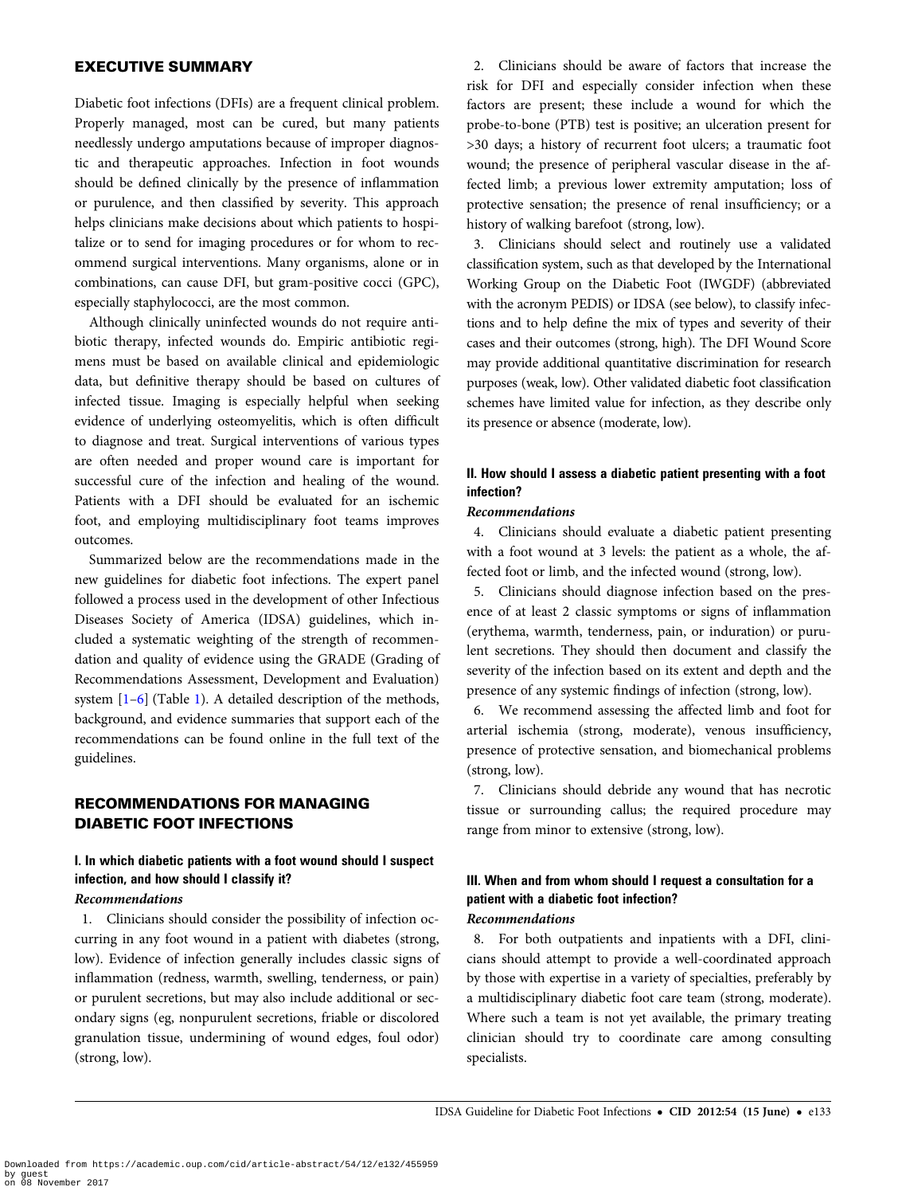#### EXECUTIVE SUMMARY

Diabetic foot infections (DFIs) are a frequent clinical problem. Properly managed, most can be cured, but many patients needlessly undergo amputations because of improper diagnostic and therapeutic approaches. Infection in foot wounds should be defined clinically by the presence of inflammation or purulence, and then classified by severity. This approach helps clinicians make decisions about which patients to hospitalize or to send for imaging procedures or for whom to recommend surgical interventions. Many organisms, alone or in combinations, can cause DFI, but gram-positive cocci (GPC), especially staphylococci, are the most common.

Although clinically uninfected wounds do not require antibiotic therapy, infected wounds do. Empiric antibiotic regimens must be based on available clinical and epidemiologic data, but definitive therapy should be based on cultures of infected tissue. Imaging is especially helpful when seeking evidence of underlying osteomyelitis, which is often difficult to diagnose and treat. Surgical interventions of various types are often needed and proper wound care is important for successful cure of the infection and healing of the wound. Patients with a DFI should be evaluated for an ischemic foot, and employing multidisciplinary foot teams improves outcomes.

Summarized below are the recommendations made in the new guidelines for diabetic foot infections. The expert panel followed a process used in the development of other Infectious Diseases Society of America (IDSA) guidelines, which included a systematic weighting of the strength of recommendation and quality of evidence using the GRADE (Grading of Recommendations Assessment, Development and Evaluation) system [\[1](#page-32-0)–[6](#page-33-0)] (Table [1\)](#page-2-0). A detailed description of the methods, background, and evidence summaries that support each of the recommendations can be found online in the full text of the guidelines.

### RECOMMENDATIONS FOR MANAGING DIABETIC FOOT INFECTIONS

# I. In which diabetic patients with a foot wound should I suspect infection, and how should I classify it?

## Recommendations

1. Clinicians should consider the possibility of infection occurring in any foot wound in a patient with diabetes (strong, low). Evidence of infection generally includes classic signs of inflammation (redness, warmth, swelling, tenderness, or pain) or purulent secretions, but may also include additional or secondary signs (eg, nonpurulent secretions, friable or discolored granulation tissue, undermining of wound edges, foul odor) (strong, low).

2. Clinicians should be aware of factors that increase the risk for DFI and especially consider infection when these factors are present; these include a wound for which the probe-to-bone (PTB) test is positive; an ulceration present for >30 days; a history of recurrent foot ulcers; a traumatic foot wound; the presence of peripheral vascular disease in the affected limb; a previous lower extremity amputation; loss of protective sensation; the presence of renal insufficiency; or a history of walking barefoot (strong, low).

3. Clinicians should select and routinely use a validated classification system, such as that developed by the International Working Group on the Diabetic Foot (IWGDF) (abbreviated with the acronym PEDIS) or IDSA (see below), to classify infections and to help define the mix of types and severity of their cases and their outcomes (strong, high). The DFI Wound Score may provide additional quantitative discrimination for research purposes (weak, low). Other validated diabetic foot classification schemes have limited value for infection, as they describe only its presence or absence (moderate, low).

#### II. How should I assess a diabetic patient presenting with a foot infection?

#### Recommendations

4. Clinicians should evaluate a diabetic patient presenting with a foot wound at 3 levels: the patient as a whole, the affected foot or limb, and the infected wound (strong, low).

5. Clinicians should diagnose infection based on the presence of at least 2 classic symptoms or signs of inflammation (erythema, warmth, tenderness, pain, or induration) or purulent secretions. They should then document and classify the severity of the infection based on its extent and depth and the presence of any systemic findings of infection (strong, low).

6. We recommend assessing the affected limb and foot for arterial ischemia (strong, moderate), venous insufficiency, presence of protective sensation, and biomechanical problems (strong, low).

7. Clinicians should debride any wound that has necrotic tissue or surrounding callus; the required procedure may range from minor to extensive (strong, low).

# III. When and from whom should I request a consultation for a patient with a diabetic foot infection?

#### Recommendations

8. For both outpatients and inpatients with a DFI, clinicians should attempt to provide a well-coordinated approach by those with expertise in a variety of specialties, preferably by a multidisciplinary diabetic foot care team (strong, moderate). Where such a team is not yet available, the primary treating clinician should try to coordinate care among consulting specialists.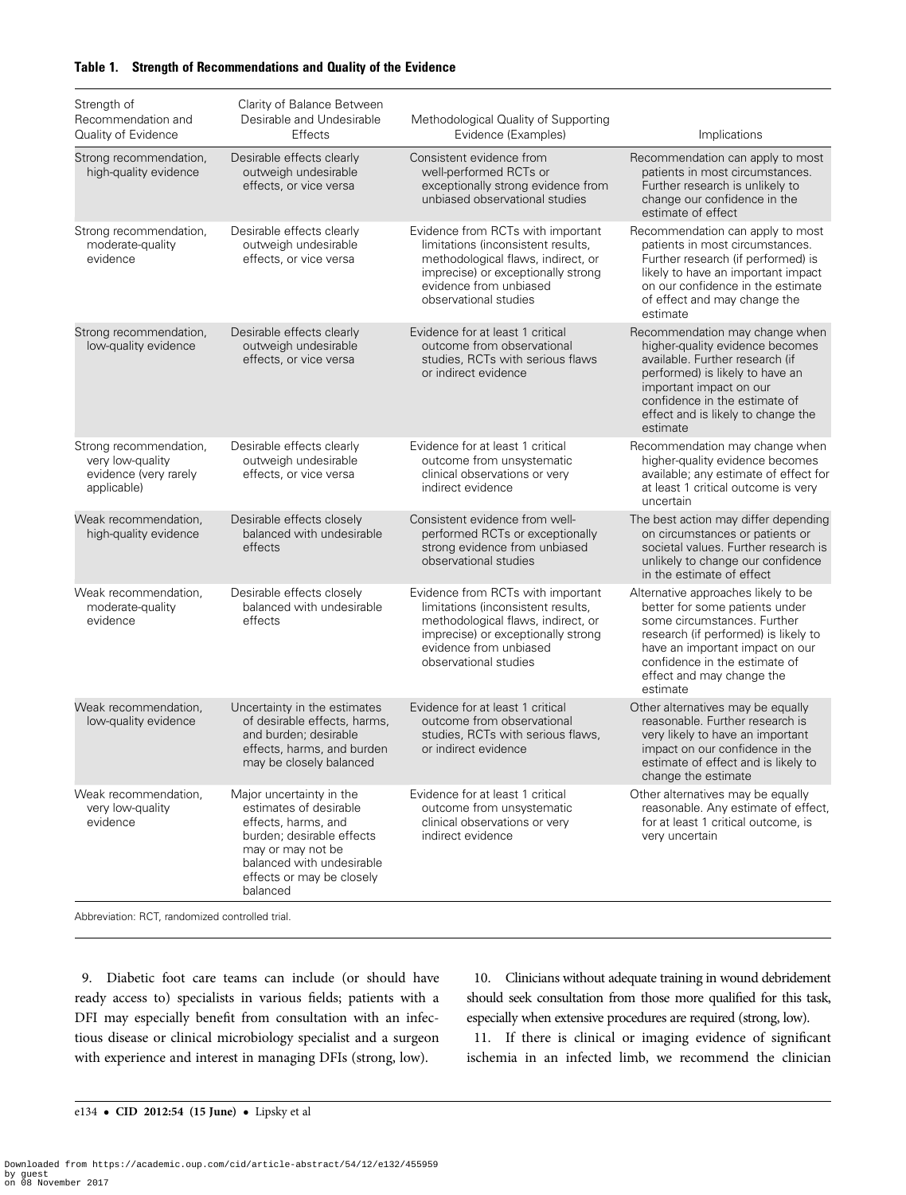<span id="page-2-0"></span>

|  |  | Table 1. Strength of Recommendations and Quality of the Evidence |  |  |  |
|--|--|------------------------------------------------------------------|--|--|--|
|--|--|------------------------------------------------------------------|--|--|--|

| Strength of<br>Recommendation and<br>Quality of Evidence                           | Clarity of Balance Between<br>Desirable and Undesirable<br>Effects                                                                                                                                | Methodological Quality of Supporting<br>Evidence (Examples)                                                                                                                                            | Implications                                                                                                                                                                                                                                              |
|------------------------------------------------------------------------------------|---------------------------------------------------------------------------------------------------------------------------------------------------------------------------------------------------|--------------------------------------------------------------------------------------------------------------------------------------------------------------------------------------------------------|-----------------------------------------------------------------------------------------------------------------------------------------------------------------------------------------------------------------------------------------------------------|
| Strong recommendation,<br>high-quality evidence                                    | Desirable effects clearly<br>outweigh undesirable<br>effects, or vice versa                                                                                                                       | Consistent evidence from<br>well-performed RCTs or<br>exceptionally strong evidence from<br>unbiased observational studies                                                                             | Recommendation can apply to most<br>patients in most circumstances.<br>Further research is unlikely to<br>change our confidence in the<br>estimate of effect                                                                                              |
| Strong recommendation,<br>moderate-quality<br>evidence                             | Desirable effects clearly<br>outweigh undesirable<br>effects, or vice versa                                                                                                                       | Evidence from RCTs with important<br>limitations (inconsistent results,<br>methodological flaws, indirect, or<br>imprecise) or exceptionally strong<br>evidence from unbiased<br>observational studies | Recommendation can apply to most<br>patients in most circumstances.<br>Further research (if performed) is<br>likely to have an important impact<br>on our confidence in the estimate<br>of effect and may change the<br>estimate                          |
| Strong recommendation,<br>low-quality evidence                                     | Desirable effects clearly<br>outweigh undesirable<br>effects, or vice versa                                                                                                                       | Evidence for at least 1 critical<br>outcome from observational<br>studies, RCTs with serious flaws<br>or indirect evidence                                                                             | Recommendation may change when<br>higher-quality evidence becomes<br>available. Further research (if<br>performed) is likely to have an<br>important impact on our<br>confidence in the estimate of<br>effect and is likely to change the<br>estimate     |
| Strong recommendation,<br>very low-quality<br>evidence (very rarely<br>applicable) | Desirable effects clearly<br>outweigh undesirable<br>effects, or vice versa                                                                                                                       | Evidence for at least 1 critical<br>outcome from unsystematic<br>clinical observations or very<br>indirect evidence                                                                                    | Recommendation may change when<br>higher-quality evidence becomes<br>available; any estimate of effect for<br>at least 1 critical outcome is very<br>uncertain                                                                                            |
| Weak recommendation,<br>high-quality evidence                                      | Desirable effects closely<br>balanced with undesirable<br>effects                                                                                                                                 | Consistent evidence from well-<br>performed RCTs or exceptionally<br>strong evidence from unbiased<br>observational studies                                                                            | The best action may differ depending<br>on circumstances or patients or<br>societal values. Further research is<br>unlikely to change our confidence<br>in the estimate of effect                                                                         |
| Weak recommendation,<br>moderate-quality<br>evidence                               | Desirable effects closely<br>balanced with undesirable<br>effects                                                                                                                                 | Evidence from RCTs with important<br>limitations (inconsistent results,<br>methodological flaws, indirect, or<br>imprecise) or exceptionally strong<br>evidence from unbiased<br>observational studies | Alternative approaches likely to be<br>better for some patients under<br>some circumstances. Further<br>research (if performed) is likely to<br>have an important impact on our<br>confidence in the estimate of<br>effect and may change the<br>estimate |
| Weak recommendation,<br>low-quality evidence                                       | Uncertainty in the estimates<br>of desirable effects, harms,<br>and burden; desirable<br>effects, harms, and burden<br>may be closely balanced                                                    | Evidence for at least 1 critical<br>outcome from observational<br>studies, RCTs with serious flaws,<br>or indirect evidence                                                                            | Other alternatives may be equally<br>reasonable. Further research is<br>very likely to have an important<br>impact on our confidence in the<br>estimate of effect and is likely to<br>change the estimate                                                 |
| Weak recommendation,<br>very low-quality<br>evidence                               | Major uncertainty in the<br>estimates of desirable<br>effects, harms, and<br>burden; desirable effects<br>may or may not be<br>balanced with undesirable<br>effects or may be closely<br>balanced | Evidence for at least 1 critical<br>outcome from unsystematic<br>clinical observations or very<br>indirect evidence                                                                                    | Other alternatives may be equally<br>reasonable. Any estimate of effect,<br>for at least 1 critical outcome, is<br>very uncertain                                                                                                                         |

Abbreviation: RCT, randomized controlled trial.

9. Diabetic foot care teams can include (or should have ready access to) specialists in various fields; patients with a DFI may especially benefit from consultation with an infectious disease or clinical microbiology specialist and a surgeon with experience and interest in managing DFIs (strong, low).

10. Clinicians without adequate training in wound debridement should seek consultation from those more qualified for this task, especially when extensive procedures are required (strong, low).

11. If there is clinical or imaging evidence of significant ischemia in an infected limb, we recommend the clinician

e134 • CID 2012:54 (15 June) • Lipsky et al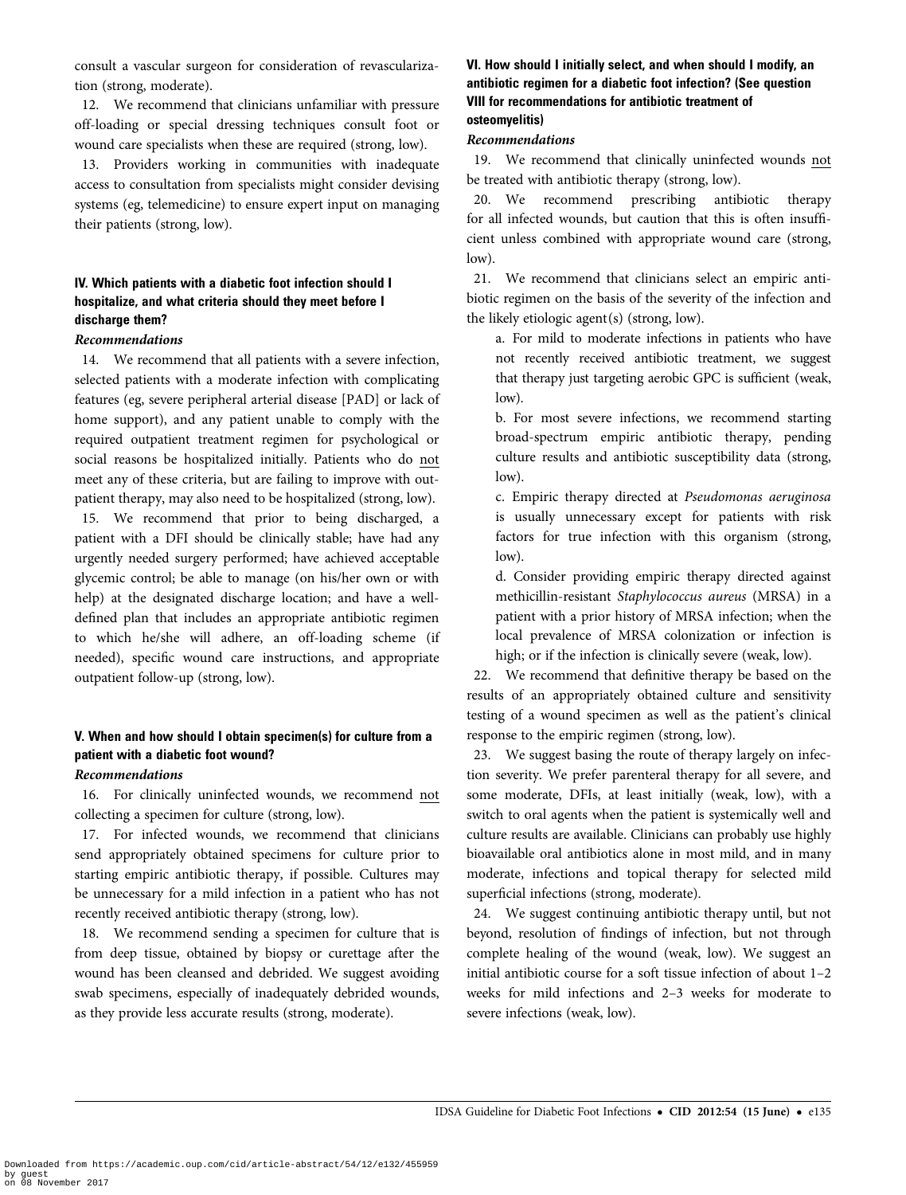consult a vascular surgeon for consideration of revascularization (strong, moderate).

12. We recommend that clinicians unfamiliar with pressure off-loading or special dressing techniques consult foot or wound care specialists when these are required (strong, low).

13. Providers working in communities with inadequate access to consultation from specialists might consider devising systems (eg, telemedicine) to ensure expert input on managing their patients (strong, low).

# IV. Which patients with a diabetic foot infection should I hospitalize, and what criteria should they meet before I discharge them?

#### Recommendations

14. We recommend that all patients with a severe infection, selected patients with a moderate infection with complicating features (eg, severe peripheral arterial disease [PAD] or lack of home support), and any patient unable to comply with the required outpatient treatment regimen for psychological or social reasons be hospitalized initially. Patients who do not meet any of these criteria, but are failing to improve with outpatient therapy, may also need to be hospitalized (strong, low).

15. We recommend that prior to being discharged, a patient with a DFI should be clinically stable; have had any urgently needed surgery performed; have achieved acceptable glycemic control; be able to manage (on his/her own or with help) at the designated discharge location; and have a welldefined plan that includes an appropriate antibiotic regimen to which he/she will adhere, an off-loading scheme (if needed), specific wound care instructions, and appropriate outpatient follow-up (strong, low).

# V. When and how should I obtain specimen(s) for culture from a patient with a diabetic foot wound?

#### Recommendations

16. For clinically uninfected wounds, we recommend not collecting a specimen for culture (strong, low).

17. For infected wounds, we recommend that clinicians send appropriately obtained specimens for culture prior to starting empiric antibiotic therapy, if possible. Cultures may be unnecessary for a mild infection in a patient who has not recently received antibiotic therapy (strong, low).

18. We recommend sending a specimen for culture that is from deep tissue, obtained by biopsy or curettage after the wound has been cleansed and debrided. We suggest avoiding swab specimens, especially of inadequately debrided wounds, as they provide less accurate results (strong, moderate).

#### VI. How should I initially select, and when should I modify, an antibiotic regimen for a diabetic foot infection? (See question VIII for recommendations for antibiotic treatment of osteomyelitis)

#### Recommendations

19. We recommend that clinically uninfected wounds not be treated with antibiotic therapy (strong, low).

20. We recommend prescribing antibiotic therapy for all infected wounds, but caution that this is often insufficient unless combined with appropriate wound care (strong, low).

21. We recommend that clinicians select an empiric antibiotic regimen on the basis of the severity of the infection and the likely etiologic agent(s) (strong, low).

a. For mild to moderate infections in patients who have not recently received antibiotic treatment, we suggest that therapy just targeting aerobic GPC is sufficient (weak, low).

b. For most severe infections, we recommend starting broad-spectrum empiric antibiotic therapy, pending culture results and antibiotic susceptibility data (strong, low).

c. Empiric therapy directed at Pseudomonas aeruginosa is usually unnecessary except for patients with risk factors for true infection with this organism (strong, low).

d. Consider providing empiric therapy directed against methicillin-resistant Staphylococcus aureus (MRSA) in a patient with a prior history of MRSA infection; when the local prevalence of MRSA colonization or infection is high; or if the infection is clinically severe (weak, low).

22. We recommend that definitive therapy be based on the results of an appropriately obtained culture and sensitivity testing of a wound specimen as well as the patient's clinical response to the empiric regimen (strong, low).

23. We suggest basing the route of therapy largely on infection severity. We prefer parenteral therapy for all severe, and some moderate, DFIs, at least initially (weak, low), with a switch to oral agents when the patient is systemically well and culture results are available. Clinicians can probably use highly bioavailable oral antibiotics alone in most mild, and in many moderate, infections and topical therapy for selected mild superficial infections (strong, moderate).

24. We suggest continuing antibiotic therapy until, but not beyond, resolution of findings of infection, but not through complete healing of the wound (weak, low). We suggest an initial antibiotic course for a soft tissue infection of about 1–2 weeks for mild infections and 2–3 weeks for moderate to severe infections (weak, low).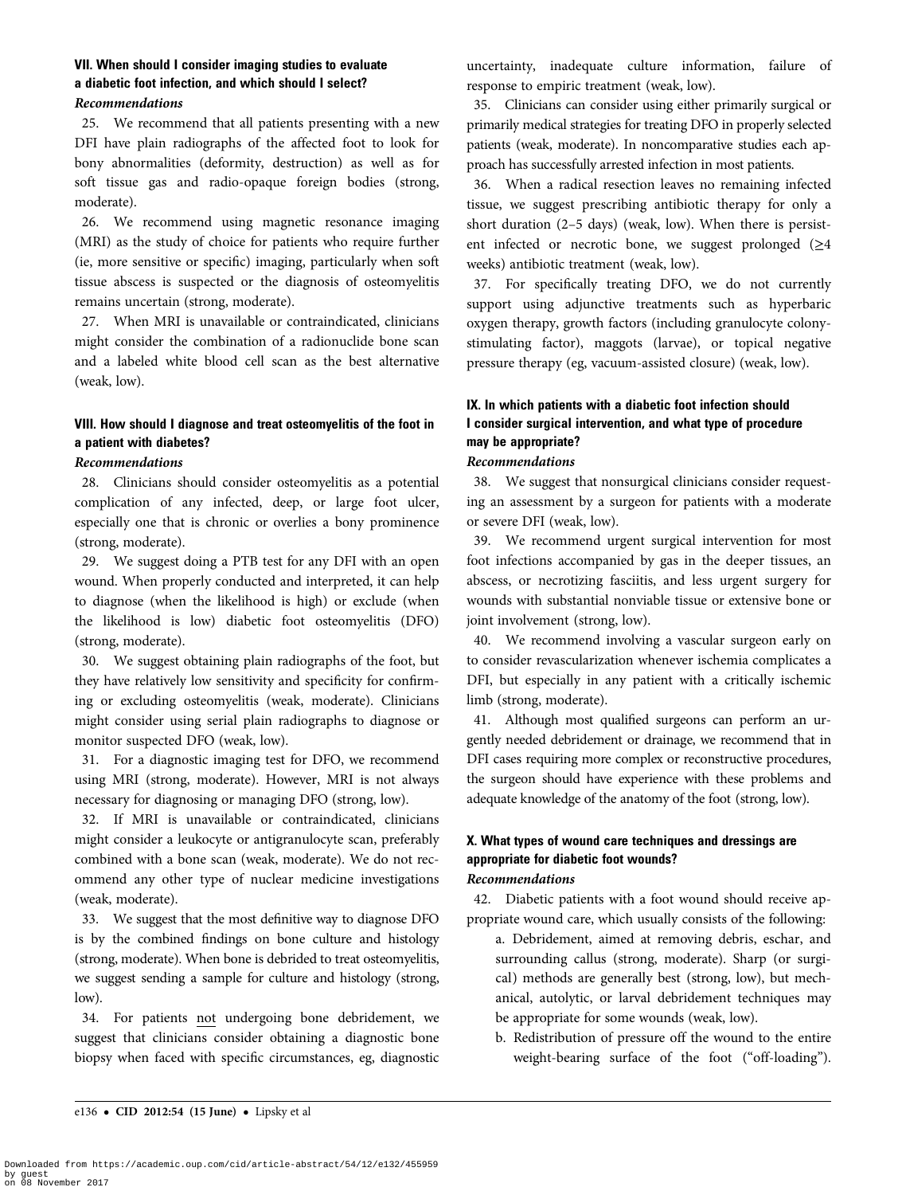#### VII. When should I consider imaging studies to evaluate a diabetic foot infection, and which should I select? Recommendations

25. We recommend that all patients presenting with a new DFI have plain radiographs of the affected foot to look for bony abnormalities (deformity, destruction) as well as for soft tissue gas and radio-opaque foreign bodies (strong, moderate).

26. We recommend using magnetic resonance imaging (MRI) as the study of choice for patients who require further (ie, more sensitive or specific) imaging, particularly when soft tissue abscess is suspected or the diagnosis of osteomyelitis remains uncertain (strong, moderate).

27. When MRI is unavailable or contraindicated, clinicians might consider the combination of a radionuclide bone scan and a labeled white blood cell scan as the best alternative (weak, low).

#### VIII. How should I diagnose and treat osteomyelitis of the foot in a patient with diabetes?

#### Recommendations

28. Clinicians should consider osteomyelitis as a potential complication of any infected, deep, or large foot ulcer, especially one that is chronic or overlies a bony prominence (strong, moderate).

29. We suggest doing a PTB test for any DFI with an open wound. When properly conducted and interpreted, it can help to diagnose (when the likelihood is high) or exclude (when the likelihood is low) diabetic foot osteomyelitis (DFO) (strong, moderate).

30. We suggest obtaining plain radiographs of the foot, but they have relatively low sensitivity and specificity for confirming or excluding osteomyelitis (weak, moderate). Clinicians might consider using serial plain radiographs to diagnose or monitor suspected DFO (weak, low).

31. For a diagnostic imaging test for DFO, we recommend using MRI (strong, moderate). However, MRI is not always necessary for diagnosing or managing DFO (strong, low).

32. If MRI is unavailable or contraindicated, clinicians might consider a leukocyte or antigranulocyte scan, preferably combined with a bone scan (weak, moderate). We do not recommend any other type of nuclear medicine investigations (weak, moderate).

33. We suggest that the most definitive way to diagnose DFO is by the combined findings on bone culture and histology (strong, moderate). When bone is debrided to treat osteomyelitis, we suggest sending a sample for culture and histology (strong, low).

34. For patients not undergoing bone debridement, we suggest that clinicians consider obtaining a diagnostic bone biopsy when faced with specific circumstances, eg, diagnostic uncertainty, inadequate culture information, failure of response to empiric treatment (weak, low).

35. Clinicians can consider using either primarily surgical or primarily medical strategies for treating DFO in properly selected patients (weak, moderate). In noncomparative studies each approach has successfully arrested infection in most patients.

36. When a radical resection leaves no remaining infected tissue, we suggest prescribing antibiotic therapy for only a short duration (2–5 days) (weak, low). When there is persistent infected or necrotic bone, we suggest prolonged ( $\geq 4$ weeks) antibiotic treatment (weak, low).

37. For specifically treating DFO, we do not currently support using adjunctive treatments such as hyperbaric oxygen therapy, growth factors (including granulocyte colonystimulating factor), maggots (larvae), or topical negative pressure therapy (eg, vacuum-assisted closure) (weak, low).

# IX. In which patients with a diabetic foot infection should I consider surgical intervention, and what type of procedure may be appropriate?

#### Recommendations

38. We suggest that nonsurgical clinicians consider requesting an assessment by a surgeon for patients with a moderate or severe DFI (weak, low).

39. We recommend urgent surgical intervention for most foot infections accompanied by gas in the deeper tissues, an abscess, or necrotizing fasciitis, and less urgent surgery for wounds with substantial nonviable tissue or extensive bone or joint involvement (strong, low).

40. We recommend involving a vascular surgeon early on to consider revascularization whenever ischemia complicates a DFI, but especially in any patient with a critically ischemic limb (strong, moderate).

41. Although most qualified surgeons can perform an urgently needed debridement or drainage, we recommend that in DFI cases requiring more complex or reconstructive procedures, the surgeon should have experience with these problems and adequate knowledge of the anatomy of the foot (strong, low).

#### X. What types of wound care techniques and dressings are appropriate for diabetic foot wounds? Recommendations

42. Diabetic patients with a foot wound should receive appropriate wound care, which usually consists of the following:

- a. Debridement, aimed at removing debris, eschar, and surrounding callus (strong, moderate). Sharp (or surgical) methods are generally best (strong, low), but mechanical, autolytic, or larval debridement techniques may be appropriate for some wounds (weak, low).
	- b. Redistribution of pressure off the wound to the entire weight-bearing surface of the foot ("off-loading").

e136 • CID 2012:54 (15 June) • Lipsky et al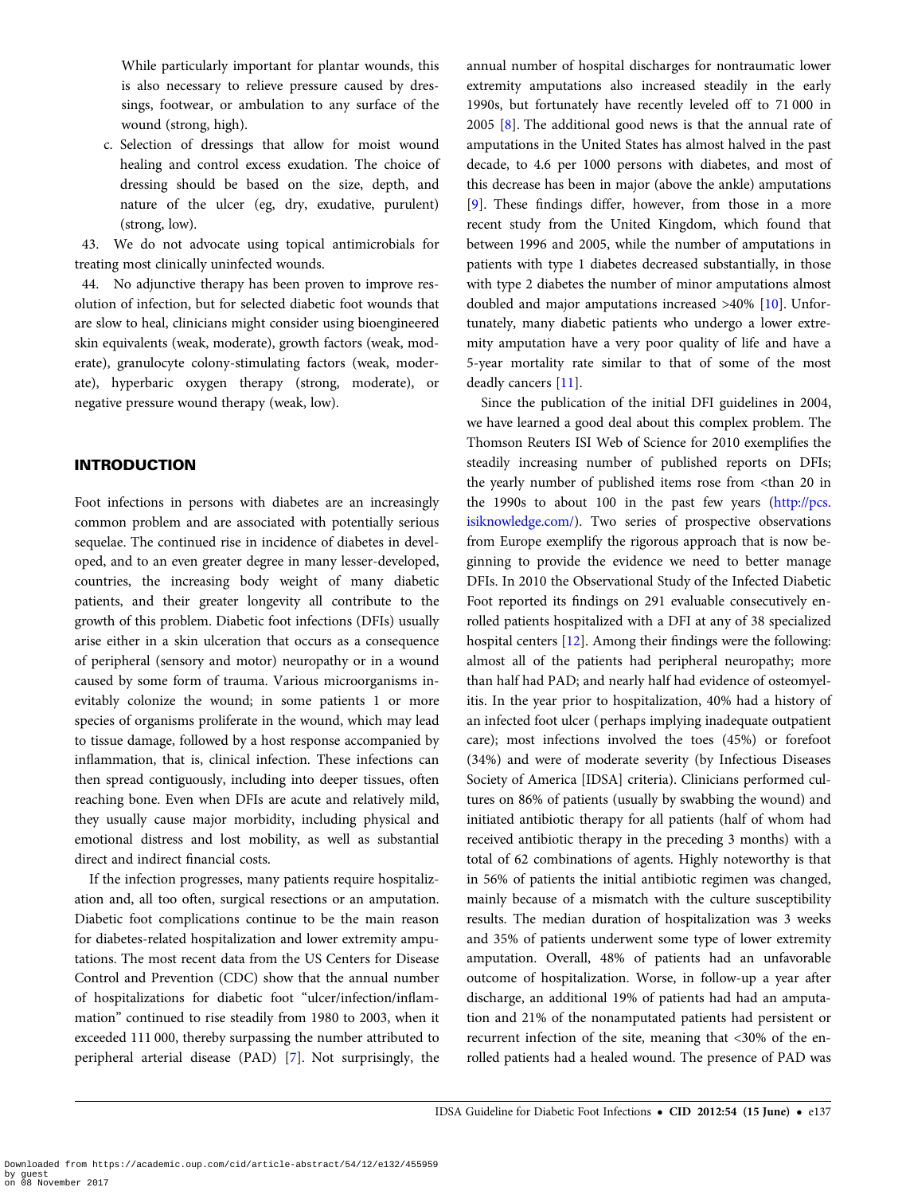While particularly important for plantar wounds, this is also necessary to relieve pressure caused by dressings, footwear, or ambulation to any surface of the wound (strong, high).

c. Selection of dressings that allow for moist wound healing and control excess exudation. The choice of dressing should be based on the size, depth, and nature of the ulcer (eg, dry, exudative, purulent) (strong, low).

43. We do not advocate using topical antimicrobials for treating most clinically uninfected wounds.

44. No adjunctive therapy has been proven to improve resolution of infection, but for selected diabetic foot wounds that are slow to heal, clinicians might consider using bioengineered skin equivalents (weak, moderate), growth factors (weak, moderate), granulocyte colony-stimulating factors (weak, moderate), hyperbaric oxygen therapy (strong, moderate), or negative pressure wound therapy (weak, low).

#### INTRODUCTION

Foot infections in persons with diabetes are an increasingly common problem and are associated with potentially serious sequelae. The continued rise in incidence of diabetes in developed, and to an even greater degree in many lesser-developed, countries, the increasing body weight of many diabetic patients, and their greater longevity all contribute to the growth of this problem. Diabetic foot infections (DFIs) usually arise either in a skin ulceration that occurs as a consequence of peripheral (sensory and motor) neuropathy or in a wound caused by some form of trauma. Various microorganisms inevitably colonize the wound; in some patients 1 or more species of organisms proliferate in the wound, which may lead to tissue damage, followed by a host response accompanied by inflammation, that is, clinical infection. These infections can then spread contiguously, including into deeper tissues, often reaching bone. Even when DFIs are acute and relatively mild, they usually cause major morbidity, including physical and emotional distress and lost mobility, as well as substantial direct and indirect financial costs.

If the infection progresses, many patients require hospitalization and, all too often, surgical resections or an amputation. Diabetic foot complications continue to be the main reason for diabetes-related hospitalization and lower extremity amputations. The most recent data from the US Centers for Disease Control and Prevention (CDC) show that the annual number of hospitalizations for diabetic foot "ulcer/infection/inflammation" continued to rise steadily from 1980 to 2003, when it exceeded 111 000, thereby surpassing the number attributed to peripheral arterial disease (PAD) [[7](#page-33-0)]. Not surprisingly, the annual number of hospital discharges for nontraumatic lower extremity amputations also increased steadily in the early 1990s, but fortunately have recently leveled off to 71 000 in 2005 [[8](#page-33-0)]. The additional good news is that the annual rate of amputations in the United States has almost halved in the past decade, to 4.6 per 1000 persons with diabetes, and most of this decrease has been in major (above the ankle) amputations [\[9\]](#page-33-0). These findings differ, however, from those in a more recent study from the United Kingdom, which found that between 1996 and 2005, while the number of amputations in patients with type 1 diabetes decreased substantially, in those with type 2 diabetes the number of minor amputations almost doubled and major amputations increased >40% [\[10](#page-33-0)]. Unfortunately, many diabetic patients who undergo a lower extremity amputation have a very poor quality of life and have a 5-year mortality rate similar to that of some of the most deadly cancers [\[11\]](#page-33-0).

Since the publication of the initial DFI guidelines in 2004, we have learned a good deal about this complex problem. The Thomson Reuters ISI Web of Science for 2010 exemplifies the steadily increasing number of published reports on DFIs; the yearly number of published items rose from <than 20 in the 1990s to about 100 in the past few years [\(http://pcs.](http://pcs.isiknowledge.com/) [isiknowledge.com/](http://pcs.isiknowledge.com/)). Two series of prospective observations from Europe exemplify the rigorous approach that is now beginning to provide the evidence we need to better manage DFIs. In 2010 the Observational Study of the Infected Diabetic Foot reported its findings on 291 evaluable consecutively enrolled patients hospitalized with a DFI at any of 38 specialized hospital centers [\[12](#page-33-0)]. Among their findings were the following: almost all of the patients had peripheral neuropathy; more than half had PAD; and nearly half had evidence of osteomyelitis. In the year prior to hospitalization, 40% had a history of an infected foot ulcer ( perhaps implying inadequate outpatient care); most infections involved the toes (45%) or forefoot (34%) and were of moderate severity (by Infectious Diseases Society of America [IDSA] criteria). Clinicians performed cultures on 86% of patients (usually by swabbing the wound) and initiated antibiotic therapy for all patients (half of whom had received antibiotic therapy in the preceding 3 months) with a total of 62 combinations of agents. Highly noteworthy is that in 56% of patients the initial antibiotic regimen was changed, mainly because of a mismatch with the culture susceptibility results. The median duration of hospitalization was 3 weeks and 35% of patients underwent some type of lower extremity amputation. Overall, 48% of patients had an unfavorable outcome of hospitalization. Worse, in follow-up a year after discharge, an additional 19% of patients had had an amputation and 21% of the nonamputated patients had persistent or recurrent infection of the site, meaning that <30% of the enrolled patients had a healed wound. The presence of PAD was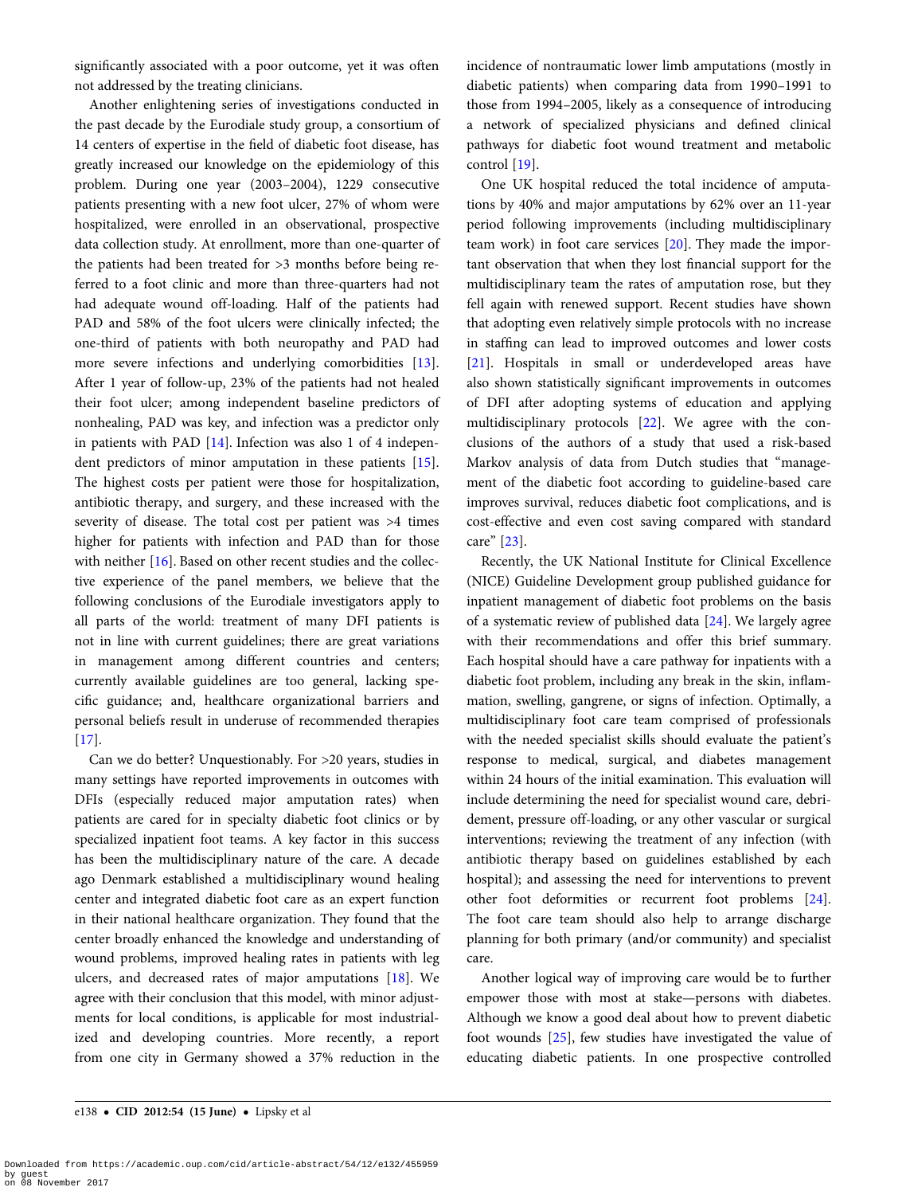significantly associated with a poor outcome, yet it was often not addressed by the treating clinicians.

Another enlightening series of investigations conducted in the past decade by the Eurodiale study group, a consortium of 14 centers of expertise in the field of diabetic foot disease, has greatly increased our knowledge on the epidemiology of this problem. During one year (2003–2004), 1229 consecutive patients presenting with a new foot ulcer, 27% of whom were hospitalized, were enrolled in an observational, prospective data collection study. At enrollment, more than one-quarter of the patients had been treated for >3 months before being referred to a foot clinic and more than three-quarters had not had adequate wound off-loading. Half of the patients had PAD and 58% of the foot ulcers were clinically infected; the one-third of patients with both neuropathy and PAD had more severe infections and underlying comorbidities [\[13\]](#page-33-0). After 1 year of follow-up, 23% of the patients had not healed their foot ulcer; among independent baseline predictors of nonhealing, PAD was key, and infection was a predictor only in patients with PAD [[14](#page-33-0)]. Infection was also 1 of 4 independent predictors of minor amputation in these patients [\[15\]](#page-33-0). The highest costs per patient were those for hospitalization, antibiotic therapy, and surgery, and these increased with the severity of disease. The total cost per patient was >4 times higher for patients with infection and PAD than for those with neither [\[16](#page-33-0)]. Based on other recent studies and the collective experience of the panel members, we believe that the following conclusions of the Eurodiale investigators apply to all parts of the world: treatment of many DFI patients is not in line with current guidelines; there are great variations in management among different countries and centers; currently available guidelines are too general, lacking specific guidance; and, healthcare organizational barriers and personal beliefs result in underuse of recommended therapies [\[17](#page-33-0)].

Can we do better? Unquestionably. For >20 years, studies in many settings have reported improvements in outcomes with DFIs (especially reduced major amputation rates) when patients are cared for in specialty diabetic foot clinics or by specialized inpatient foot teams. A key factor in this success has been the multidisciplinary nature of the care. A decade ago Denmark established a multidisciplinary wound healing center and integrated diabetic foot care as an expert function in their national healthcare organization. They found that the center broadly enhanced the knowledge and understanding of wound problems, improved healing rates in patients with leg ulcers, and decreased rates of major amputations [\[18\]](#page-33-0). We agree with their conclusion that this model, with minor adjustments for local conditions, is applicable for most industrialized and developing countries. More recently, a report from one city in Germany showed a 37% reduction in the

e138 • CID 2012:54 (15 June) • Lipsky et al

incidence of nontraumatic lower limb amputations (mostly in diabetic patients) when comparing data from 1990–1991 to those from 1994–2005, likely as a consequence of introducing a network of specialized physicians and defined clinical pathways for diabetic foot wound treatment and metabolic control [[19](#page-33-0)].

One UK hospital reduced the total incidence of amputations by 40% and major amputations by 62% over an 11-year period following improvements (including multidisciplinary team work) in foot care services [[20\]](#page-33-0). They made the important observation that when they lost financial support for the multidisciplinary team the rates of amputation rose, but they fell again with renewed support. Recent studies have shown that adopting even relatively simple protocols with no increase in staffing can lead to improved outcomes and lower costs [\[21](#page-33-0)]. Hospitals in small or underdeveloped areas have also shown statistically significant improvements in outcomes of DFI after adopting systems of education and applying multidisciplinary protocols [[22\]](#page-33-0). We agree with the conclusions of the authors of a study that used a risk-based Markov analysis of data from Dutch studies that "management of the diabetic foot according to guideline-based care improves survival, reduces diabetic foot complications, and is cost-effective and even cost saving compared with standard care" [\[23](#page-33-0)].

Recently, the UK National Institute for Clinical Excellence (NICE) Guideline Development group published guidance for inpatient management of diabetic foot problems on the basis of a systematic review of published data [[24](#page-33-0)]. We largely agree with their recommendations and offer this brief summary. Each hospital should have a care pathway for inpatients with a diabetic foot problem, including any break in the skin, inflammation, swelling, gangrene, or signs of infection. Optimally, a multidisciplinary foot care team comprised of professionals with the needed specialist skills should evaluate the patient's response to medical, surgical, and diabetes management within 24 hours of the initial examination. This evaluation will include determining the need for specialist wound care, debridement, pressure off-loading, or any other vascular or surgical interventions; reviewing the treatment of any infection (with antibiotic therapy based on guidelines established by each hospital); and assessing the need for interventions to prevent other foot deformities or recurrent foot problems [\[24\]](#page-33-0). The foot care team should also help to arrange discharge planning for both primary (and/or community) and specialist care.

Another logical way of improving care would be to further empower those with most at stake—persons with diabetes. Although we know a good deal about how to prevent diabetic foot wounds [\[25\]](#page-33-0), few studies have investigated the value of educating diabetic patients. In one prospective controlled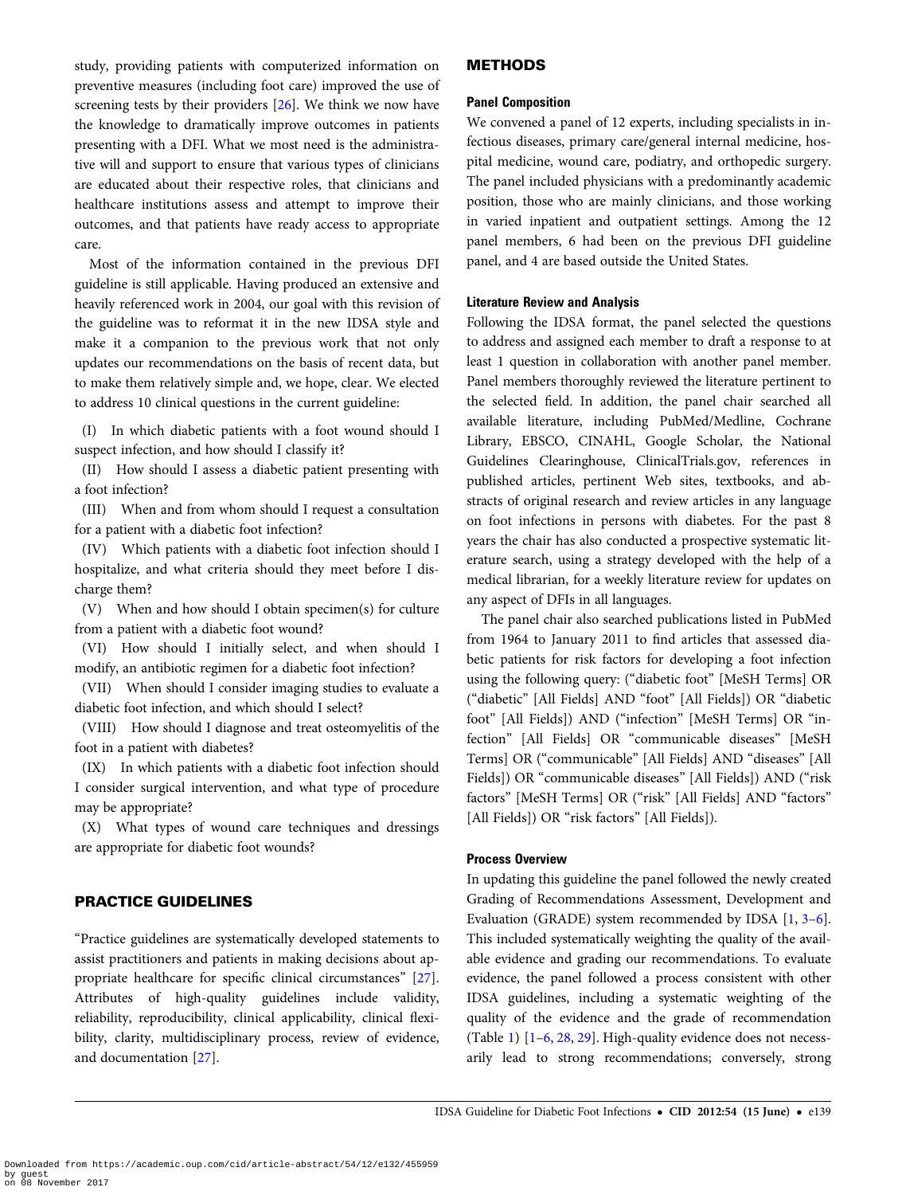study, providing patients with computerized information on preventive measures (including foot care) improved the use of screening tests by their providers [[26\]](#page-33-0). We think we now have the knowledge to dramatically improve outcomes in patients presenting with a DFI. What we most need is the administrative will and support to ensure that various types of clinicians are educated about their respective roles, that clinicians and healthcare institutions assess and attempt to improve their outcomes, and that patients have ready access to appropriate care.

Most of the information contained in the previous DFI guideline is still applicable. Having produced an extensive and heavily referenced work in 2004, our goal with this revision of the guideline was to reformat it in the new IDSA style and make it a companion to the previous work that not only updates our recommendations on the basis of recent data, but to make them relatively simple and, we hope, clear. We elected to address 10 clinical questions in the current guideline:

(I) In which diabetic patients with a foot wound should I suspect infection, and how should I classify it?

(II) How should I assess a diabetic patient presenting with a foot infection?

(III) When and from whom should I request a consultation for a patient with a diabetic foot infection?

(IV) Which patients with a diabetic foot infection should I hospitalize, and what criteria should they meet before I discharge them?

(V) When and how should I obtain specimen(s) for culture from a patient with a diabetic foot wound?

(VI) How should I initially select, and when should I modify, an antibiotic regimen for a diabetic foot infection?

(VII) When should I consider imaging studies to evaluate a diabetic foot infection, and which should I select?

(VIII) How should I diagnose and treat osteomyelitis of the foot in a patient with diabetes?

(IX) In which patients with a diabetic foot infection should I consider surgical intervention, and what type of procedure may be appropriate?

(X) What types of wound care techniques and dressings are appropriate for diabetic foot wounds?

## PRACTICE GUIDELINES

"Practice guidelines are systematically developed statements to assist practitioners and patients in making decisions about appropriate healthcare for specific clinical circumstances" [\[27\]](#page-33-0). Attributes of high-quality guidelines include validity, reliability, reproducibility, clinical applicability, clinical flexibility, clarity, multidisciplinary process, review of evidence, and documentation [\[27\]](#page-33-0).

#### METHODS

#### Panel Composition

We convened a panel of 12 experts, including specialists in infectious diseases, primary care/general internal medicine, hospital medicine, wound care, podiatry, and orthopedic surgery. The panel included physicians with a predominantly academic position, those who are mainly clinicians, and those working in varied inpatient and outpatient settings. Among the 12 panel members, 6 had been on the previous DFI guideline panel, and 4 are based outside the United States.

#### Literature Review and Analysis

Following the IDSA format, the panel selected the questions to address and assigned each member to draft a response to at least 1 question in collaboration with another panel member. Panel members thoroughly reviewed the literature pertinent to the selected field. In addition, the panel chair searched all available literature, including PubMed/Medline, Cochrane Library, EBSCO, CINAHL, Google Scholar, the National Guidelines Clearinghouse, ClinicalTrials.gov, references in published articles, pertinent Web sites, textbooks, and abstracts of original research and review articles in any language on foot infections in persons with diabetes. For the past 8 years the chair has also conducted a prospective systematic literature search, using a strategy developed with the help of a medical librarian, for a weekly literature review for updates on any aspect of DFIs in all languages.

The panel chair also searched publications listed in PubMed from 1964 to January 2011 to find articles that assessed diabetic patients for risk factors for developing a foot infection using the following query: ("diabetic foot" [MeSH Terms] OR ("diabetic" [All Fields] AND "foot" [All Fields]) OR "diabetic foot" [All Fields]) AND ("infection" [MeSH Terms] OR "infection" [All Fields] OR "communicable diseases" [MeSH Terms] OR ("communicable" [All Fields] AND "diseases" [All Fields]) OR "communicable diseases" [All Fields]) AND ("risk factors" [MeSH Terms] OR ("risk" [All Fields] AND "factors" [All Fields]) OR "risk factors" [All Fields]).

#### Process Overview

In updating this guideline the panel followed the newly created Grading of Recommendations Assessment, Development and Evaluation (GRADE) system recommended by IDSA [\[1](#page-32-0), [3](#page-33-0)–[6\]](#page-33-0). This included systematically weighting the quality of the available evidence and grading our recommendations. To evaluate evidence, the panel followed a process consistent with other IDSA guidelines, including a systematic weighting of the quality of the evidence and the grade of recommendation (Table [1](#page-2-0)) [[1](#page-32-0)–[6,](#page-33-0) [28](#page-33-0), [29\]](#page-33-0). High-quality evidence does not necessarily lead to strong recommendations; conversely, strong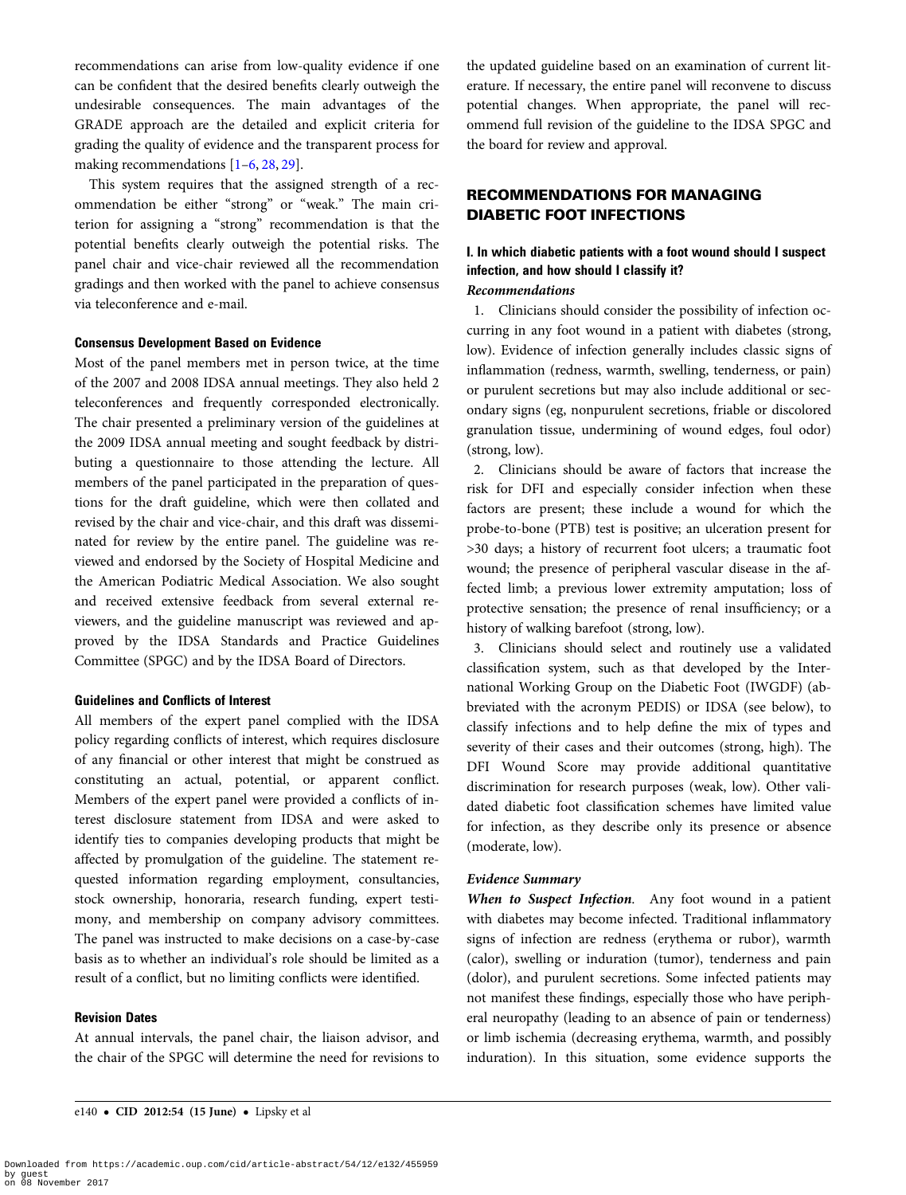recommendations can arise from low-quality evidence if one can be confident that the desired benefits clearly outweigh the undesirable consequences. The main advantages of the GRADE approach are the detailed and explicit criteria for grading the quality of evidence and the transparent process for making recommendations [[1](#page-32-0)–[6,](#page-33-0) [28,](#page-33-0) [29\]](#page-33-0).

This system requires that the assigned strength of a recommendation be either "strong" or "weak." The main criterion for assigning a "strong" recommendation is that the potential benefits clearly outweigh the potential risks. The panel chair and vice-chair reviewed all the recommendation gradings and then worked with the panel to achieve consensus via teleconference and e-mail.

#### Consensus Development Based on Evidence

Most of the panel members met in person twice, at the time of the 2007 and 2008 IDSA annual meetings. They also held 2 teleconferences and frequently corresponded electronically. The chair presented a preliminary version of the guidelines at the 2009 IDSA annual meeting and sought feedback by distributing a questionnaire to those attending the lecture. All members of the panel participated in the preparation of questions for the draft guideline, which were then collated and revised by the chair and vice-chair, and this draft was disseminated for review by the entire panel. The guideline was reviewed and endorsed by the Society of Hospital Medicine and the American Podiatric Medical Association. We also sought and received extensive feedback from several external reviewers, and the guideline manuscript was reviewed and approved by the IDSA Standards and Practice Guidelines Committee (SPGC) and by the IDSA Board of Directors.

#### Guidelines and Conflicts of Interest

All members of the expert panel complied with the IDSA policy regarding conflicts of interest, which requires disclosure of any financial or other interest that might be construed as constituting an actual, potential, or apparent conflict. Members of the expert panel were provided a conflicts of interest disclosure statement from IDSA and were asked to identify ties to companies developing products that might be affected by promulgation of the guideline. The statement requested information regarding employment, consultancies, stock ownership, honoraria, research funding, expert testimony, and membership on company advisory committees. The panel was instructed to make decisions on a case-by-case basis as to whether an individual's role should be limited as a result of a conflict, but no limiting conflicts were identified.

#### Revision Dates

At annual intervals, the panel chair, the liaison advisor, and the chair of the SPGC will determine the need for revisions to

e140 • CID 2012:54 (15 June) • Lipsky et al

the updated guideline based on an examination of current literature. If necessary, the entire panel will reconvene to discuss potential changes. When appropriate, the panel will recommend full revision of the guideline to the IDSA SPGC and the board for review and approval.

## RECOMMENDATIONS FOR MANAGING DIABETIC FOOT INFECTIONS

# I. In which diabetic patients with a foot wound should I suspect infection, and how should I classify it?

# Recommendations

1. Clinicians should consider the possibility of infection occurring in any foot wound in a patient with diabetes (strong, low). Evidence of infection generally includes classic signs of inflammation (redness, warmth, swelling, tenderness, or pain) or purulent secretions but may also include additional or secondary signs (eg, nonpurulent secretions, friable or discolored granulation tissue, undermining of wound edges, foul odor) (strong, low).

2. Clinicians should be aware of factors that increase the risk for DFI and especially consider infection when these factors are present; these include a wound for which the probe-to-bone (PTB) test is positive; an ulceration present for >30 days; a history of recurrent foot ulcers; a traumatic foot wound; the presence of peripheral vascular disease in the affected limb; a previous lower extremity amputation; loss of protective sensation; the presence of renal insufficiency; or a history of walking barefoot (strong, low).

3. Clinicians should select and routinely use a validated classification system, such as that developed by the International Working Group on the Diabetic Foot (IWGDF) (abbreviated with the acronym PEDIS) or IDSA (see below), to classify infections and to help define the mix of types and severity of their cases and their outcomes (strong, high). The DFI Wound Score may provide additional quantitative discrimination for research purposes (weak, low). Other validated diabetic foot classification schemes have limited value for infection, as they describe only its presence or absence (moderate, low).

#### Evidence Summary

When to Suspect Infection. Any foot wound in a patient with diabetes may become infected. Traditional inflammatory signs of infection are redness (erythema or rubor), warmth (calor), swelling or induration (tumor), tenderness and pain (dolor), and purulent secretions. Some infected patients may not manifest these findings, especially those who have peripheral neuropathy (leading to an absence of pain or tenderness) or limb ischemia (decreasing erythema, warmth, and possibly induration). In this situation, some evidence supports the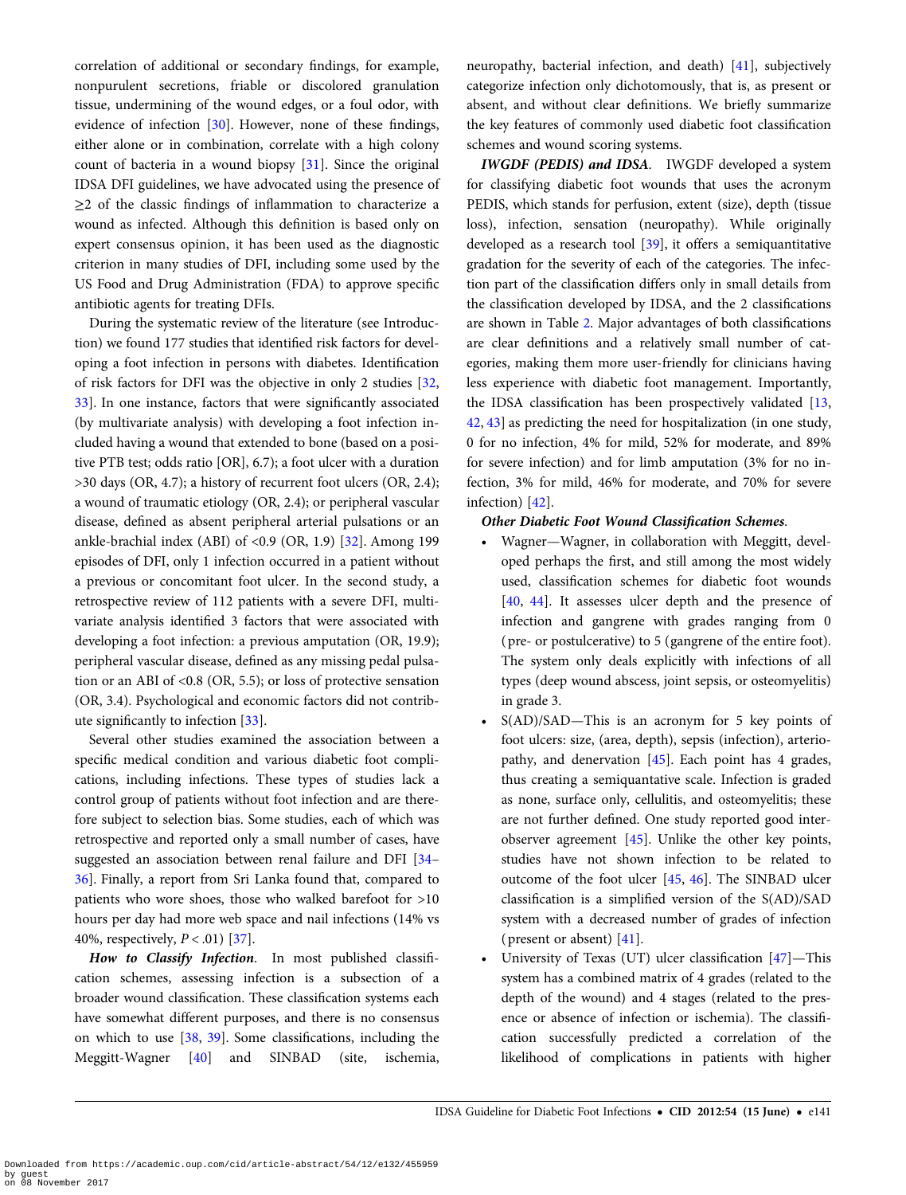correlation of additional or secondary findings, for example, nonpurulent secretions, friable or discolored granulation tissue, undermining of the wound edges, or a foul odor, with evidence of infection [[30\]](#page-33-0). However, none of these findings, either alone or in combination, correlate with a high colony count of bacteria in a wound biopsy [[31\]](#page-33-0). Since the original IDSA DFI guidelines, we have advocated using the presence of ≥2 of the classic findings of inflammation to characterize a wound as infected. Although this definition is based only on expert consensus opinion, it has been used as the diagnostic criterion in many studies of DFI, including some used by the US Food and Drug Administration (FDA) to approve specific antibiotic agents for treating DFIs.

During the systematic review of the literature (see Introduction) we found 177 studies that identified risk factors for developing a foot infection in persons with diabetes. Identification of risk factors for DFI was the objective in only 2 studies [[32,](#page-33-0) [33](#page-33-0)]. In one instance, factors that were significantly associated (by multivariate analysis) with developing a foot infection included having a wound that extended to bone (based on a positive PTB test; odds ratio [OR], 6.7); a foot ulcer with a duration >30 days (OR, 4.7); a history of recurrent foot ulcers (OR, 2.4); a wound of traumatic etiology (OR, 2.4); or peripheral vascular disease, defined as absent peripheral arterial pulsations or an ankle-brachial index (ABI) of <0.9 (OR, 1.9)  $[32]$  $[32]$  $[32]$ . Among 199 episodes of DFI, only 1 infection occurred in a patient without a previous or concomitant foot ulcer. In the second study, a retrospective review of 112 patients with a severe DFI, multivariate analysis identified 3 factors that were associated with developing a foot infection: a previous amputation (OR, 19.9); peripheral vascular disease, defined as any missing pedal pulsation or an ABI of <0.8 (OR, 5.5); or loss of protective sensation (OR, 3.4). Psychological and economic factors did not contribute significantly to infection [[33\]](#page-33-0).

Several other studies examined the association between a specific medical condition and various diabetic foot complications, including infections. These types of studies lack a control group of patients without foot infection and are therefore subject to selection bias. Some studies, each of which was retrospective and reported only a small number of cases, have suggested an association between renal failure and DFI [[34](#page-33-0)– [36](#page-33-0)]. Finally, a report from Sri Lanka found that, compared to patients who wore shoes, those who walked barefoot for >10 hours per day had more web space and nail infections (14% vs 40%, respectively,  $P < .01$ ) [[37\]](#page-33-0).

How to Classify Infection. In most published classification schemes, assessing infection is a subsection of a broader wound classification. These classification systems each have somewhat different purposes, and there is no consensus on which to use [\[38](#page-33-0), [39\]](#page-33-0). Some classifications, including the Meggitt-Wagner [[40\]](#page-33-0) and SINBAD (site, ischemia,

neuropathy, bacterial infection, and death) [\[41](#page-33-0)], subjectively categorize infection only dichotomously, that is, as present or absent, and without clear definitions. We briefly summarize the key features of commonly used diabetic foot classification schemes and wound scoring systems.

IWGDF (PEDIS) and IDSA. IWGDF developed a system for classifying diabetic foot wounds that uses the acronym PEDIS, which stands for perfusion, extent (size), depth (tissue loss), infection, sensation (neuropathy). While originally developed as a research tool [\[39](#page-33-0)], it offers a semiquantitative gradation for the severity of each of the categories. The infection part of the classification differs only in small details from the classification developed by IDSA, and the 2 classifications are shown in Table [2.](#page-10-0) Major advantages of both classifications are clear definitions and a relatively small number of categories, making them more user-friendly for clinicians having less experience with diabetic foot management. Importantly, the IDSA classification has been prospectively validated [[13,](#page-33-0) [42](#page-33-0), [43](#page-33-0)] as predicting the need for hospitalization (in one study, 0 for no infection, 4% for mild, 52% for moderate, and 89% for severe infection) and for limb amputation (3% for no infection, 3% for mild, 46% for moderate, and 70% for severe infection) [[42\]](#page-33-0).

#### Other Diabetic Foot Wound Classification Schemes.

- Wagner—Wagner, in collaboration with Meggitt, developed perhaps the first, and still among the most widely used, classification schemes for diabetic foot wounds [[40](#page-33-0), [44\]](#page-34-0). It assesses ulcer depth and the presence of infection and gangrene with grades ranging from 0 ( pre- or postulcerative) to 5 (gangrene of the entire foot). The system only deals explicitly with infections of all types (deep wound abscess, joint sepsis, or osteomyelitis) in grade 3.
- S(AD)/SAD—This is an acronym for 5 key points of foot ulcers: size, (area, depth), sepsis (infection), arteriopathy, and denervation [\[45](#page-34-0)]. Each point has 4 grades, thus creating a semiquantative scale. Infection is graded as none, surface only, cellulitis, and osteomyelitis; these are not further defined. One study reported good interobserver agreement [[45\]](#page-34-0). Unlike the other key points, studies have not shown infection to be related to outcome of the foot ulcer [[45,](#page-34-0) [46](#page-34-0)]. The SINBAD ulcer classification is a simplified version of the S(AD)/SAD system with a decreased number of grades of infection ( present or absent) [\[41\]](#page-33-0).
- University of Texas (UT) ulcer classification [[47](#page-34-0)]-This system has a combined matrix of 4 grades (related to the depth of the wound) and 4 stages (related to the presence or absence of infection or ischemia). The classification successfully predicted a correlation of the likelihood of complications in patients with higher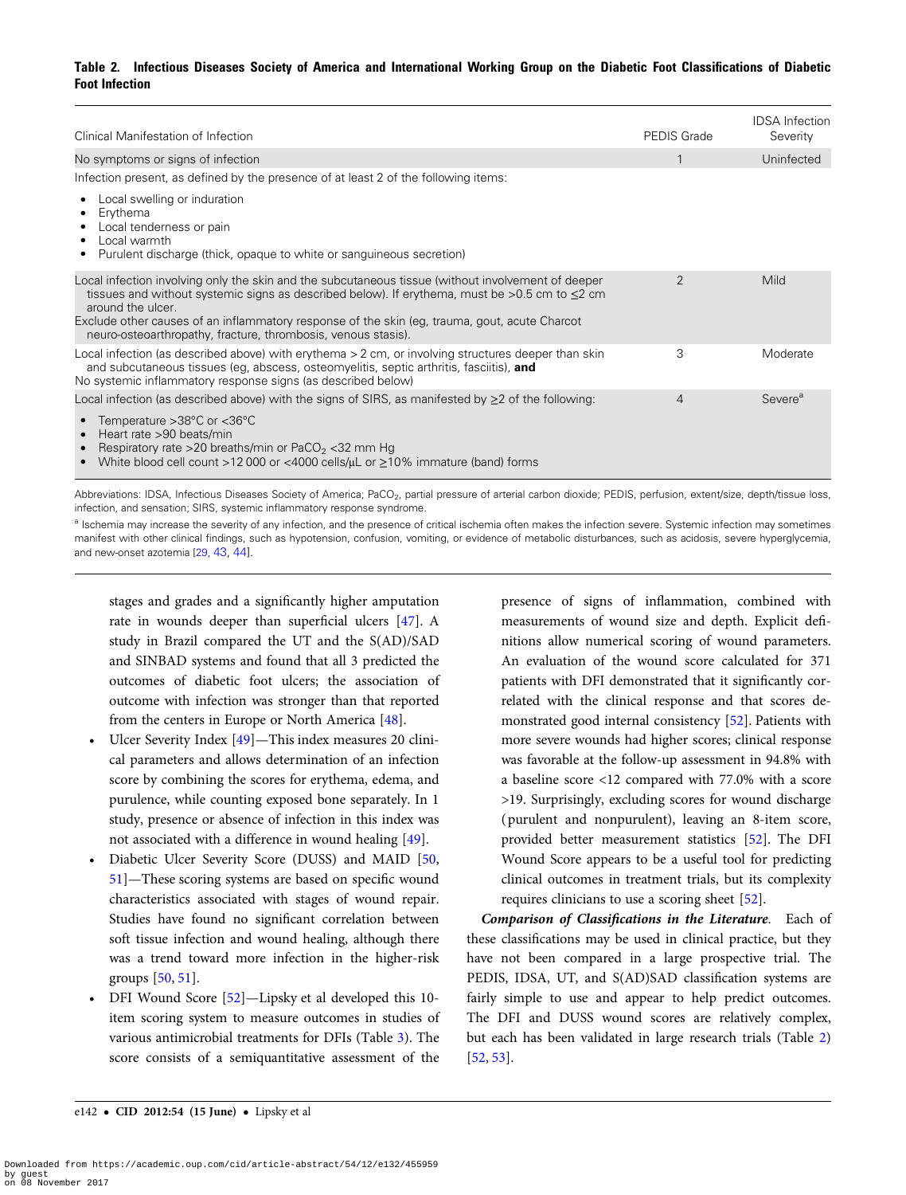#### <span id="page-10-0"></span>Table 2. Infectious Diseases Society of America and International Working Group on the Diabetic Foot Classifications of Diabetic Foot Infection

| Clinical Manifestation of Infection                                                                                                                                                                                                                                                                                                                                                                | <b>PEDIS Grade</b> | <b>IDSA</b> Infection<br>Severity |
|----------------------------------------------------------------------------------------------------------------------------------------------------------------------------------------------------------------------------------------------------------------------------------------------------------------------------------------------------------------------------------------------------|--------------------|-----------------------------------|
| No symptoms or signs of infection                                                                                                                                                                                                                                                                                                                                                                  |                    | Uninfected                        |
| Infection present, as defined by the presence of at least 2 of the following items:                                                                                                                                                                                                                                                                                                                |                    |                                   |
| Local swelling or induration<br>Erythema<br>Local tenderness or pain<br>Local warmth<br>$\bullet$<br>Purulent discharge (thick, opaque to white or sanguineous secretion)                                                                                                                                                                                                                          |                    |                                   |
| Local infection involving only the skin and the subcutaneous tissue (without involvement of deeper<br>tissues and without systemic signs as described below). If erythema, must be $>0.5$ cm to $\leq$ 2 cm<br>around the ulcer.<br>Exclude other causes of an inflammatory response of the skin (eg, trauma, gout, acute Charcot<br>neuro-osteoarthropathy, fracture, thrombosis, venous stasis). | $\mathcal{P}$      | Mild                              |
| Local infection (as described above) with erythema $> 2$ cm, or involving structures deeper than skin<br>and subcutaneous tissues (eg, abscess, osteomyelitis, septic arthritis, fasciitis), and<br>No systemic inflammatory response signs (as described below)                                                                                                                                   | 3                  | Moderate                          |
| Local infection (as described above) with the signs of SIRS, as manifested by $\geq$ 2 of the following:                                                                                                                                                                                                                                                                                           | 4                  | Severe <sup>a</sup>               |
| • Temperature $>38^{\circ}$ C or $<36^{\circ}$ C<br>Heart rate >90 beats/min<br>$\bullet$<br>Respiratory rate >20 breaths/min or $PaCO2$ <32 mm Hg<br>White blood cell count >12 000 or <4000 cells/ $\mu$ L or $\geq$ 10% immature (band) forms<br>$\bullet$                                                                                                                                      |                    |                                   |

Abbreviations: IDSA, Infectious Diseases Society of America; PaCO<sub>2</sub>, partial pressure of arterial carbon dioxide; PEDIS, perfusion, extent/size, depth/tissue loss, infection, and sensation; SIRS, systemic inflammatory response syndrome.

<sup>a</sup> Ischemia may increase the severity of any infection, and the presence of critical ischemia often makes the infection severe. Systemic infection may sometimes manifest with other clinical findings, such as hypotension, confusion, vomiting, or evidence of metabolic disturbances, such as acidosis, severe hyperglycemia, and new-onset azotemia [\[29](#page-33-0), [43,](#page-33-0) [44\]](#page-34-0).

stages and grades and a significantly higher amputation rate in wounds deeper than superficial ulcers [[47](#page-34-0)]. A study in Brazil compared the UT and the S(AD)/SAD and SINBAD systems and found that all 3 predicted the outcomes of diabetic foot ulcers; the association of outcome with infection was stronger than that reported from the centers in Europe or North America [\[48](#page-34-0)].

- Ulcer Severity Index [\[49](#page-34-0)]—This index measures 20 clinical parameters and allows determination of an infection score by combining the scores for erythema, edema, and purulence, while counting exposed bone separately. In 1 study, presence or absence of infection in this index was not associated with a difference in wound healing [[49\]](#page-34-0).
- Diabetic Ulcer Severity Score (DUSS) and MAID [[50,](#page-34-0) [51\]](#page-34-0)—These scoring systems are based on specific wound characteristics associated with stages of wound repair. Studies have found no significant correlation between soft tissue infection and wound healing, although there was a trend toward more infection in the higher-risk groups [\[50](#page-34-0), [51\]](#page-34-0).
- DFI Wound Score [[52\]](#page-34-0)—Lipsky et al developed this 10 item scoring system to measure outcomes in studies of various antimicrobial treatments for DFIs (Table [3\)](#page-11-0). The score consists of a semiquantitative assessment of the

presence of signs of inflammation, combined with measurements of wound size and depth. Explicit definitions allow numerical scoring of wound parameters. An evaluation of the wound score calculated for 371 patients with DFI demonstrated that it significantly correlated with the clinical response and that scores demonstrated good internal consistency [\[52\]](#page-34-0). Patients with more severe wounds had higher scores; clinical response was favorable at the follow-up assessment in 94.8% with a baseline score <12 compared with 77.0% with a score >19. Surprisingly, excluding scores for wound discharge ( purulent and nonpurulent), leaving an 8-item score, provided better measurement statistics [[52\]](#page-34-0). The DFI Wound Score appears to be a useful tool for predicting clinical outcomes in treatment trials, but its complexity requires clinicians to use a scoring sheet [[52\]](#page-34-0).

Comparison of Classifications in the Literature. Each of these classifications may be used in clinical practice, but they have not been compared in a large prospective trial. The PEDIS, IDSA, UT, and S(AD)SAD classification systems are fairly simple to use and appear to help predict outcomes. The DFI and DUSS wound scores are relatively complex, but each has been validated in large research trials (Table 2) [\[52](#page-34-0), [53](#page-34-0)].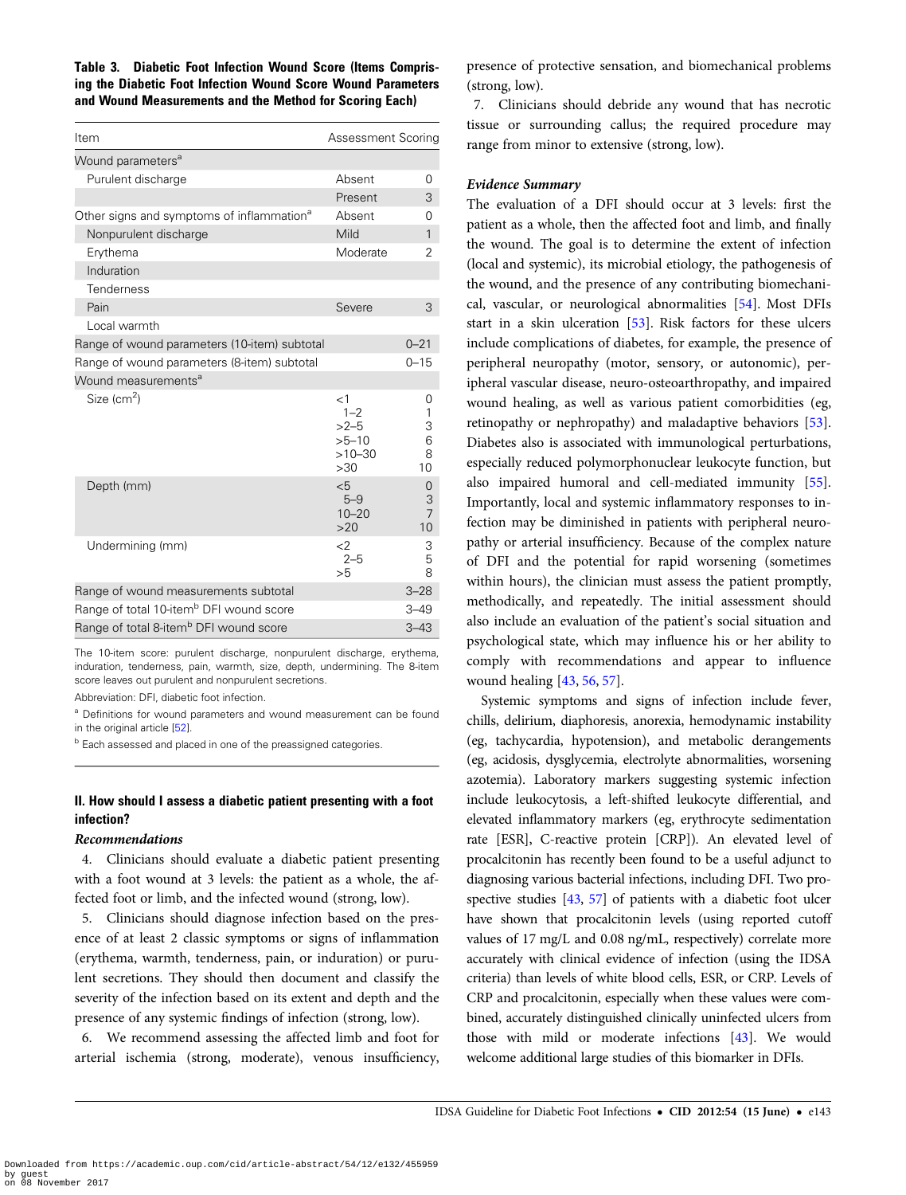<span id="page-11-0"></span>Table 3. Diabetic Foot Infection Wound Score (Items Comprising the Diabetic Foot Infection Wound Score Wound Parameters and Wound Measurements and the Method for Scoring Each)

| Item                                                  | Assessment Scoring                                           |                             |
|-------------------------------------------------------|--------------------------------------------------------------|-----------------------------|
| Wound parameters <sup>a</sup>                         |                                                              |                             |
| Purulent discharge                                    | Absent                                                       | 0                           |
|                                                       | Present                                                      | 3                           |
| Other signs and symptoms of inflammation <sup>a</sup> | Absent                                                       | 0                           |
| Nonpurulent discharge                                 | Mild                                                         | $\mathbf{1}$                |
| Erythema                                              | Moderate                                                     | 2                           |
| Induration                                            |                                                              |                             |
| Tenderness                                            |                                                              |                             |
| Pain                                                  | Severe                                                       | 3                           |
| Local warmth                                          |                                                              |                             |
| Range of wound parameters (10-item) subtotal          |                                                              | $0 - 21$                    |
| Range of wound parameters (8-item) subtotal           |                                                              | $0 - 15$                    |
| Wound measurements <sup>a</sup>                       |                                                              |                             |
| Size $\text{cm}^2$ )                                  | $<$ 1<br>$1 - 2$<br>$>2-5$<br>$>5 - 10$<br>$>10 - 30$<br>>30 | 0<br>1<br>3<br>6<br>8<br>10 |
| Depth (mm)                                            | &5<br>$5 - 9$<br>$10 - 20$<br>>20                            | 0<br>3<br>7<br>10           |
| Undermining (mm)                                      | $\leq$ 2<br>$2 - 5$<br>>5                                    | 3<br>5<br>8                 |
| Range of wound measurements subtotal                  |                                                              | $3 - 28$                    |
| Range of total 10-item <sup>b</sup> DFI wound score   |                                                              | $3 - 49$                    |
| Range of total 8-item <sup>b</sup> DFI wound score    |                                                              | $3 - 43$                    |

The 10-item score: purulent discharge, nonpurulent discharge, erythema, induration, tenderness, pain, warmth, size, depth, undermining. The 8-item score leaves out purulent and nonpurulent secretions.

Abbreviation: DFI, diabetic foot infection.

<sup>a</sup> Definitions for wound parameters and wound measurement can be found in the original article [[52](#page-34-0)].

<sup>b</sup> Each assessed and placed in one of the preassigned categories.

#### II. How should I assess a diabetic patient presenting with a foot infection?

#### Recommendations

4. Clinicians should evaluate a diabetic patient presenting with a foot wound at 3 levels: the patient as a whole, the affected foot or limb, and the infected wound (strong, low).

5. Clinicians should diagnose infection based on the presence of at least 2 classic symptoms or signs of inflammation (erythema, warmth, tenderness, pain, or induration) or purulent secretions. They should then document and classify the severity of the infection based on its extent and depth and the presence of any systemic findings of infection (strong, low).

6. We recommend assessing the affected limb and foot for arterial ischemia (strong, moderate), venous insufficiency,

presence of protective sensation, and biomechanical problems (strong, low).

7. Clinicians should debride any wound that has necrotic tissue or surrounding callus; the required procedure may range from minor to extensive (strong, low).

#### Evidence Summary

The evaluation of a DFI should occur at 3 levels: first the patient as a whole, then the affected foot and limb, and finally the wound. The goal is to determine the extent of infection (local and systemic), its microbial etiology, the pathogenesis of the wound, and the presence of any contributing biomechanical, vascular, or neurological abnormalities [\[54](#page-34-0)]. Most DFIs start in a skin ulceration [[53](#page-34-0)]. Risk factors for these ulcers include complications of diabetes, for example, the presence of peripheral neuropathy (motor, sensory, or autonomic), peripheral vascular disease, neuro-osteoarthropathy, and impaired wound healing, as well as various patient comorbidities (eg, retinopathy or nephropathy) and maladaptive behaviors [\[53\]](#page-34-0). Diabetes also is associated with immunological perturbations, especially reduced polymorphonuclear leukocyte function, but also impaired humoral and cell-mediated immunity [\[55\]](#page-34-0). Importantly, local and systemic inflammatory responses to infection may be diminished in patients with peripheral neuropathy or arterial insufficiency. Because of the complex nature of DFI and the potential for rapid worsening (sometimes within hours), the clinician must assess the patient promptly, methodically, and repeatedly. The initial assessment should also include an evaluation of the patient's social situation and psychological state, which may influence his or her ability to comply with recommendations and appear to influence wound healing [\[43](#page-33-0), [56,](#page-34-0) [57\]](#page-34-0).

Systemic symptoms and signs of infection include fever, chills, delirium, diaphoresis, anorexia, hemodynamic instability (eg, tachycardia, hypotension), and metabolic derangements (eg, acidosis, dysglycemia, electrolyte abnormalities, worsening azotemia). Laboratory markers suggesting systemic infection include leukocytosis, a left-shifted leukocyte differential, and elevated inflammatory markers (eg, erythrocyte sedimentation rate [ESR], C-reactive protein [CRP]). An elevated level of procalcitonin has recently been found to be a useful adjunct to diagnosing various bacterial infections, including DFI. Two prospective studies [[43,](#page-33-0) [57\]](#page-34-0) of patients with a diabetic foot ulcer have shown that procalcitonin levels (using reported cutoff values of 17 mg/L and 0.08 ng/mL, respectively) correlate more accurately with clinical evidence of infection (using the IDSA criteria) than levels of white blood cells, ESR, or CRP. Levels of CRP and procalcitonin, especially when these values were combined, accurately distinguished clinically uninfected ulcers from those with mild or moderate infections [[43\]](#page-33-0). We would welcome additional large studies of this biomarker in DFIs.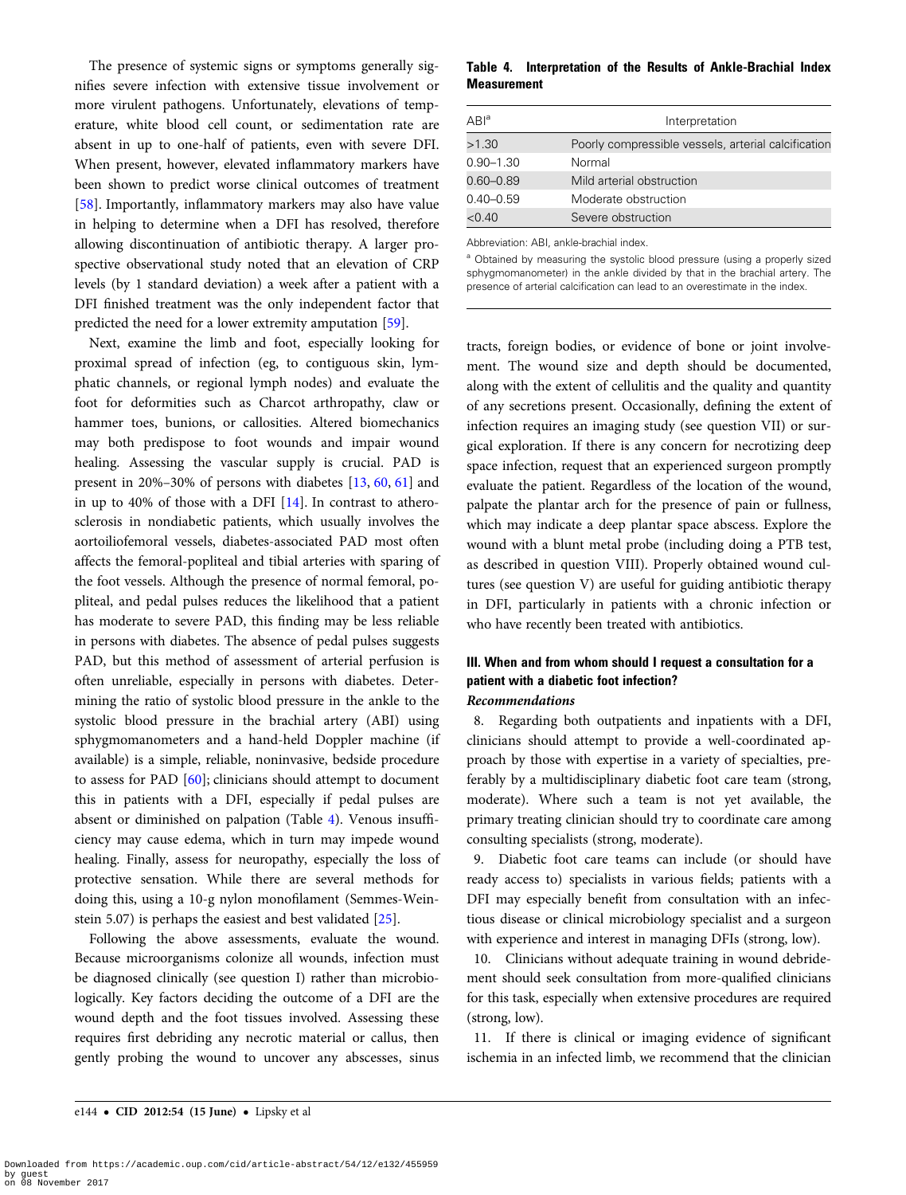<span id="page-12-0"></span>The presence of systemic signs or symptoms generally signifies severe infection with extensive tissue involvement or more virulent pathogens. Unfortunately, elevations of temperature, white blood cell count, or sedimentation rate are absent in up to one-half of patients, even with severe DFI. When present, however, elevated inflammatory markers have been shown to predict worse clinical outcomes of treatment [\[58](#page-34-0)]. Importantly, inflammatory markers may also have value in helping to determine when a DFI has resolved, therefore allowing discontinuation of antibiotic therapy. A larger prospective observational study noted that an elevation of CRP levels (by 1 standard deviation) a week after a patient with a DFI finished treatment was the only independent factor that predicted the need for a lower extremity amputation [[59\]](#page-34-0).

Next, examine the limb and foot, especially looking for proximal spread of infection (eg, to contiguous skin, lymphatic channels, or regional lymph nodes) and evaluate the foot for deformities such as Charcot arthropathy, claw or hammer toes, bunions, or callosities. Altered biomechanics may both predispose to foot wounds and impair wound healing. Assessing the vascular supply is crucial. PAD is present in 20%–30% of persons with diabetes [\[13,](#page-33-0) [60](#page-34-0), [61\]](#page-34-0) and in up to 40% of those with a DFI  $[14]$  $[14]$ . In contrast to atherosclerosis in nondiabetic patients, which usually involves the aortoiliofemoral vessels, diabetes-associated PAD most often affects the femoral-popliteal and tibial arteries with sparing of the foot vessels. Although the presence of normal femoral, popliteal, and pedal pulses reduces the likelihood that a patient has moderate to severe PAD, this finding may be less reliable in persons with diabetes. The absence of pedal pulses suggests PAD, but this method of assessment of arterial perfusion is often unreliable, especially in persons with diabetes. Determining the ratio of systolic blood pressure in the ankle to the systolic blood pressure in the brachial artery (ABI) using sphygmomanometers and a hand-held Doppler machine (if available) is a simple, reliable, noninvasive, bedside procedure to assess for PAD [\[60](#page-34-0)]; clinicians should attempt to document this in patients with a DFI, especially if pedal pulses are absent or diminished on palpation (Table 4). Venous insufficiency may cause edema, which in turn may impede wound healing. Finally, assess for neuropathy, especially the loss of protective sensation. While there are several methods for doing this, using a 10-g nylon monofilament (Semmes-Weinstein 5.07) is perhaps the easiest and best validated [\[25](#page-33-0)].

Following the above assessments, evaluate the wound. Because microorganisms colonize all wounds, infection must be diagnosed clinically (see question I) rather than microbiologically. Key factors deciding the outcome of a DFI are the wound depth and the foot tissues involved. Assessing these requires first debriding any necrotic material or callus, then gently probing the wound to uncover any abscesses, sinus

#### Table 4. Interpretation of the Results of Ankle-Brachial Index **Measurement**

| ABI <sup>a</sup> | Interpretation                                      |
|------------------|-----------------------------------------------------|
| >1.30            | Poorly compressible vessels, arterial calcification |
| $0.90 - 1.30$    | Normal                                              |
| $0.60 - 0.89$    | Mild arterial obstruction                           |
| $0.40 - 0.59$    | Moderate obstruction                                |
| < 0.40           | Severe obstruction                                  |

Abbreviation: ABI, ankle-brachial index.

<sup>a</sup> Obtained by measuring the systolic blood pressure (using a properly sized sphygmomanometer) in the ankle divided by that in the brachial artery. The presence of arterial calcification can lead to an overestimate in the index.

tracts, foreign bodies, or evidence of bone or joint involvement. The wound size and depth should be documented, along with the extent of cellulitis and the quality and quantity of any secretions present. Occasionally, defining the extent of infection requires an imaging study (see question VII) or surgical exploration. If there is any concern for necrotizing deep space infection, request that an experienced surgeon promptly evaluate the patient. Regardless of the location of the wound, palpate the plantar arch for the presence of pain or fullness, which may indicate a deep plantar space abscess. Explore the wound with a blunt metal probe (including doing a PTB test, as described in question VIII). Properly obtained wound cultures (see question V) are useful for guiding antibiotic therapy in DFI, particularly in patients with a chronic infection or who have recently been treated with antibiotics.

# III. When and from whom should I request a consultation for a patient with a diabetic foot infection?

#### Recommendations

8. Regarding both outpatients and inpatients with a DFI, clinicians should attempt to provide a well-coordinated approach by those with expertise in a variety of specialties, preferably by a multidisciplinary diabetic foot care team (strong, moderate). Where such a team is not yet available, the primary treating clinician should try to coordinate care among consulting specialists (strong, moderate).

9. Diabetic foot care teams can include (or should have ready access to) specialists in various fields; patients with a DFI may especially benefit from consultation with an infectious disease or clinical microbiology specialist and a surgeon with experience and interest in managing DFIs (strong, low).

10. Clinicians without adequate training in wound debridement should seek consultation from more-qualified clinicians for this task, especially when extensive procedures are required (strong, low).

11. If there is clinical or imaging evidence of significant ischemia in an infected limb, we recommend that the clinician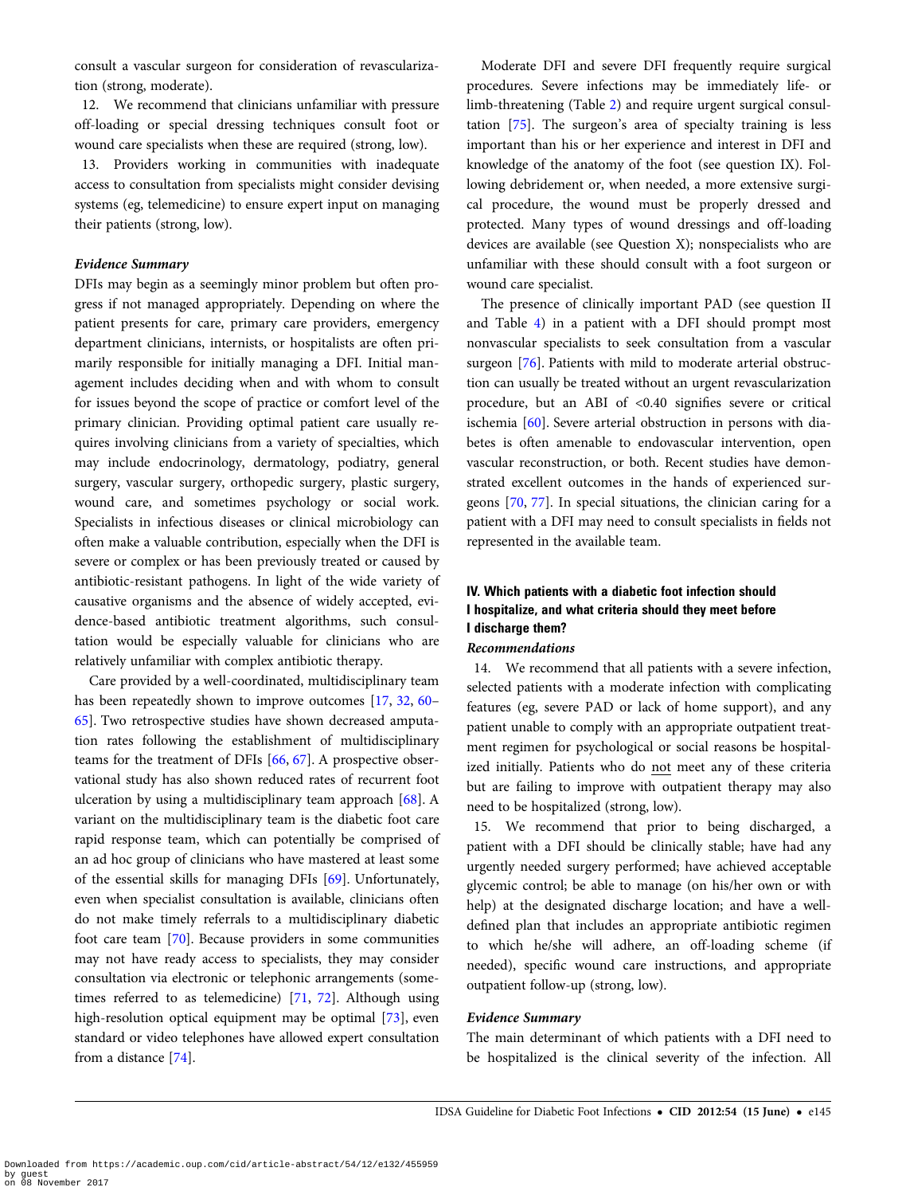consult a vascular surgeon for consideration of revascularization (strong, moderate).

12. We recommend that clinicians unfamiliar with pressure off-loading or special dressing techniques consult foot or wound care specialists when these are required (strong, low).

13. Providers working in communities with inadequate access to consultation from specialists might consider devising systems (eg, telemedicine) to ensure expert input on managing their patients (strong, low).

#### Evidence Summary

DFIs may begin as a seemingly minor problem but often progress if not managed appropriately. Depending on where the patient presents for care, primary care providers, emergency department clinicians, internists, or hospitalists are often primarily responsible for initially managing a DFI. Initial management includes deciding when and with whom to consult for issues beyond the scope of practice or comfort level of the primary clinician. Providing optimal patient care usually requires involving clinicians from a variety of specialties, which may include endocrinology, dermatology, podiatry, general surgery, vascular surgery, orthopedic surgery, plastic surgery, wound care, and sometimes psychology or social work. Specialists in infectious diseases or clinical microbiology can often make a valuable contribution, especially when the DFI is severe or complex or has been previously treated or caused by antibiotic-resistant pathogens. In light of the wide variety of causative organisms and the absence of widely accepted, evidence-based antibiotic treatment algorithms, such consultation would be especially valuable for clinicians who are relatively unfamiliar with complex antibiotic therapy.

Care provided by a well-coordinated, multidisciplinary team has been repeatedly shown to improve outcomes [[17](#page-33-0), [32](#page-33-0), [60](#page-34-0)– [65](#page-34-0)]. Two retrospective studies have shown decreased amputation rates following the establishment of multidisciplinary teams for the treatment of DFIs [\[66](#page-34-0), [67\]](#page-34-0). A prospective observational study has also shown reduced rates of recurrent foot ulceration by using a multidisciplinary team approach [\[68\]](#page-34-0). A variant on the multidisciplinary team is the diabetic foot care rapid response team, which can potentially be comprised of an ad hoc group of clinicians who have mastered at least some of the essential skills for managing DFIs [\[69](#page-34-0)]. Unfortunately, even when specialist consultation is available, clinicians often do not make timely referrals to a multidisciplinary diabetic foot care team [[70\]](#page-34-0). Because providers in some communities may not have ready access to specialists, they may consider consultation via electronic or telephonic arrangements (sometimes referred to as telemedicine) [[71,](#page-34-0) [72](#page-34-0)]. Although using high-resolution optical equipment may be optimal [\[73](#page-34-0)], even standard or video telephones have allowed expert consultation from a distance [[74\]](#page-34-0).

Moderate DFI and severe DFI frequently require surgical procedures. Severe infections may be immediately life- or limb-threatening (Table [2](#page-10-0)) and require urgent surgical consultation [\[75](#page-34-0)]. The surgeon's area of specialty training is less important than his or her experience and interest in DFI and knowledge of the anatomy of the foot (see question IX). Following debridement or, when needed, a more extensive surgical procedure, the wound must be properly dressed and protected. Many types of wound dressings and off-loading devices are available (see Question X); nonspecialists who are unfamiliar with these should consult with a foot surgeon or wound care specialist.

The presence of clinically important PAD (see question II and Table [4\)](#page-12-0) in a patient with a DFI should prompt most nonvascular specialists to seek consultation from a vascular surgeon [[76\]](#page-34-0). Patients with mild to moderate arterial obstruction can usually be treated without an urgent revascularization procedure, but an ABI of <0.40 signifies severe or critical ischemia [[60\]](#page-34-0). Severe arterial obstruction in persons with diabetes is often amenable to endovascular intervention, open vascular reconstruction, or both. Recent studies have demonstrated excellent outcomes in the hands of experienced surgeons [\[70](#page-34-0), [77](#page-34-0)]. In special situations, the clinician caring for a patient with a DFI may need to consult specialists in fields not represented in the available team.

# IV. Which patients with a diabetic foot infection should I hospitalize, and what criteria should they meet before I discharge them?

#### Recommendations

14. We recommend that all patients with a severe infection, selected patients with a moderate infection with complicating features (eg, severe PAD or lack of home support), and any patient unable to comply with an appropriate outpatient treatment regimen for psychological or social reasons be hospitalized initially. Patients who do not meet any of these criteria but are failing to improve with outpatient therapy may also need to be hospitalized (strong, low).

15. We recommend that prior to being discharged, a patient with a DFI should be clinically stable; have had any urgently needed surgery performed; have achieved acceptable glycemic control; be able to manage (on his/her own or with help) at the designated discharge location; and have a welldefined plan that includes an appropriate antibiotic regimen to which he/she will adhere, an off-loading scheme (if needed), specific wound care instructions, and appropriate outpatient follow-up (strong, low).

#### Evidence Summary

The main determinant of which patients with a DFI need to be hospitalized is the clinical severity of the infection. All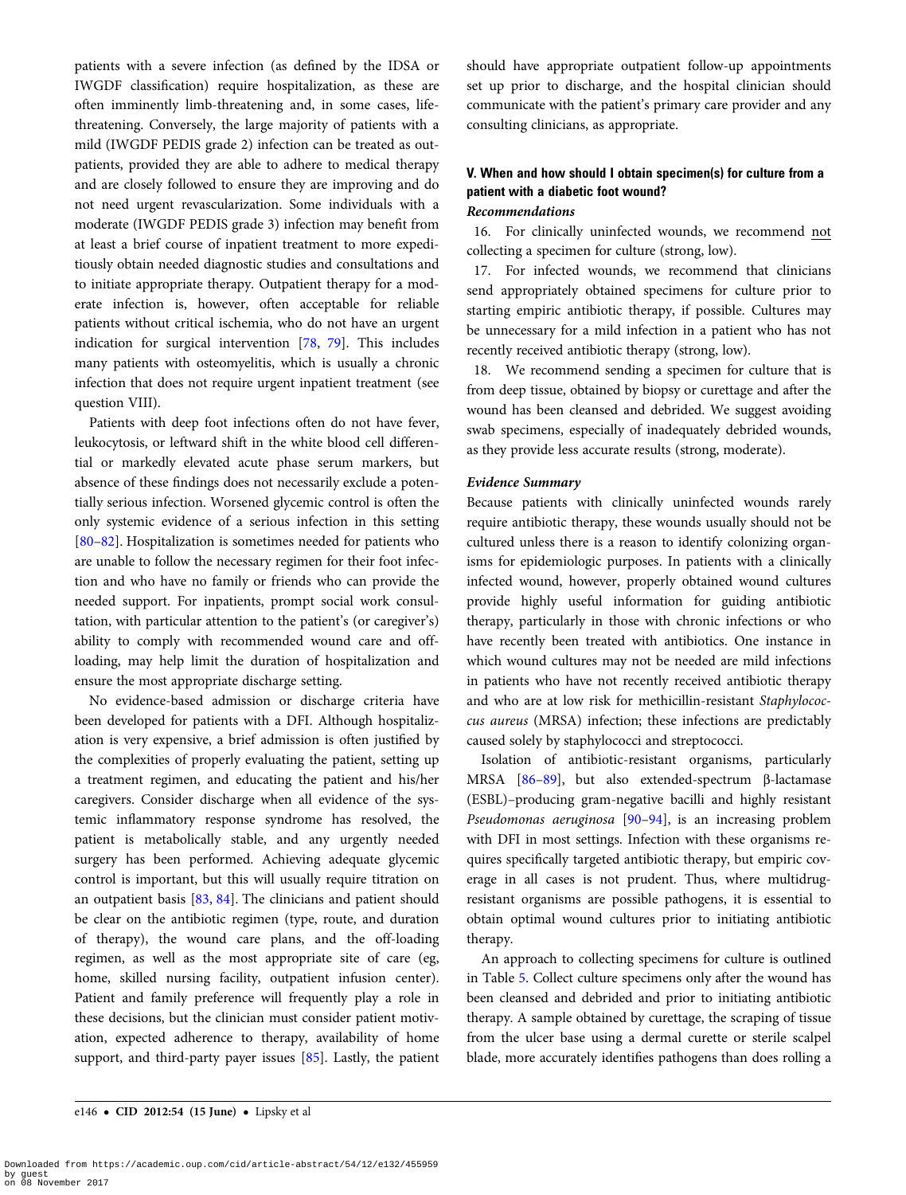patients with a severe infection (as defined by the IDSA or IWGDF classification) require hospitalization, as these are often imminently limb-threatening and, in some cases, lifethreatening. Conversely, the large majority of patients with a mild (IWGDF PEDIS grade 2) infection can be treated as outpatients, provided they are able to adhere to medical therapy and are closely followed to ensure they are improving and do not need urgent revascularization. Some individuals with a moderate (IWGDF PEDIS grade 3) infection may benefit from at least a brief course of inpatient treatment to more expeditiously obtain needed diagnostic studies and consultations and to initiate appropriate therapy. Outpatient therapy for a moderate infection is, however, often acceptable for reliable patients without critical ischemia, who do not have an urgent indication for surgical intervention [[78,](#page-34-0) [79\]](#page-34-0). This includes many patients with osteomyelitis, which is usually a chronic infection that does not require urgent inpatient treatment (see question VIII).

Patients with deep foot infections often do not have fever, leukocytosis, or leftward shift in the white blood cell differential or markedly elevated acute phase serum markers, but absence of these findings does not necessarily exclude a potentially serious infection. Worsened glycemic control is often the only systemic evidence of a serious infection in this setting [\[80](#page-34-0)–[82](#page-34-0)]. Hospitalization is sometimes needed for patients who are unable to follow the necessary regimen for their foot infection and who have no family or friends who can provide the needed support. For inpatients, prompt social work consultation, with particular attention to the patient's (or caregiver's) ability to comply with recommended wound care and offloading, may help limit the duration of hospitalization and ensure the most appropriate discharge setting.

No evidence-based admission or discharge criteria have been developed for patients with a DFI. Although hospitalization is very expensive, a brief admission is often justified by the complexities of properly evaluating the patient, setting up a treatment regimen, and educating the patient and his/her caregivers. Consider discharge when all evidence of the systemic inflammatory response syndrome has resolved, the patient is metabolically stable, and any urgently needed surgery has been performed. Achieving adequate glycemic control is important, but this will usually require titration on an outpatient basis [\[83](#page-34-0), [84\]](#page-35-0). The clinicians and patient should be clear on the antibiotic regimen (type, route, and duration of therapy), the wound care plans, and the off-loading regimen, as well as the most appropriate site of care (eg, home, skilled nursing facility, outpatient infusion center). Patient and family preference will frequently play a role in these decisions, but the clinician must consider patient motivation, expected adherence to therapy, availability of home support, and third-party payer issues [\[85\]](#page-35-0). Lastly, the patient should have appropriate outpatient follow-up appointments set up prior to discharge, and the hospital clinician should communicate with the patient's primary care provider and any consulting clinicians, as appropriate.

# V. When and how should I obtain specimen(s) for culture from a patient with a diabetic foot wound?

#### Recommendations

16. For clinically uninfected wounds, we recommend not collecting a specimen for culture (strong, low).

17. For infected wounds, we recommend that clinicians send appropriately obtained specimens for culture prior to starting empiric antibiotic therapy, if possible. Cultures may be unnecessary for a mild infection in a patient who has not recently received antibiotic therapy (strong, low).

18. We recommend sending a specimen for culture that is from deep tissue, obtained by biopsy or curettage and after the wound has been cleansed and debrided. We suggest avoiding swab specimens, especially of inadequately debrided wounds, as they provide less accurate results (strong, moderate).

#### Evidence Summary

Because patients with clinically uninfected wounds rarely require antibiotic therapy, these wounds usually should not be cultured unless there is a reason to identify colonizing organisms for epidemiologic purposes. In patients with a clinically infected wound, however, properly obtained wound cultures provide highly useful information for guiding antibiotic therapy, particularly in those with chronic infections or who have recently been treated with antibiotics. One instance in which wound cultures may not be needed are mild infections in patients who have not recently received antibiotic therapy and who are at low risk for methicillin-resistant Staphylococcus aureus (MRSA) infection; these infections are predictably caused solely by staphylococci and streptococci.

Isolation of antibiotic-resistant organisms, particularly MRSA [[86](#page-35-0)–[89](#page-35-0)], but also extended-spectrum β-lactamase (ESBL)–producing gram-negative bacilli and highly resistant Pseudomonas aeruginosa [\[90](#page-35-0)–[94](#page-35-0)], is an increasing problem with DFI in most settings. Infection with these organisms requires specifically targeted antibiotic therapy, but empiric coverage in all cases is not prudent. Thus, where multidrugresistant organisms are possible pathogens, it is essential to obtain optimal wound cultures prior to initiating antibiotic therapy.

An approach to collecting specimens for culture is outlined in Table [5.](#page-15-0) Collect culture specimens only after the wound has been cleansed and debrided and prior to initiating antibiotic therapy. A sample obtained by curettage, the scraping of tissue from the ulcer base using a dermal curette or sterile scalpel blade, more accurately identifies pathogens than does rolling a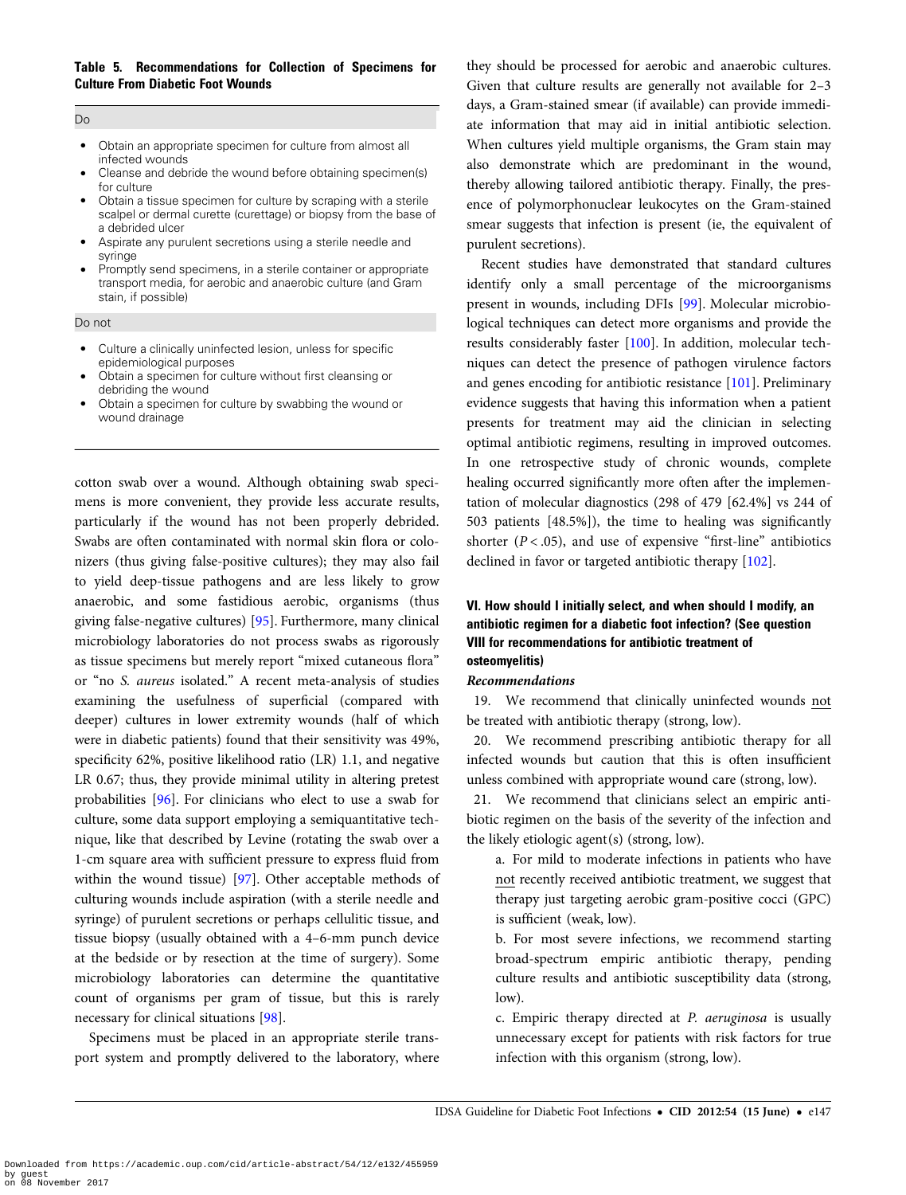<span id="page-15-0"></span>Table 5. Recommendations for Collection of Specimens for Culture From Diabetic Foot Wounds

#### Do

- Obtain an appropriate specimen for culture from almost all infected wounds
- Cleanse and debride the wound before obtaining specimen(s) for culture
- Obtain a tissue specimen for culture by scraping with a sterile scalpel or dermal curette (curettage) or biopsy from the base of a debrided ulcer
- Aspirate any purulent secretions using a sterile needle and syringe
- Promptly send specimens, in a sterile container or appropriate transport media, for aerobic and anaerobic culture (and Gram stain, if possible)

Do not

- Culture a clinically uninfected lesion, unless for specific epidemiological purposes
- Obtain a specimen for culture without first cleansing or debriding the wound
- Obtain a specimen for culture by swabbing the wound or wound drainage

cotton swab over a wound. Although obtaining swab specimens is more convenient, they provide less accurate results, particularly if the wound has not been properly debrided. Swabs are often contaminated with normal skin flora or colonizers (thus giving false-positive cultures); they may also fail to yield deep-tissue pathogens and are less likely to grow anaerobic, and some fastidious aerobic, organisms (thus giving false-negative cultures) [\[95\]](#page-35-0). Furthermore, many clinical microbiology laboratories do not process swabs as rigorously as tissue specimens but merely report "mixed cutaneous flora" or "no S. aureus isolated." A recent meta-analysis of studies examining the usefulness of superficial (compared with deeper) cultures in lower extremity wounds (half of which were in diabetic patients) found that their sensitivity was 49%, specificity 62%, positive likelihood ratio (LR) 1.1, and negative LR 0.67; thus, they provide minimal utility in altering pretest probabilities [[96](#page-35-0)]. For clinicians who elect to use a swab for culture, some data support employing a semiquantitative technique, like that described by Levine (rotating the swab over a 1-cm square area with sufficient pressure to express fluid from within the wound tissue) [[97](#page-35-0)]. Other acceptable methods of culturing wounds include aspiration (with a sterile needle and syringe) of purulent secretions or perhaps cellulitic tissue, and tissue biopsy (usually obtained with a 4–6-mm punch device at the bedside or by resection at the time of surgery). Some microbiology laboratories can determine the quantitative count of organisms per gram of tissue, but this is rarely necessary for clinical situations [\[98](#page-35-0)].

Specimens must be placed in an appropriate sterile transport system and promptly delivered to the laboratory, where

they should be processed for aerobic and anaerobic cultures. Given that culture results are generally not available for 2–3 days, a Gram-stained smear (if available) can provide immediate information that may aid in initial antibiotic selection. When cultures yield multiple organisms, the Gram stain may also demonstrate which are predominant in the wound, thereby allowing tailored antibiotic therapy. Finally, the presence of polymorphonuclear leukocytes on the Gram-stained smear suggests that infection is present (ie, the equivalent of purulent secretions).

Recent studies have demonstrated that standard cultures identify only a small percentage of the microorganisms present in wounds, including DFIs [\[99](#page-35-0)]. Molecular microbiological techniques can detect more organisms and provide the results considerably faster [[100](#page-35-0)]. In addition, molecular techniques can detect the presence of pathogen virulence factors and genes encoding for antibiotic resistance [\[101\]](#page-35-0). Preliminary evidence suggests that having this information when a patient presents for treatment may aid the clinician in selecting optimal antibiotic regimens, resulting in improved outcomes. In one retrospective study of chronic wounds, complete healing occurred significantly more often after the implementation of molecular diagnostics (298 of 479 [62.4%] vs 244 of 503 patients [48.5%]), the time to healing was significantly shorter  $(P < .05)$ , and use of expensive "first-line" antibiotics declined in favor or targeted antibiotic therapy [[102](#page-35-0)].

#### VI. How should I initially select, and when should I modify, an antibiotic regimen for a diabetic foot infection? (See question VIII for recommendations for antibiotic treatment of osteomyelitis)

#### Recommendations

19. We recommend that clinically uninfected wounds not be treated with antibiotic therapy (strong, low).

20. We recommend prescribing antibiotic therapy for all infected wounds but caution that this is often insufficient unless combined with appropriate wound care (strong, low).

21. We recommend that clinicians select an empiric antibiotic regimen on the basis of the severity of the infection and the likely etiologic agent(s) (strong, low).

a. For mild to moderate infections in patients who have not recently received antibiotic treatment, we suggest that therapy just targeting aerobic gram-positive cocci (GPC) is sufficient (weak, low).

b. For most severe infections, we recommend starting broad-spectrum empiric antibiotic therapy, pending culture results and antibiotic susceptibility data (strong, low).

c. Empiric therapy directed at P. aeruginosa is usually unnecessary except for patients with risk factors for true infection with this organism (strong, low).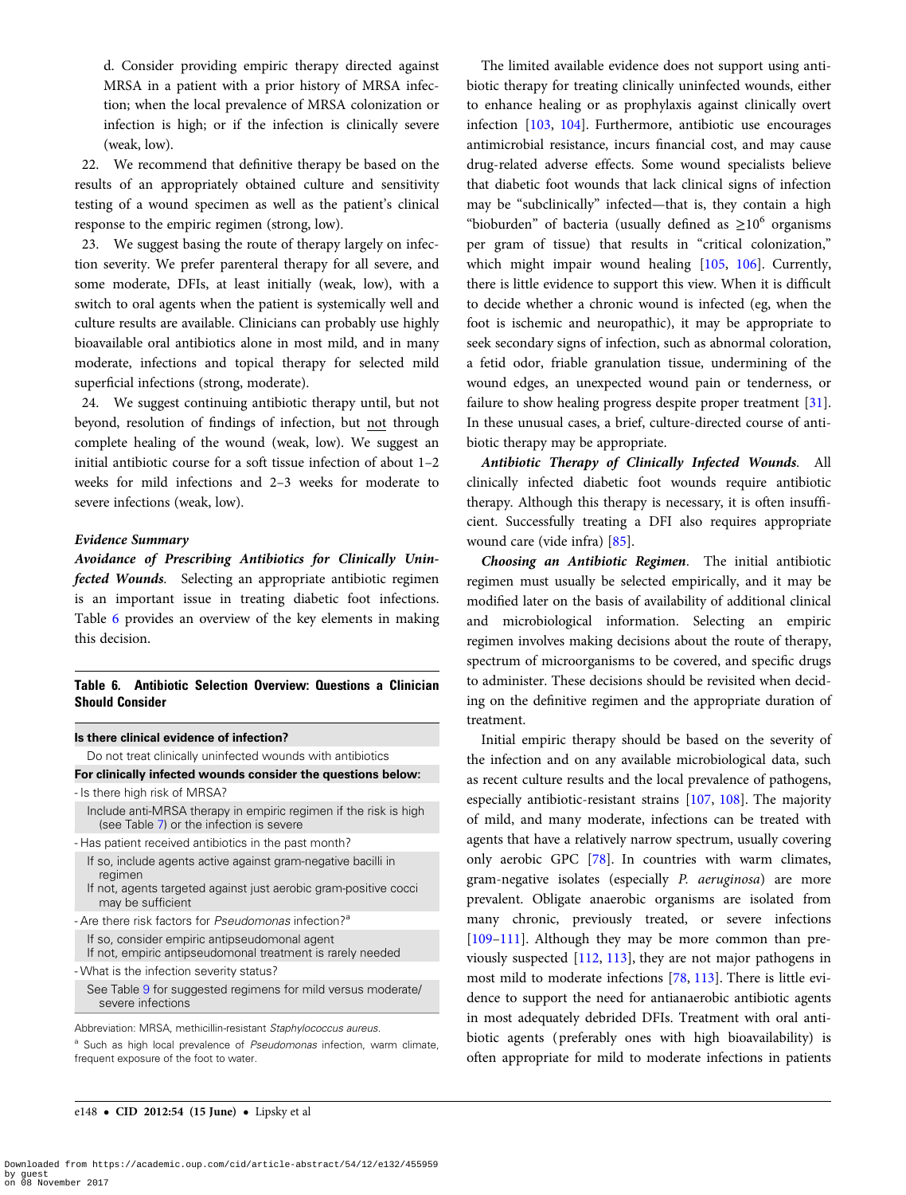d. Consider providing empiric therapy directed against MRSA in a patient with a prior history of MRSA infection; when the local prevalence of MRSA colonization or infection is high; or if the infection is clinically severe (weak, low).

22. We recommend that definitive therapy be based on the results of an appropriately obtained culture and sensitivity testing of a wound specimen as well as the patient's clinical response to the empiric regimen (strong, low).

23. We suggest basing the route of therapy largely on infection severity. We prefer parenteral therapy for all severe, and some moderate, DFIs, at least initially (weak, low), with a switch to oral agents when the patient is systemically well and culture results are available. Clinicians can probably use highly bioavailable oral antibiotics alone in most mild, and in many moderate, infections and topical therapy for selected mild superficial infections (strong, moderate).

24. We suggest continuing antibiotic therapy until, but not beyond, resolution of findings of infection, but not through complete healing of the wound (weak, low). We suggest an initial antibiotic course for a soft tissue infection of about 1–2 weeks for mild infections and 2–3 weeks for moderate to severe infections (weak, low).

#### Evidence Summary

Avoidance of Prescribing Antibiotics for Clinically Uninfected Wounds. Selecting an appropriate antibiotic regimen is an important issue in treating diabetic foot infections. Table 6 provides an overview of the key elements in making this decision.

#### Table 6. Antibiotic Selection Overview: Questions a Clinician Should Consider

Is there clinical evidence of infection?

| Do not treat clinically uninfected wounds with antibiotics                                                                                                        |
|-------------------------------------------------------------------------------------------------------------------------------------------------------------------|
| For clinically infected wounds consider the questions below:                                                                                                      |
| - Is there high risk of MRSA?                                                                                                                                     |
| Include anti-MRSA therapy in empiric regimen if the risk is high<br>(see Table 7) or the infection is severe                                                      |
| - Has patient received antibiotics in the past month?                                                                                                             |
| If so, include agents active against gram-negative bacilli in<br>regimen<br>If not, agents targeted against just aerobic gram-positive cocci<br>may be sufficient |
| - Are there risk factors for Pseudomonas infection? <sup>a</sup>                                                                                                  |
| If so, consider empiric antipseudomonal agent<br>If not, empiric antipseudomonal treatment is rarely needed                                                       |
| - What is the infection severity status?                                                                                                                          |
| See Table 9 for suggested regimens for mild versus moderate/<br>severe infections                                                                                 |
| Abbreviation: MRSA, methicillin-resistant Staphylococcus aureus.<br>Such as high local prevalence of <i>Pseudomonas</i> infection, warm climate,                  |

frequent exposure of the foot to water.

The limited available evidence does not support using antibiotic therapy for treating clinically uninfected wounds, either to enhance healing or as prophylaxis against clinically overt infection [\[103](#page-35-0), [104\]](#page-35-0). Furthermore, antibiotic use encourages antimicrobial resistance, incurs financial cost, and may cause drug-related adverse effects. Some wound specialists believe that diabetic foot wounds that lack clinical signs of infection may be "subclinically" infected—that is, they contain a high "bioburden" of bacteria (usually defined as  $\geq 10^6$  organisms per gram of tissue) that results in "critical colonization," which might impair wound healing [[105](#page-35-0), [106](#page-35-0)]. Currently, there is little evidence to support this view. When it is difficult to decide whether a chronic wound is infected (eg, when the foot is ischemic and neuropathic), it may be appropriate to seek secondary signs of infection, such as abnormal coloration, a fetid odor, friable granulation tissue, undermining of the wound edges, an unexpected wound pain or tenderness, or failure to show healing progress despite proper treatment [\[31\]](#page-33-0). In these unusual cases, a brief, culture-directed course of antibiotic therapy may be appropriate.

Antibiotic Therapy of Clinically Infected Wounds. All clinically infected diabetic foot wounds require antibiotic therapy. Although this therapy is necessary, it is often insufficient. Successfully treating a DFI also requires appropriate wound care (vide infra) [[85\]](#page-35-0).

Choosing an Antibiotic Regimen. The initial antibiotic regimen must usually be selected empirically, and it may be modified later on the basis of availability of additional clinical and microbiological information. Selecting an empiric regimen involves making decisions about the route of therapy, spectrum of microorganisms to be covered, and specific drugs to administer. These decisions should be revisited when deciding on the definitive regimen and the appropriate duration of treatment.

Initial empiric therapy should be based on the severity of the infection and on any available microbiological data, such as recent culture results and the local prevalence of pathogens, especially antibiotic-resistant strains [[107](#page-35-0), [108](#page-35-0)]. The majority of mild, and many moderate, infections can be treated with agents that have a relatively narrow spectrum, usually covering only aerobic GPC [\[78](#page-34-0)]. In countries with warm climates, gram-negative isolates (especially P. aeruginosa) are more prevalent. Obligate anaerobic organisms are isolated from many chronic, previously treated, or severe infections [\[109](#page-35-0)–[111](#page-35-0)]. Although they may be more common than previously suspected [\[112,](#page-35-0) [113](#page-35-0)], they are not major pathogens in most mild to moderate infections [\[78](#page-34-0), [113\]](#page-35-0). There is little evidence to support the need for antianaerobic antibiotic agents in most adequately debrided DFIs. Treatment with oral antibiotic agents ( preferably ones with high bioavailability) is often appropriate for mild to moderate infections in patients

e148 • CID 2012:54 (15 June) • Lipsky et al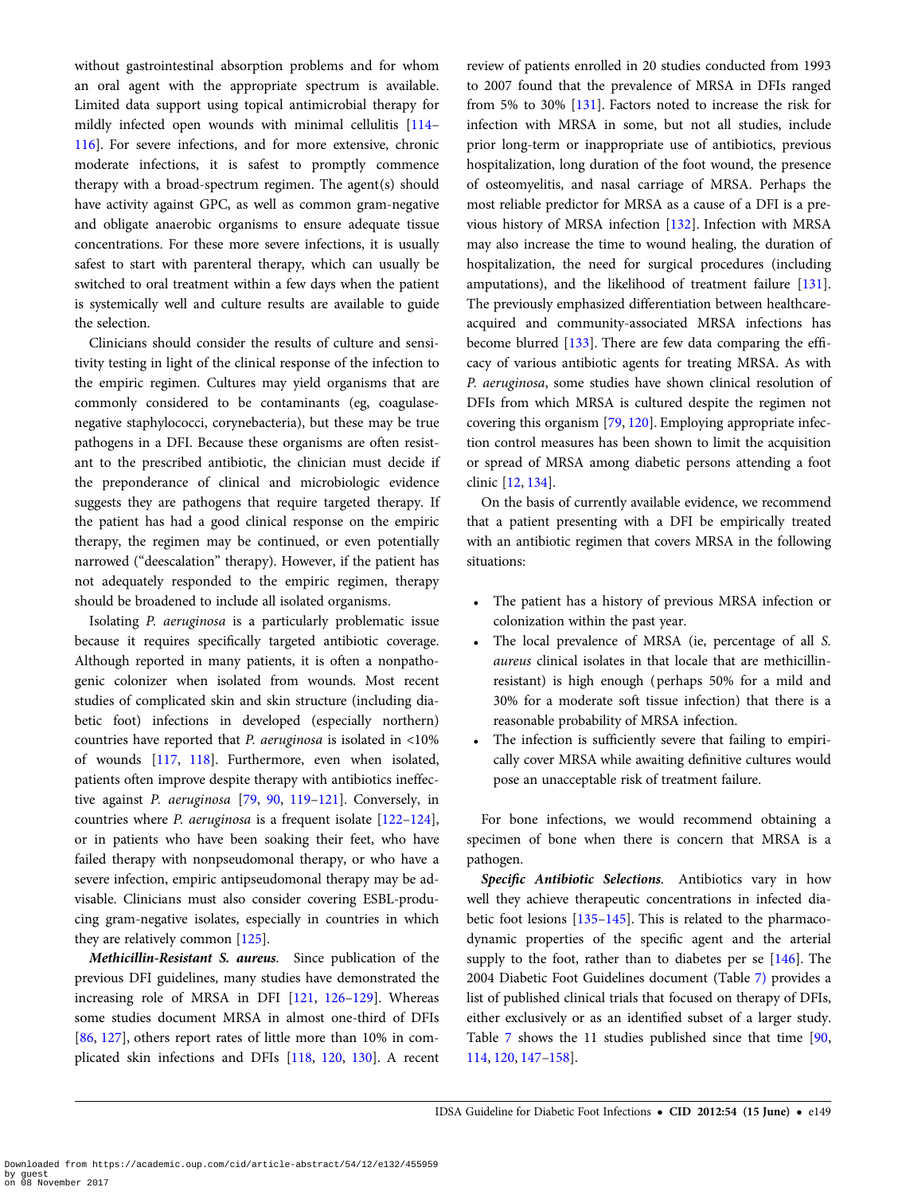without gastrointestinal absorption problems and for whom an oral agent with the appropriate spectrum is available. Limited data support using topical antimicrobial therapy for mildly infected open wounds with minimal cellulitis [\[114](#page-35-0)– [116\]](#page-35-0). For severe infections, and for more extensive, chronic moderate infections, it is safest to promptly commence therapy with a broad-spectrum regimen. The agent(s) should have activity against GPC, as well as common gram-negative and obligate anaerobic organisms to ensure adequate tissue concentrations. For these more severe infections, it is usually safest to start with parenteral therapy, which can usually be switched to oral treatment within a few days when the patient is systemically well and culture results are available to guide the selection.

Clinicians should consider the results of culture and sensitivity testing in light of the clinical response of the infection to the empiric regimen. Cultures may yield organisms that are commonly considered to be contaminants (eg, coagulasenegative staphylococci, corynebacteria), but these may be true pathogens in a DFI. Because these organisms are often resistant to the prescribed antibiotic, the clinician must decide if the preponderance of clinical and microbiologic evidence suggests they are pathogens that require targeted therapy. If the patient has had a good clinical response on the empiric therapy, the regimen may be continued, or even potentially narrowed ("deescalation" therapy). However, if the patient has not adequately responded to the empiric regimen, therapy should be broadened to include all isolated organisms.

Isolating P. aeruginosa is a particularly problematic issue because it requires specifically targeted antibiotic coverage. Although reported in many patients, it is often a nonpathogenic colonizer when isolated from wounds. Most recent studies of complicated skin and skin structure (including diabetic foot) infections in developed (especially northern) countries have reported that P. aeruginosa is isolated in <10% of wounds [[117](#page-35-0), [118\]](#page-35-0). Furthermore, even when isolated, patients often improve despite therapy with antibiotics ineffective against P. aeruginosa [\[79](#page-34-0), [90,](#page-35-0) [119](#page-35-0)–[121](#page-35-0)]. Conversely, in countries where P. aeruginosa is a frequent isolate [\[122](#page-35-0)–[124\]](#page-35-0), or in patients who have been soaking their feet, who have failed therapy with nonpseudomonal therapy, or who have a severe infection, empiric antipseudomonal therapy may be advisable. Clinicians must also consider covering ESBL-producing gram-negative isolates, especially in countries in which they are relatively common [[125\]](#page-35-0).

Methicillin-Resistant S. aureus. Since publication of the previous DFI guidelines, many studies have demonstrated the increasing role of MRSA in DFI [\[121,](#page-35-0) [126](#page-35-0)–[129\]](#page-36-0). Whereas some studies document MRSA in almost one-third of DFIs [\[86](#page-35-0), [127\]](#page-36-0), others report rates of little more than 10% in complicated skin infections and DFIs [[118,](#page-35-0) [120](#page-35-0), [130](#page-36-0)]. A recent review of patients enrolled in 20 studies conducted from 1993 to 2007 found that the prevalence of MRSA in DFIs ranged from 5% to 30% [[131](#page-36-0)]. Factors noted to increase the risk for infection with MRSA in some, but not all studies, include prior long-term or inappropriate use of antibiotics, previous hospitalization, long duration of the foot wound, the presence of osteomyelitis, and nasal carriage of MRSA. Perhaps the most reliable predictor for MRSA as a cause of a DFI is a previous history of MRSA infection [\[132](#page-36-0)]. Infection with MRSA may also increase the time to wound healing, the duration of hospitalization, the need for surgical procedures (including amputations), and the likelihood of treatment failure [[131\]](#page-36-0). The previously emphasized differentiation between healthcareacquired and community-associated MRSA infections has become blurred [[133](#page-36-0)]. There are few data comparing the efficacy of various antibiotic agents for treating MRSA. As with P. aeruginosa, some studies have shown clinical resolution of DFIs from which MRSA is cultured despite the regimen not covering this organism [[79,](#page-34-0) [120](#page-35-0)]. Employing appropriate infection control measures has been shown to limit the acquisition or spread of MRSA among diabetic persons attending a foot clinic [\[12](#page-33-0), [134](#page-36-0)].

On the basis of currently available evidence, we recommend that a patient presenting with a DFI be empirically treated with an antibiotic regimen that covers MRSA in the following situations:

- The patient has a history of previous MRSA infection or colonization within the past year.
- The local prevalence of MRSA (ie, percentage of all S. aureus clinical isolates in that locale that are methicillinresistant) is high enough ( perhaps 50% for a mild and 30% for a moderate soft tissue infection) that there is a reasonable probability of MRSA infection.
- The infection is sufficiently severe that failing to empirically cover MRSA while awaiting definitive cultures would pose an unacceptable risk of treatment failure.

For bone infections, we would recommend obtaining a specimen of bone when there is concern that MRSA is a pathogen.

Specific Antibiotic Selections. Antibiotics vary in how well they achieve therapeutic concentrations in infected diabetic foot lesions [\[135](#page-36-0)–[145\]](#page-36-0). This is related to the pharmacodynamic properties of the specific agent and the arterial supply to the foot, rather than to diabetes per se [[146\]](#page-36-0). The 2004 Diabetic Foot Guidelines document (Table [7\)](#page-18-0) provides a list of published clinical trials that focused on therapy of DFIs, either exclusively or as an identified subset of a larger study. Table [7](#page-18-0) shows the 11 studies published since that time [[90,](#page-35-0) [114,](#page-35-0) [120](#page-35-0), [147](#page-36-0)–[158\]](#page-36-0).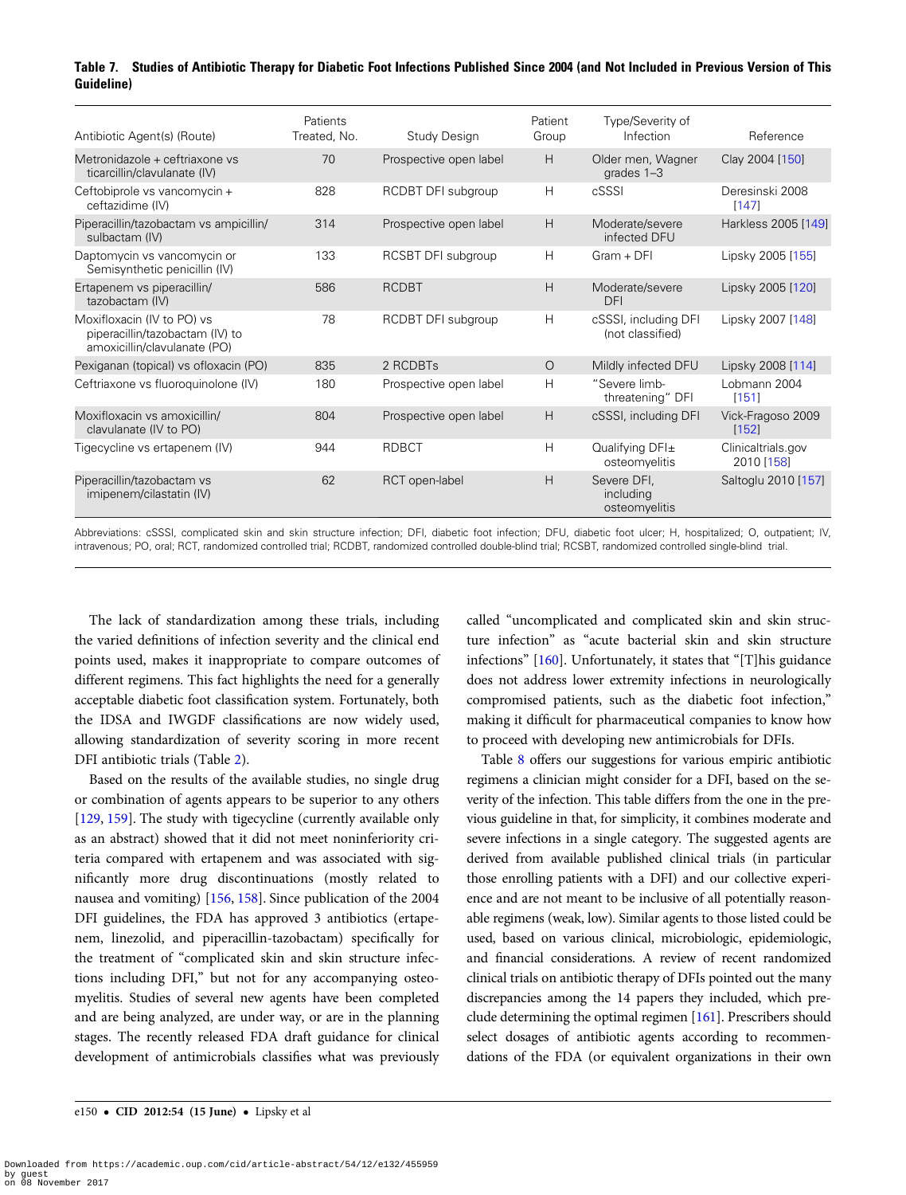#### <span id="page-18-0"></span>Table 7. Studies of Antibiotic Therapy for Diabetic Foot Infections Published Since 2004 (and Not Included in Previous Version of This Guideline)

| Antibiotic Agent(s) (Route)                                                                   | Patients<br>Treated, No. | <b>Study Design</b>    | Patient<br>Group | Type/Severity of<br>Infection             | Reference                        |
|-----------------------------------------------------------------------------------------------|--------------------------|------------------------|------------------|-------------------------------------------|----------------------------------|
| Metronidazole + ceftriaxone vs<br>ticarcillin/clavulanate (IV)                                | 70                       | Prospective open label | H                | Older men, Wagner<br>grades 1-3           | Clay 2004 [150]                  |
| Ceftobiprole vs vancomycin +<br>ceftazidime (IV)                                              | 828                      | RCDBT DFI subgroup     | H                | cSSSI                                     | Deresinski 2008<br>[147]         |
| Piperacillin/tazobactam vs ampicillin/<br>sulbactam (IV)                                      | 314                      | Prospective open label | Н                | Moderate/severe<br>infected DFU           | Harkless 2005 [149]              |
| Daptomycin vs vancomycin or<br>Semisynthetic penicillin (IV)                                  | 133                      | RCSBT DFI subgroup     | H                | $Gram + DFI$                              | Lipsky 2005 [155]                |
| Ertapenem vs piperacillin/<br>tazobactam (IV)                                                 | 586                      | <b>RCDBT</b>           | H                | Moderate/severe<br>DFI                    | Lipsky 2005 [120]                |
| Moxifloxacin (IV to PO) vs<br>piperacillin/tazobactam (IV) to<br>amoxicillin/clavulanate (PO) | 78                       | RCDBT DFI subgroup     | H                | cSSSI, including DFI<br>(not classified)  | Lipsky 2007 [148]                |
| Pexiganan (topical) vs ofloxacin (PO)                                                         | 835                      | 2 RCDBTs               | $\circ$          | Mildly infected DFU                       | Lipsky 2008 [114]                |
| Ceftriaxone vs fluoroquinolone (IV)                                                           | 180                      | Prospective open label | H                | "Severe limb-<br>threatening" DFI         | Lobmann 2004<br>[151]            |
| Moxifloxacin vs amoxicillin/<br>clavulanate (IV to PO)                                        | 804                      | Prospective open label | Н                | cSSSI, including DFI                      | Vick-Fragoso 2009<br>[152]       |
| Tigecycline vs ertapenem (IV)                                                                 | 944                      | <b>RDBCT</b>           | Н                | Qualifying DFI±<br>osteomyelitis          | Clinicaltrials.gov<br>2010 [158] |
| Piperacillin/tazobactam vs<br>imipenem/cilastatin (IV)                                        | 62                       | RCT open-label         | Н                | Severe DFI,<br>including<br>osteomyelitis | Saltoglu 2010 [157]              |

Abbreviations: cSSSI, complicated skin and skin structure infection; DFI, diabetic foot infection; DFU, diabetic foot ulcer; H, hospitalized; O, outpatient; IV, intravenous; PO, oral; RCT, randomized controlled trial; RCDBT, randomized controlled double-blind trial; RCSBT, randomized controlled single-blind trial.

The lack of standardization among these trials, including the varied definitions of infection severity and the clinical end points used, makes it inappropriate to compare outcomes of different regimens. This fact highlights the need for a generally acceptable diabetic foot classification system. Fortunately, both the IDSA and IWGDF classifications are now widely used, allowing standardization of severity scoring in more recent DFI antibiotic trials (Table [2](#page-10-0)).

Based on the results of the available studies, no single drug or combination of agents appears to be superior to any others [\[129,](#page-36-0) [159\]](#page-36-0). The study with tigecycline (currently available only as an abstract) showed that it did not meet noninferiority criteria compared with ertapenem and was associated with significantly more drug discontinuations (mostly related to nausea and vomiting) [[156](#page-36-0), [158](#page-36-0)]. Since publication of the 2004 DFI guidelines, the FDA has approved 3 antibiotics (ertapenem, linezolid, and piperacillin-tazobactam) specifically for the treatment of "complicated skin and skin structure infections including DFI," but not for any accompanying osteomyelitis. Studies of several new agents have been completed and are being analyzed, are under way, or are in the planning stages. The recently released FDA draft guidance for clinical development of antimicrobials classifies what was previously

e150 • CID 2012:54 (15 June) • Lipsky et al

called "uncomplicated and complicated skin and skin structure infection" as "acute bacterial skin and skin structure infections" [[160](#page-36-0)]. Unfortunately, it states that "[T]his guidance does not address lower extremity infections in neurologically compromised patients, such as the diabetic foot infection," making it difficult for pharmaceutical companies to know how to proceed with developing new antimicrobials for DFIs.

Table [8](#page-19-0) offers our suggestions for various empiric antibiotic regimens a clinician might consider for a DFI, based on the severity of the infection. This table differs from the one in the previous guideline in that, for simplicity, it combines moderate and severe infections in a single category. The suggested agents are derived from available published clinical trials (in particular those enrolling patients with a DFI) and our collective experience and are not meant to be inclusive of all potentially reasonable regimens (weak, low). Similar agents to those listed could be used, based on various clinical, microbiologic, epidemiologic, and financial considerations. A review of recent randomized clinical trials on antibiotic therapy of DFIs pointed out the many discrepancies among the 14 papers they included, which preclude determining the optimal regimen [\[161\]](#page-36-0). Prescribers should select dosages of antibiotic agents according to recommendations of the FDA (or equivalent organizations in their own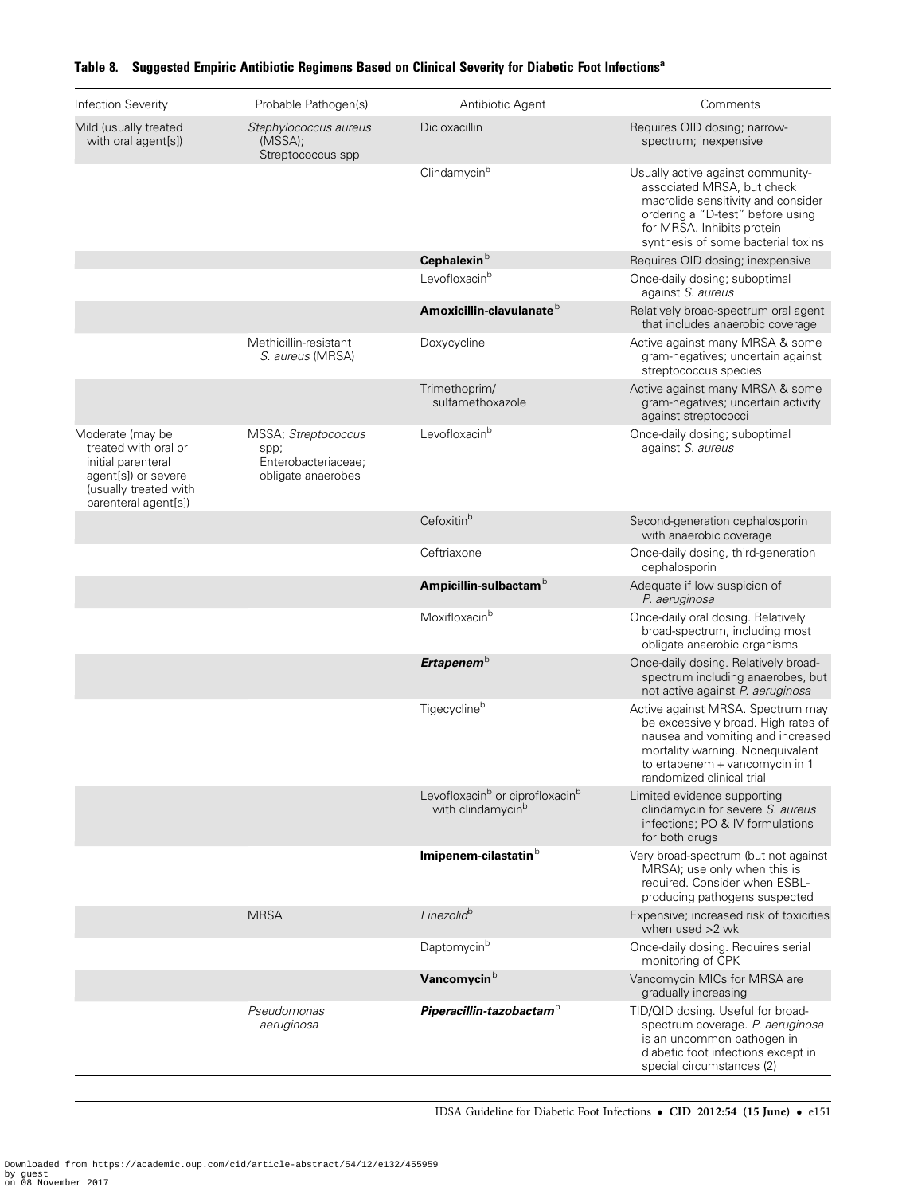| Infection Severity                                                                                                                     | Probable Pathogen(s)                                                     | Antibiotic Agent                                                                         | Comments                                                                                                                                                                                                         |
|----------------------------------------------------------------------------------------------------------------------------------------|--------------------------------------------------------------------------|------------------------------------------------------------------------------------------|------------------------------------------------------------------------------------------------------------------------------------------------------------------------------------------------------------------|
| Mild (usually treated<br>with oral agent[s])                                                                                           | Staphylococcus aureus<br>(MSSA);<br>Streptococcus spp                    | Dicloxacillin                                                                            | Requires QID dosing; narrow-<br>spectrum; inexpensive                                                                                                                                                            |
|                                                                                                                                        |                                                                          | Clindamycin <sup>b</sup>                                                                 | Usually active against community-<br>associated MRSA, but check<br>macrolide sensitivity and consider<br>ordering a "D-test" before using<br>for MRSA. Inhibits protein<br>synthesis of some bacterial toxins    |
|                                                                                                                                        |                                                                          | Cephalexin <sup>b</sup>                                                                  | Requires QID dosing; inexpensive                                                                                                                                                                                 |
|                                                                                                                                        |                                                                          | Levofloxacin <sup>b</sup>                                                                | Once-daily dosing; suboptimal<br>against S. aureus                                                                                                                                                               |
|                                                                                                                                        |                                                                          | Amoxicillin-clavulanate <sup>b</sup>                                                     | Relatively broad-spectrum oral agent<br>that includes anaerobic coverage                                                                                                                                         |
|                                                                                                                                        | Methicillin-resistant<br><i>S. aureus</i> (MRSA)                         | Doxycycline                                                                              | Active against many MRSA & some<br>gram-negatives; uncertain against<br>streptococcus species                                                                                                                    |
|                                                                                                                                        |                                                                          | Trimethoprim/<br>sulfamethoxazole                                                        | Active against many MRSA & some<br>gram-negatives; uncertain activity<br>against streptococci                                                                                                                    |
| Moderate (may be<br>treated with oral or<br>initial parenteral<br>agent[s]) or severe<br>(usually treated with<br>parenteral agent[s]) | MSSA; Streptococcus<br>spp;<br>Enterobacteriaceae:<br>obligate anaerobes | Levofloxacin <sup>b</sup>                                                                | Once-daily dosing; suboptimal<br>against S. aureus                                                                                                                                                               |
|                                                                                                                                        |                                                                          | Cefoxitinb                                                                               | Second-generation cephalosporin<br>with anaerobic coverage                                                                                                                                                       |
|                                                                                                                                        |                                                                          | Ceftriaxone                                                                              | Once-daily dosing, third-generation<br>cephalosporin                                                                                                                                                             |
|                                                                                                                                        |                                                                          | Ampicillin-sulbactam <sup>b</sup>                                                        | Adequate if low suspicion of<br>P. aeruginosa                                                                                                                                                                    |
|                                                                                                                                        |                                                                          | Moxifloxacin <sup>b</sup>                                                                | Once-daily oral dosing. Relatively<br>broad-spectrum, including most<br>obligate anaerobic organisms                                                                                                             |
|                                                                                                                                        |                                                                          | $E$ rtapenem $\mathbf{D}$                                                                | Once-daily dosing. Relatively broad-<br>spectrum including anaerobes, but<br>not active against P. aeruginosa                                                                                                    |
|                                                                                                                                        |                                                                          | Tigecycline <sup>b</sup>                                                                 | Active against MRSA. Spectrum may<br>be excessively broad. High rates of<br>nausea and vomiting and increased<br>mortality warning. Nonequivalent<br>to ertapenem + vancomycin in 1<br>randomized clinical trial |
|                                                                                                                                        |                                                                          | Levofloxacin <sup>b</sup> or ciprofloxacin <sup>b</sup><br>with clindamycin <sup>b</sup> | Limited evidence supporting<br>clindamycin for severe S. aureus<br>infections; PO & IV formulations<br>for both drugs                                                                                            |
|                                                                                                                                        |                                                                          | Imipenem-cilastatin <sup>b</sup>                                                         | Very broad-spectrum (but not against<br>MRSA); use only when this is<br>required. Consider when ESBL-<br>producing pathogens suspected                                                                           |
|                                                                                                                                        | <b>MRSA</b>                                                              | Linezolid <sup>b</sup>                                                                   | Expensive; increased risk of toxicities<br>when used $>2$ wk                                                                                                                                                     |
|                                                                                                                                        |                                                                          | Daptomycin <sup>b</sup>                                                                  | Once-daily dosing. Requires serial<br>monitoring of CPK                                                                                                                                                          |
|                                                                                                                                        |                                                                          | Vancomycin <sup>b</sup>                                                                  | Vancomycin MICs for MRSA are<br>gradually increasing                                                                                                                                                             |
|                                                                                                                                        | Pseudomonas<br>aeruginosa                                                | Piperacillin-tazobactam $^{\circ}$                                                       | TID/QID dosing. Useful for broad-<br>spectrum coverage. P. aeruginosa<br>is an uncommon pathogen in<br>diabetic foot infections except in<br>special circumstances (2)                                           |

#### <span id="page-19-0"></span>Table 8. Suggested Empiric Antibiotic Regimens Based on Clinical Severity for Diabetic Foot Infections<sup>a</sup>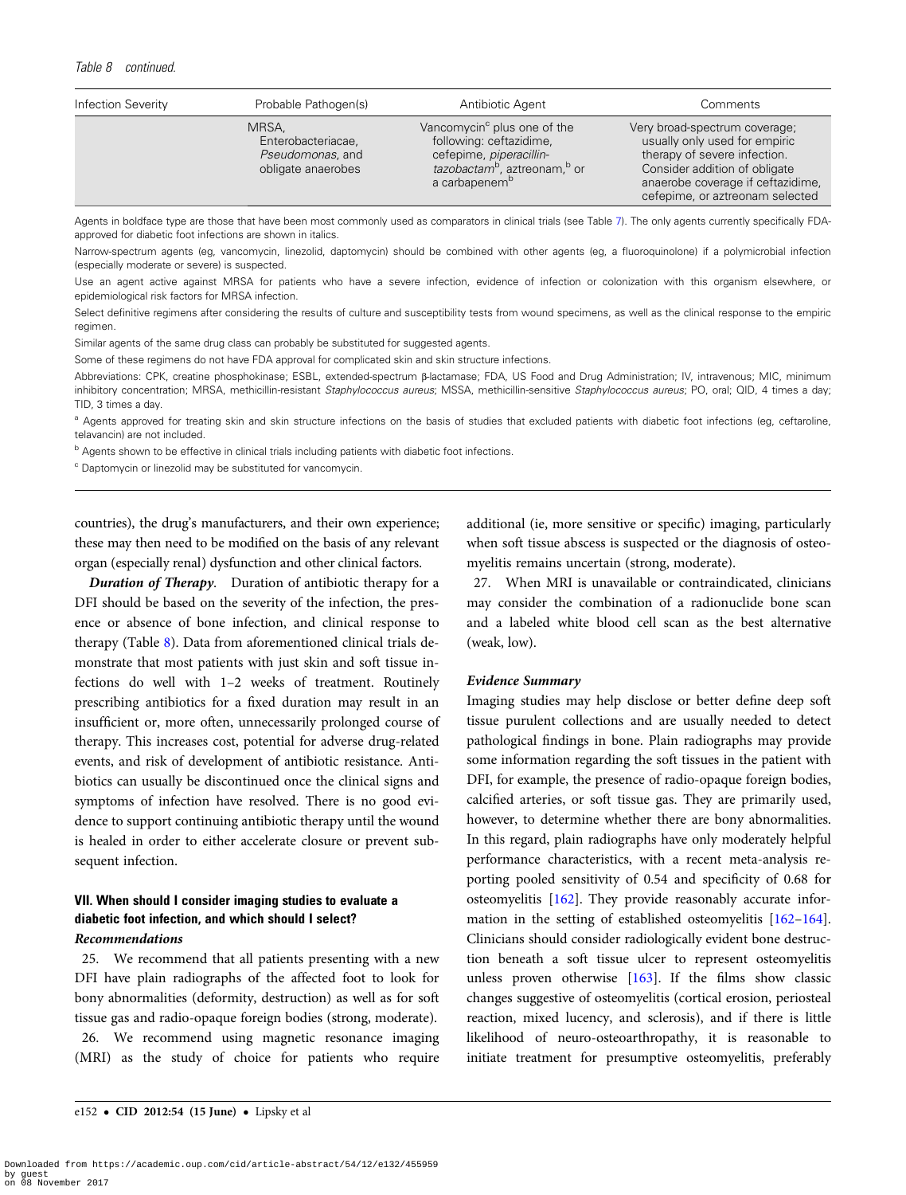| <b>Infection Severity</b> | Probable Pathogen(s)                                                  | Antibiotic Agent                                                                                                                                                                          | Comments                                                                                                                                                                                                |
|---------------------------|-----------------------------------------------------------------------|-------------------------------------------------------------------------------------------------------------------------------------------------------------------------------------------|---------------------------------------------------------------------------------------------------------------------------------------------------------------------------------------------------------|
|                           | MRSA.<br>Enterobacteriacae,<br>Pseudomonas, and<br>obligate anaerobes | Vancomycin <sup>c</sup> plus one of the<br>following: ceftazidime,<br>cefepime, <i>piperacillin-</i><br>tazobactam <sup>b</sup> , aztreonam, <sup>b</sup> or<br>a carbapenem <sup>b</sup> | Very broad-spectrum coverage;<br>usually only used for empiric<br>therapy of severe infection.<br>Consider addition of obligate<br>anaerobe coverage if ceftazidime,<br>cefepime, or aztreonam selected |

Agents in boldface type are those that have been most commonly used as comparators in clinical trials (see Table [7\)](#page-18-0). The only agents currently specifically FDAapproved for diabetic foot infections are shown in italics.

Narrow-spectrum agents (eg, vancomycin, linezolid, daptomycin) should be combined with other agents (eg, a fluoroquinolone) if a polymicrobial infection (especially moderate or severe) is suspected.

Use an agent active against MRSA for patients who have a severe infection, evidence of infection or colonization with this organism elsewhere, or epidemiological risk factors for MRSA infection.

Select definitive regimens after considering the results of culture and susceptibility tests from wound specimens, as well as the clinical response to the empiric regimen.

Similar agents of the same drug class can probably be substituted for suggested agents.

Some of these regimens do not have FDA approval for complicated skin and skin structure infections.

Abbreviations: CPK, creatine phosphokinase; ESBL, extended-spectrum β-lactamase; FDA, US Food and Drug Administration; IV, intravenous; MIC, minimum inhibitory concentration; MRSA, methicillin-resistant Staphylococcus aureus; MSSA, methicillin-sensitive Staphylococcus aureus; PO, oral; QID, 4 times a day; TID, 3 times a day.

a Agents approved for treating skin and skin structure infections on the basis of studies that excluded patients with diabetic foot infections (eg, ceftaroline, telavancin) are not included.

<sup>b</sup> Agents shown to be effective in clinical trials including patients with diabetic foot infections.

<sup>c</sup> Daptomycin or linezolid may be substituted for vancomycin.

countries), the drug's manufacturers, and their own experience; these may then need to be modified on the basis of any relevant organ (especially renal) dysfunction and other clinical factors.

Duration of Therapy. Duration of antibiotic therapy for a DFI should be based on the severity of the infection, the presence or absence of bone infection, and clinical response to therapy (Table [8\)](#page-19-0). Data from aforementioned clinical trials demonstrate that most patients with just skin and soft tissue infections do well with 1–2 weeks of treatment. Routinely prescribing antibiotics for a fixed duration may result in an insufficient or, more often, unnecessarily prolonged course of therapy. This increases cost, potential for adverse drug-related events, and risk of development of antibiotic resistance. Antibiotics can usually be discontinued once the clinical signs and symptoms of infection have resolved. There is no good evidence to support continuing antibiotic therapy until the wound is healed in order to either accelerate closure or prevent subsequent infection.

#### VII. When should I consider imaging studies to evaluate a diabetic foot infection, and which should I select? Recommendations

25. We recommend that all patients presenting with a new DFI have plain radiographs of the affected foot to look for bony abnormalities (deformity, destruction) as well as for soft tissue gas and radio-opaque foreign bodies (strong, moderate). 26. We recommend using magnetic resonance imaging (MRI) as the study of choice for patients who require additional (ie, more sensitive or specific) imaging, particularly when soft tissue abscess is suspected or the diagnosis of osteomyelitis remains uncertain (strong, moderate).

27. When MRI is unavailable or contraindicated, clinicians may consider the combination of a radionuclide bone scan and a labeled white blood cell scan as the best alternative (weak, low).

#### Evidence Summary

Imaging studies may help disclose or better define deep soft tissue purulent collections and are usually needed to detect pathological findings in bone. Plain radiographs may provide some information regarding the soft tissues in the patient with DFI, for example, the presence of radio-opaque foreign bodies, calcified arteries, or soft tissue gas. They are primarily used, however, to determine whether there are bony abnormalities. In this regard, plain radiographs have only moderately helpful performance characteristics, with a recent meta-analysis reporting pooled sensitivity of 0.54 and specificity of 0.68 for osteomyelitis [[162\]](#page-36-0). They provide reasonably accurate information in the setting of established osteomyelitis [\[162](#page-36-0)–[164\]](#page-37-0). Clinicians should consider radiologically evident bone destruction beneath a soft tissue ulcer to represent osteomyelitis unless proven otherwise [\[163](#page-37-0)]. If the films show classic changes suggestive of osteomyelitis (cortical erosion, periosteal reaction, mixed lucency, and sclerosis), and if there is little likelihood of neuro-osteoarthropathy, it is reasonable to initiate treatment for presumptive osteomyelitis, preferably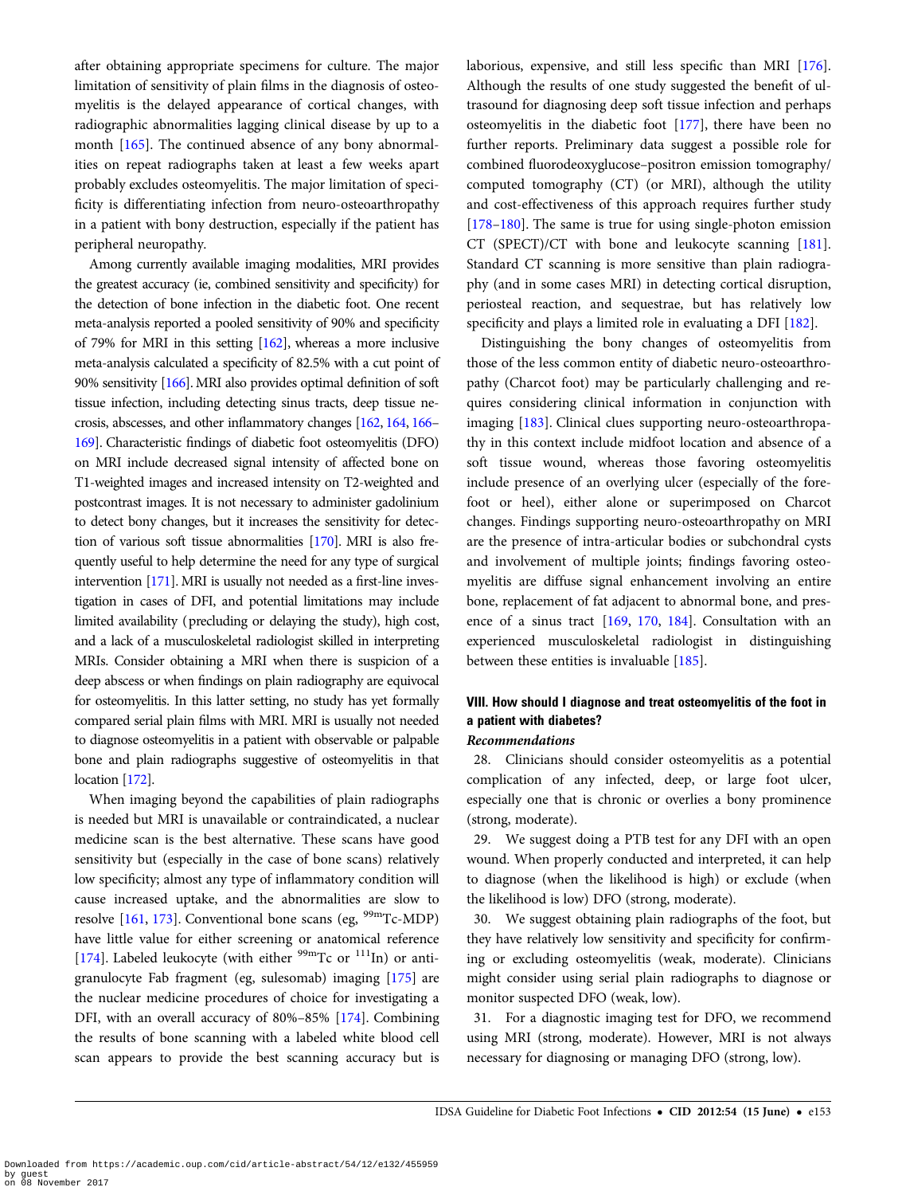after obtaining appropriate specimens for culture. The major limitation of sensitivity of plain films in the diagnosis of osteomyelitis is the delayed appearance of cortical changes, with radiographic abnormalities lagging clinical disease by up to a month [\[165](#page-37-0)]. The continued absence of any bony abnormalities on repeat radiographs taken at least a few weeks apart probably excludes osteomyelitis. The major limitation of specificity is differentiating infection from neuro-osteoarthropathy in a patient with bony destruction, especially if the patient has peripheral neuropathy.

Among currently available imaging modalities, MRI provides the greatest accuracy (ie, combined sensitivity and specificity) for the detection of bone infection in the diabetic foot. One recent meta-analysis reported a pooled sensitivity of 90% and specificity of 79% for MRI in this setting [\[162](#page-36-0)], whereas a more inclusive meta-analysis calculated a specificity of 82.5% with a cut point of 90% sensitivity [\[166\]](#page-37-0). MRI also provides optimal definition of soft tissue infection, including detecting sinus tracts, deep tissue necrosis, abscesses, and other inflammatory changes [\[162](#page-36-0), [164](#page-37-0), [166](#page-37-0)– [169](#page-37-0)]. Characteristic findings of diabetic foot osteomyelitis (DFO) on MRI include decreased signal intensity of affected bone on T1-weighted images and increased intensity on T2-weighted and postcontrast images. It is not necessary to administer gadolinium to detect bony changes, but it increases the sensitivity for detection of various soft tissue abnormalities [[170\]](#page-37-0). MRI is also frequently useful to help determine the need for any type of surgical intervention [[171\]](#page-37-0). MRI is usually not needed as a first-line investigation in cases of DFI, and potential limitations may include limited availability (precluding or delaying the study), high cost, and a lack of a musculoskeletal radiologist skilled in interpreting MRIs. Consider obtaining a MRI when there is suspicion of a deep abscess or when findings on plain radiography are equivocal for osteomyelitis. In this latter setting, no study has yet formally compared serial plain films with MRI. MRI is usually not needed to diagnose osteomyelitis in a patient with observable or palpable bone and plain radiographs suggestive of osteomyelitis in that location [\[172](#page-37-0)].

When imaging beyond the capabilities of plain radiographs is needed but MRI is unavailable or contraindicated, a nuclear medicine scan is the best alternative. These scans have good sensitivity but (especially in the case of bone scans) relatively low specificity; almost any type of inflammatory condition will cause increased uptake, and the abnormalities are slow to resolve [\[161](#page-36-0), [173](#page-37-0)]. Conventional bone scans (eg,  $^{99m}$ Tc-MDP) have little value for either screening or anatomical reference [\[174\]](#page-37-0). Labeled leukocyte (with either  $\frac{99 \text{m}}{\text{C}}$  or  $\frac{111}{\text{In}}$ ) or antigranulocyte Fab fragment (eg, sulesomab) imaging [\[175\]](#page-37-0) are the nuclear medicine procedures of choice for investigating a DFI, with an overall accuracy of 80%–85% [\[174\]](#page-37-0). Combining the results of bone scanning with a labeled white blood cell scan appears to provide the best scanning accuracy but is laborious, expensive, and still less specific than MRI [[176\]](#page-37-0). Although the results of one study suggested the benefit of ultrasound for diagnosing deep soft tissue infection and perhaps osteomyelitis in the diabetic foot [\[177\]](#page-37-0), there have been no further reports. Preliminary data suggest a possible role for combined fluorodeoxyglucose–positron emission tomography/ computed tomography (CT) (or MRI), although the utility and cost-effectiveness of this approach requires further study [\[178](#page-37-0)–[180](#page-37-0)]. The same is true for using single-photon emission CT (SPECT)/CT with bone and leukocyte scanning [[181\]](#page-37-0). Standard CT scanning is more sensitive than plain radiography (and in some cases MRI) in detecting cortical disruption, periosteal reaction, and sequestrae, but has relatively low specificity and plays a limited role in evaluating a DFI [\[182\]](#page-37-0).

Distinguishing the bony changes of osteomyelitis from those of the less common entity of diabetic neuro-osteoarthropathy (Charcot foot) may be particularly challenging and requires considering clinical information in conjunction with imaging [\[183\]](#page-37-0). Clinical clues supporting neuro-osteoarthropathy in this context include midfoot location and absence of a soft tissue wound, whereas those favoring osteomyelitis include presence of an overlying ulcer (especially of the forefoot or heel), either alone or superimposed on Charcot changes. Findings supporting neuro-osteoarthropathy on MRI are the presence of intra-articular bodies or subchondral cysts and involvement of multiple joints; findings favoring osteomyelitis are diffuse signal enhancement involving an entire bone, replacement of fat adjacent to abnormal bone, and presence of a sinus tract [\[169,](#page-37-0) [170](#page-37-0), [184](#page-37-0)]. Consultation with an experienced musculoskeletal radiologist in distinguishing between these entities is invaluable [[185](#page-37-0)].

# VIII. How should I diagnose and treat osteomyelitis of the foot in a patient with diabetes?

#### Recommendations

28. Clinicians should consider osteomyelitis as a potential complication of any infected, deep, or large foot ulcer, especially one that is chronic or overlies a bony prominence (strong, moderate).

29. We suggest doing a PTB test for any DFI with an open wound. When properly conducted and interpreted, it can help to diagnose (when the likelihood is high) or exclude (when the likelihood is low) DFO (strong, moderate).

30. We suggest obtaining plain radiographs of the foot, but they have relatively low sensitivity and specificity for confirming or excluding osteomyelitis (weak, moderate). Clinicians might consider using serial plain radiographs to diagnose or monitor suspected DFO (weak, low).

31. For a diagnostic imaging test for DFO, we recommend using MRI (strong, moderate). However, MRI is not always necessary for diagnosing or managing DFO (strong, low).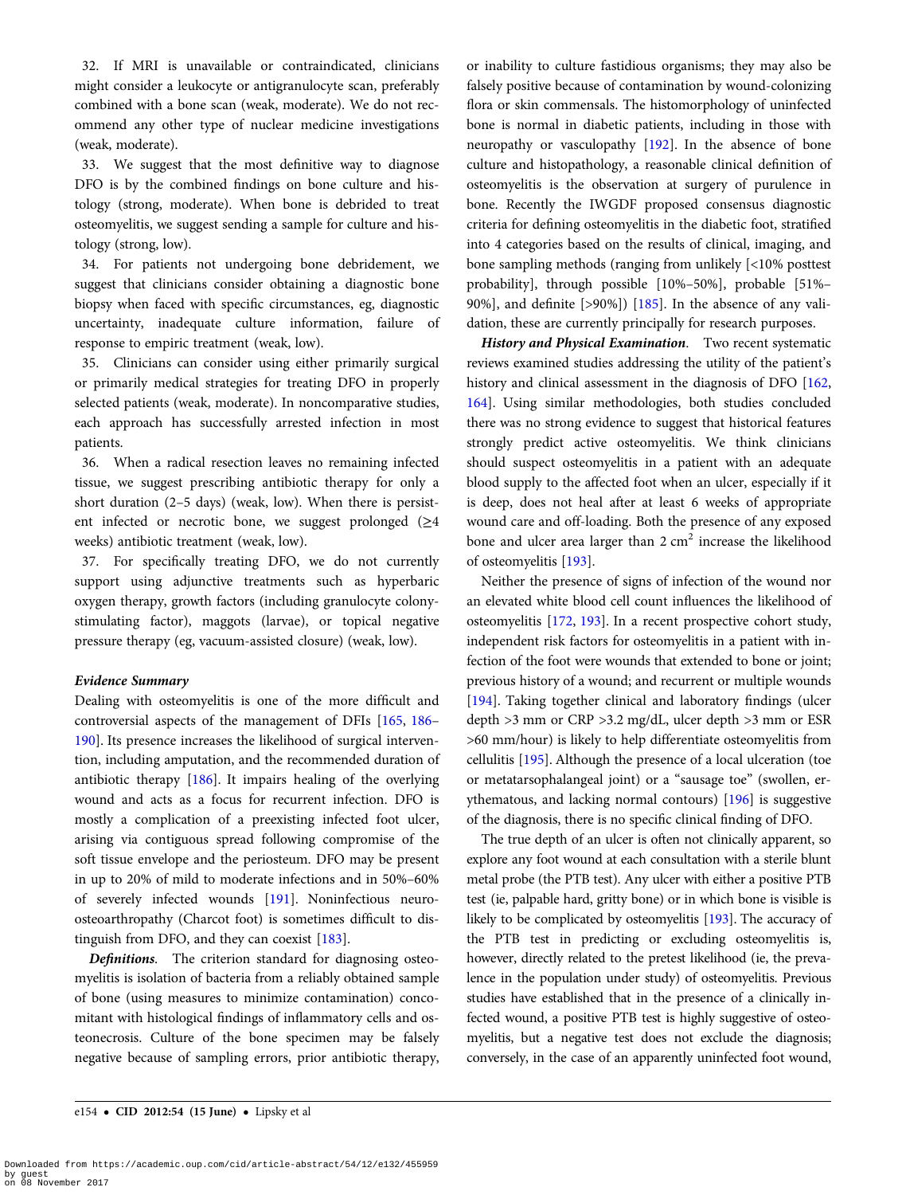32. If MRI is unavailable or contraindicated, clinicians might consider a leukocyte or antigranulocyte scan, preferably combined with a bone scan (weak, moderate). We do not recommend any other type of nuclear medicine investigations (weak, moderate).

33. We suggest that the most definitive way to diagnose DFO is by the combined findings on bone culture and histology (strong, moderate). When bone is debrided to treat osteomyelitis, we suggest sending a sample for culture and histology (strong, low).

34. For patients not undergoing bone debridement, we suggest that clinicians consider obtaining a diagnostic bone biopsy when faced with specific circumstances, eg, diagnostic uncertainty, inadequate culture information, failure of response to empiric treatment (weak, low).

35. Clinicians can consider using either primarily surgical or primarily medical strategies for treating DFO in properly selected patients (weak, moderate). In noncomparative studies, each approach has successfully arrested infection in most patients.

36. When a radical resection leaves no remaining infected tissue, we suggest prescribing antibiotic therapy for only a short duration (2–5 days) (weak, low). When there is persistent infected or necrotic bone, we suggest prolonged  $(\geq 4)$ weeks) antibiotic treatment (weak, low).

37. For specifically treating DFO, we do not currently support using adjunctive treatments such as hyperbaric oxygen therapy, growth factors (including granulocyte colonystimulating factor), maggots (larvae), or topical negative pressure therapy (eg, vacuum-assisted closure) (weak, low).

#### Evidence Summary

Dealing with osteomyelitis is one of the more difficult and controversial aspects of the management of DFIs [\[165](#page-37-0), [186](#page-37-0)– [190\]](#page-37-0). Its presence increases the likelihood of surgical intervention, including amputation, and the recommended duration of antibiotic therapy [[186\]](#page-37-0). It impairs healing of the overlying wound and acts as a focus for recurrent infection. DFO is mostly a complication of a preexisting infected foot ulcer, arising via contiguous spread following compromise of the soft tissue envelope and the periosteum. DFO may be present in up to 20% of mild to moderate infections and in 50%–60% of severely infected wounds [[191](#page-37-0)]. Noninfectious neuroosteoarthropathy (Charcot foot) is sometimes difficult to distinguish from DFO, and they can coexist [[183](#page-37-0)].

Definitions. The criterion standard for diagnosing osteomyelitis is isolation of bacteria from a reliably obtained sample of bone (using measures to minimize contamination) concomitant with histological findings of inflammatory cells and osteonecrosis. Culture of the bone specimen may be falsely negative because of sampling errors, prior antibiotic therapy, or inability to culture fastidious organisms; they may also be falsely positive because of contamination by wound-colonizing flora or skin commensals. The histomorphology of uninfected bone is normal in diabetic patients, including in those with neuropathy or vasculopathy [\[192\]](#page-37-0). In the absence of bone culture and histopathology, a reasonable clinical definition of osteomyelitis is the observation at surgery of purulence in bone. Recently the IWGDF proposed consensus diagnostic criteria for defining osteomyelitis in the diabetic foot, stratified into 4 categories based on the results of clinical, imaging, and bone sampling methods (ranging from unlikely [<10% posttest probability], through possible [10%–50%], probable [51%– 90%], and definite [>90%]) [\[185\]](#page-37-0). In the absence of any validation, these are currently principally for research purposes.

History and Physical Examination. Two recent systematic reviews examined studies addressing the utility of the patient's history and clinical assessment in the diagnosis of DFO [\[162,](#page-36-0) [164\]](#page-37-0). Using similar methodologies, both studies concluded there was no strong evidence to suggest that historical features strongly predict active osteomyelitis. We think clinicians should suspect osteomyelitis in a patient with an adequate blood supply to the affected foot when an ulcer, especially if it is deep, does not heal after at least 6 weeks of appropriate wound care and off-loading. Both the presence of any exposed bone and ulcer area larger than  $2 \text{ cm}^2$  increase the likelihood of osteomyelitis [\[193\]](#page-37-0).

Neither the presence of signs of infection of the wound nor an elevated white blood cell count influences the likelihood of osteomyelitis [[172](#page-37-0), [193](#page-37-0)]. In a recent prospective cohort study, independent risk factors for osteomyelitis in a patient with infection of the foot were wounds that extended to bone or joint; previous history of a wound; and recurrent or multiple wounds [\[194\]](#page-37-0). Taking together clinical and laboratory findings (ulcer depth >3 mm or CRP >3.2 mg/dL, ulcer depth >3 mm or ESR >60 mm/hour) is likely to help differentiate osteomyelitis from cellulitis [\[195\]](#page-37-0). Although the presence of a local ulceration (toe or metatarsophalangeal joint) or a "sausage toe" (swollen, erythematous, and lacking normal contours) [[196](#page-37-0)] is suggestive of the diagnosis, there is no specific clinical finding of DFO.

The true depth of an ulcer is often not clinically apparent, so explore any foot wound at each consultation with a sterile blunt metal probe (the PTB test). Any ulcer with either a positive PTB test (ie, palpable hard, gritty bone) or in which bone is visible is likely to be complicated by osteomyelitis [\[193\]](#page-37-0). The accuracy of the PTB test in predicting or excluding osteomyelitis is, however, directly related to the pretest likelihood (ie, the prevalence in the population under study) of osteomyelitis. Previous studies have established that in the presence of a clinically infected wound, a positive PTB test is highly suggestive of osteomyelitis, but a negative test does not exclude the diagnosis; conversely, in the case of an apparently uninfected foot wound,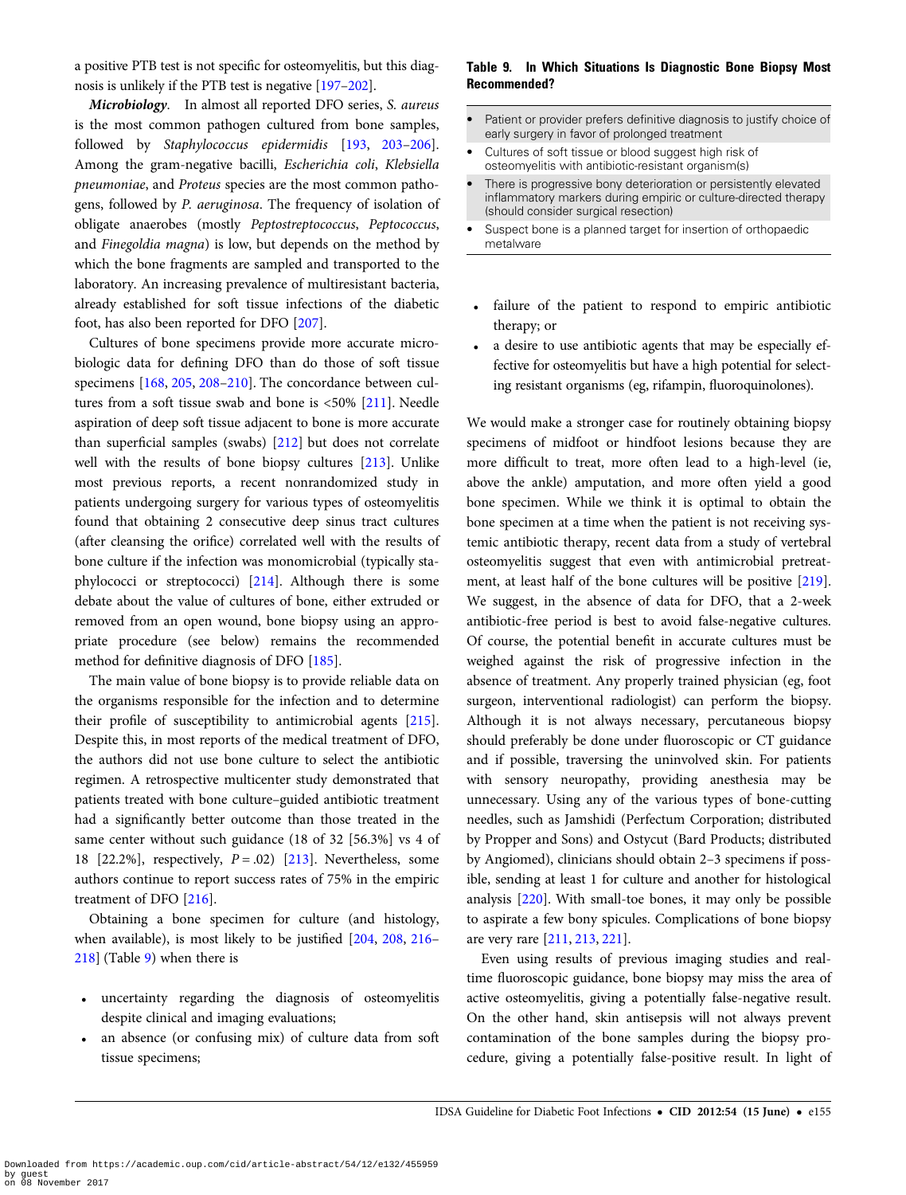<span id="page-23-0"></span>a positive PTB test is not specific for osteomyelitis, but this diagnosis is unlikely if the PTB test is negative [\[197](#page-37-0)–[202\]](#page-37-0).

Microbiology. In almost all reported DFO series, S. aureus is the most common pathogen cultured from bone samples, followed by Staphylococcus epidermidis [[193](#page-37-0), [203](#page-37-0)–[206\]](#page-37-0). Among the gram-negative bacilli, Escherichia coli, Klebsiella pneumoniae, and Proteus species are the most common pathogens, followed by P. aeruginosa. The frequency of isolation of obligate anaerobes (mostly Peptostreptococcus, Peptococcus, and Finegoldia magna) is low, but depends on the method by which the bone fragments are sampled and transported to the laboratory. An increasing prevalence of multiresistant bacteria, already established for soft tissue infections of the diabetic foot, has also been reported for DFO [\[207\]](#page-38-0).

Cultures of bone specimens provide more accurate microbiologic data for defining DFO than do those of soft tissue specimens [\[168,](#page-37-0) [205](#page-37-0), [208](#page-38-0)–[210\]](#page-38-0). The concordance between cultures from a soft tissue swab and bone is <50% [\[211\]](#page-38-0). Needle aspiration of deep soft tissue adjacent to bone is more accurate than superficial samples (swabs) [[212](#page-38-0)] but does not correlate well with the results of bone biopsy cultures [\[213](#page-38-0)]. Unlike most previous reports, a recent nonrandomized study in patients undergoing surgery for various types of osteomyelitis found that obtaining 2 consecutive deep sinus tract cultures (after cleansing the orifice) correlated well with the results of bone culture if the infection was monomicrobial (typically staphylococci or streptococci) [\[214\]](#page-38-0). Although there is some debate about the value of cultures of bone, either extruded or removed from an open wound, bone biopsy using an appropriate procedure (see below) remains the recommended method for definitive diagnosis of DFO [\[185\]](#page-37-0).

The main value of bone biopsy is to provide reliable data on the organisms responsible for the infection and to determine their profile of susceptibility to antimicrobial agents [[215\]](#page-38-0). Despite this, in most reports of the medical treatment of DFO, the authors did not use bone culture to select the antibiotic regimen. A retrospective multicenter study demonstrated that patients treated with bone culture–guided antibiotic treatment had a significantly better outcome than those treated in the same center without such guidance (18 of 32 [56.3%] vs 4 of 18  $[22.2\%]$ , respectively,  $P = .02$ )  $[213]$ . Nevertheless, some authors continue to report success rates of 75% in the empiric treatment of DFO [\[216\]](#page-38-0).

Obtaining a bone specimen for culture (and histology, when available), is most likely to be justified [[204](#page-37-0), [208](#page-38-0), [216](#page-38-0)– [218\]](#page-38-0) (Table 9) when there is

- uncertainty regarding the diagnosis of osteomyelitis despite clinical and imaging evaluations;
- an absence (or confusing mix) of culture data from soft tissue specimens;

#### Table 9. In Which Situations Is Diagnostic Bone Biopsy Most Recommended?

- Patient or provider prefers definitive diagnosis to justify choice of early surgery in favor of prolonged treatment
- Cultures of soft tissue or blood suggest high risk of osteomyelitis with antibiotic-resistant organism(s)
- There is progressive bony deterioration or persistently elevated inflammatory markers during empiric or culture-directed therapy (should consider surgical resection)
- Suspect bone is a planned target for insertion of orthopaedic metalware
- failure of the patient to respond to empiric antibiotic therapy; or
- a desire to use antibiotic agents that may be especially effective for osteomyelitis but have a high potential for selecting resistant organisms (eg, rifampin, fluoroquinolones).

We would make a stronger case for routinely obtaining biopsy specimens of midfoot or hindfoot lesions because they are more difficult to treat, more often lead to a high-level (ie, above the ankle) amputation, and more often yield a good bone specimen. While we think it is optimal to obtain the bone specimen at a time when the patient is not receiving systemic antibiotic therapy, recent data from a study of vertebral osteomyelitis suggest that even with antimicrobial pretreatment, at least half of the bone cultures will be positive [[219\]](#page-38-0). We suggest, in the absence of data for DFO, that a 2-week antibiotic-free period is best to avoid false-negative cultures. Of course, the potential benefit in accurate cultures must be weighed against the risk of progressive infection in the absence of treatment. Any properly trained physician (eg, foot surgeon, interventional radiologist) can perform the biopsy. Although it is not always necessary, percutaneous biopsy should preferably be done under fluoroscopic or CT guidance and if possible, traversing the uninvolved skin. For patients with sensory neuropathy, providing anesthesia may be unnecessary. Using any of the various types of bone-cutting needles, such as Jamshidi (Perfectum Corporation; distributed by Propper and Sons) and Ostycut (Bard Products; distributed by Angiomed), clinicians should obtain 2–3 specimens if possible, sending at least 1 for culture and another for histological analysis [\[220\]](#page-38-0). With small-toe bones, it may only be possible to aspirate a few bony spicules. Complications of bone biopsy are very rare [\[211,](#page-38-0) [213,](#page-38-0) [221](#page-38-0)].

Even using results of previous imaging studies and realtime fluoroscopic guidance, bone biopsy may miss the area of active osteomyelitis, giving a potentially false-negative result. On the other hand, skin antisepsis will not always prevent contamination of the bone samples during the biopsy procedure, giving a potentially false-positive result. In light of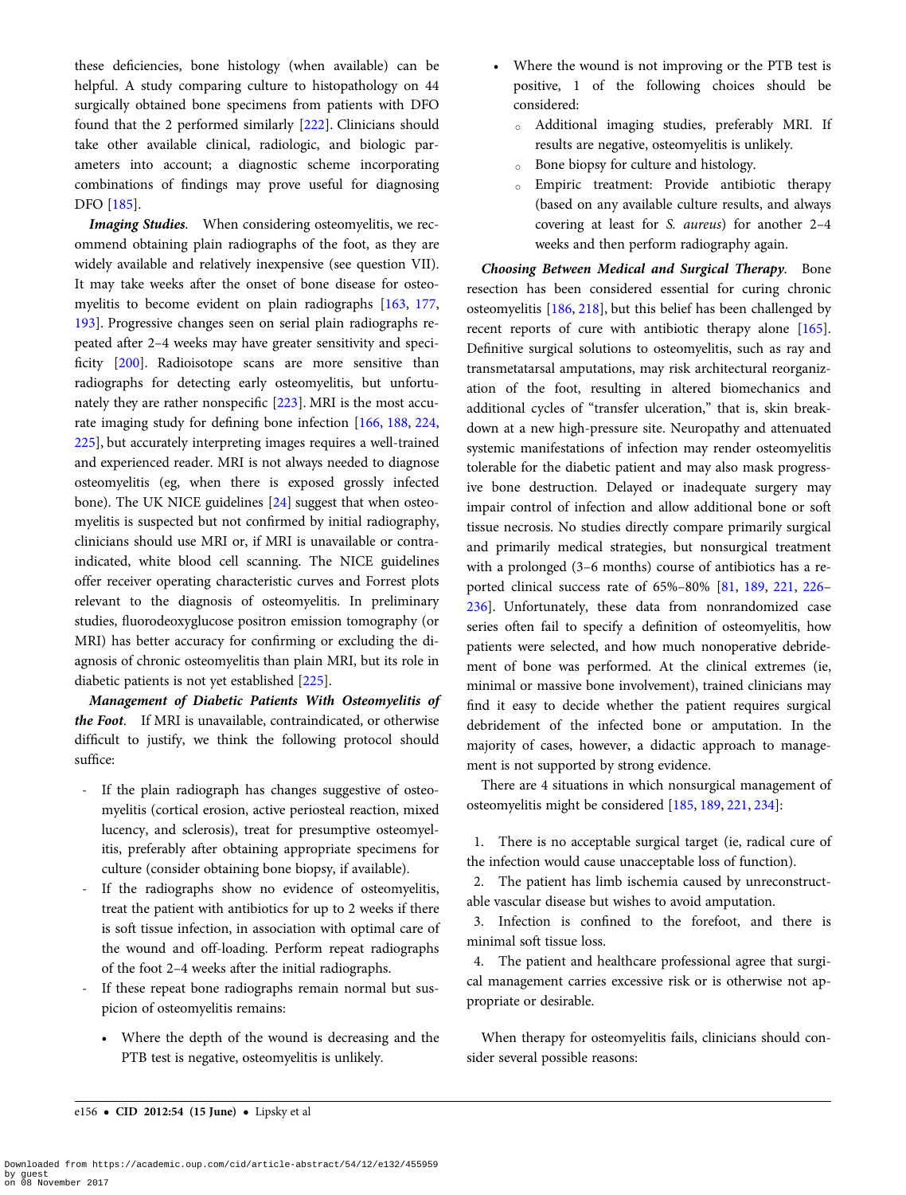these deficiencies, bone histology (when available) can be helpful. A study comparing culture to histopathology on 44 surgically obtained bone specimens from patients with DFO found that the 2 performed similarly [\[222\]](#page-38-0). Clinicians should take other available clinical, radiologic, and biologic parameters into account; a diagnostic scheme incorporating combinations of findings may prove useful for diagnosing DFO [[185](#page-37-0)].

Imaging Studies. When considering osteomyelitis, we recommend obtaining plain radiographs of the foot, as they are widely available and relatively inexpensive (see question VII). It may take weeks after the onset of bone disease for osteomyelitis to become evident on plain radiographs [\[163](#page-37-0), [177,](#page-37-0) [193\]](#page-37-0). Progressive changes seen on serial plain radiographs repeated after 2–4 weeks may have greater sensitivity and specificity [[200\]](#page-37-0). Radioisotope scans are more sensitive than radiographs for detecting early osteomyelitis, but unfortunately they are rather nonspecific [[223](#page-38-0)]. MRI is the most accurate imaging study for defining bone infection [\[166,](#page-37-0) [188](#page-37-0), [224,](#page-38-0) [225\]](#page-38-0), but accurately interpreting images requires a well-trained and experienced reader. MRI is not always needed to diagnose osteomyelitis (eg, when there is exposed grossly infected bone). The UK NICE guidelines [[24](#page-33-0)] suggest that when osteomyelitis is suspected but not confirmed by initial radiography, clinicians should use MRI or, if MRI is unavailable or contraindicated, white blood cell scanning. The NICE guidelines offer receiver operating characteristic curves and Forrest plots relevant to the diagnosis of osteomyelitis. In preliminary studies, fluorodeoxyglucose positron emission tomography (or MRI) has better accuracy for confirming or excluding the diagnosis of chronic osteomyelitis than plain MRI, but its role in diabetic patients is not yet established [[225](#page-38-0)].

Management of Diabetic Patients With Osteomyelitis of the Foot. If MRI is unavailable, contraindicated, or otherwise difficult to justify, we think the following protocol should suffice:

- If the plain radiograph has changes suggestive of osteomyelitis (cortical erosion, active periosteal reaction, mixed lucency, and sclerosis), treat for presumptive osteomyelitis, preferably after obtaining appropriate specimens for culture (consider obtaining bone biopsy, if available).
- If the radiographs show no evidence of osteomyelitis, treat the patient with antibiotics for up to 2 weeks if there is soft tissue infection, in association with optimal care of the wound and off-loading. Perform repeat radiographs of the foot 2–4 weeks after the initial radiographs.
- If these repeat bone radiographs remain normal but suspicion of osteomyelitis remains:
	- Where the depth of the wound is decreasing and the PTB test is negative, osteomyelitis is unlikely.
- Where the wound is not improving or the PTB test is positive, 1 of the following choices should be considered:
	- o Additional imaging studies, preferably MRI. If results are negative, osteomyelitis is unlikely.
	- o Bone biopsy for culture and histology.
	- Empiric treatment: Provide antibiotic therapy (based on any available culture results, and always covering at least for S. aureus) for another 2–4 weeks and then perform radiography again.

Choosing Between Medical and Surgical Therapy. Bone resection has been considered essential for curing chronic osteomyelitis [\[186,](#page-37-0) [218\]](#page-38-0), but this belief has been challenged by recent reports of cure with antibiotic therapy alone [[165\]](#page-37-0). Definitive surgical solutions to osteomyelitis, such as ray and transmetatarsal amputations, may risk architectural reorganization of the foot, resulting in altered biomechanics and additional cycles of "transfer ulceration," that is, skin breakdown at a new high-pressure site. Neuropathy and attenuated systemic manifestations of infection may render osteomyelitis tolerable for the diabetic patient and may also mask progressive bone destruction. Delayed or inadequate surgery may impair control of infection and allow additional bone or soft tissue necrosis. No studies directly compare primarily surgical and primarily medical strategies, but nonsurgical treatment with a prolonged (3–6 months) course of antibiotics has a reported clinical success rate of 65%–80% [[81](#page-34-0), [189](#page-37-0), [221,](#page-38-0) [226](#page-38-0)– [236\]](#page-38-0). Unfortunately, these data from nonrandomized case series often fail to specify a definition of osteomyelitis, how patients were selected, and how much nonoperative debridement of bone was performed. At the clinical extremes (ie, minimal or massive bone involvement), trained clinicians may find it easy to decide whether the patient requires surgical debridement of the infected bone or amputation. In the majority of cases, however, a didactic approach to management is not supported by strong evidence.

There are 4 situations in which nonsurgical management of osteomyelitis might be considered [\[185,](#page-37-0) [189,](#page-37-0) [221](#page-38-0), [234\]](#page-38-0):

1. There is no acceptable surgical target (ie, radical cure of the infection would cause unacceptable loss of function).

2. The patient has limb ischemia caused by unreconstructable vascular disease but wishes to avoid amputation.

3. Infection is confined to the forefoot, and there is minimal soft tissue loss.

4. The patient and healthcare professional agree that surgical management carries excessive risk or is otherwise not appropriate or desirable.

When therapy for osteomyelitis fails, clinicians should consider several possible reasons: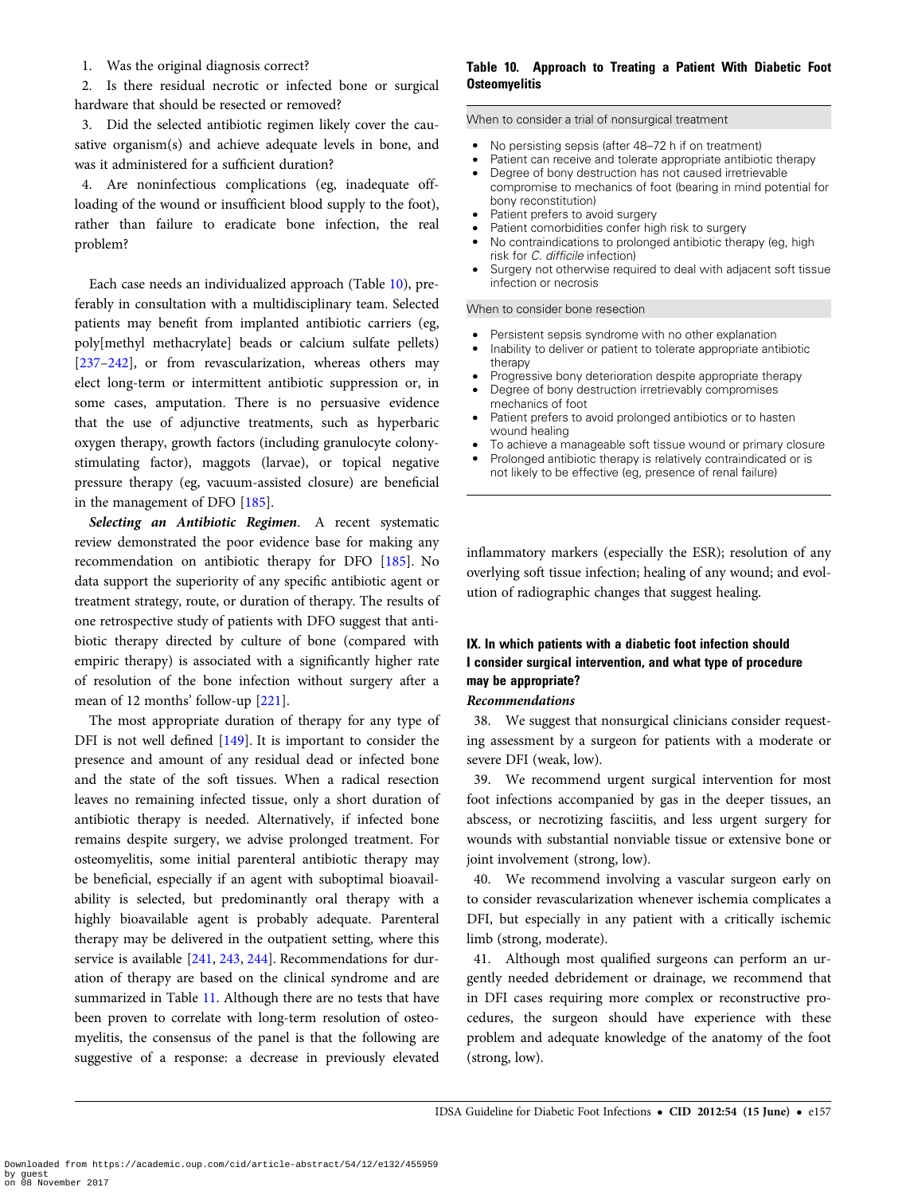1. Was the original diagnosis correct?

2. Is there residual necrotic or infected bone or surgical hardware that should be resected or removed?

3. Did the selected antibiotic regimen likely cover the causative organism(s) and achieve adequate levels in bone, and was it administered for a sufficient duration?

4. Are noninfectious complications (eg, inadequate offloading of the wound or insufficient blood supply to the foot), rather than failure to eradicate bone infection, the real problem?

Each case needs an individualized approach (Table 10), preferably in consultation with a multidisciplinary team. Selected patients may benefit from implanted antibiotic carriers (eg, poly[methyl methacrylate] beads or calcium sulfate pellets) [\[237](#page-38-0)–[242](#page-38-0)], or from revascularization, whereas others may elect long-term or intermittent antibiotic suppression or, in some cases, amputation. There is no persuasive evidence that the use of adjunctive treatments, such as hyperbaric oxygen therapy, growth factors (including granulocyte colonystimulating factor), maggots (larvae), or topical negative pressure therapy (eg, vacuum-assisted closure) are beneficial in the management of DFO [[185](#page-37-0)].

Selecting an Antibiotic Regimen. A recent systematic review demonstrated the poor evidence base for making any recommendation on antibiotic therapy for DFO [[185](#page-37-0)]. No data support the superiority of any specific antibiotic agent or treatment strategy, route, or duration of therapy. The results of one retrospective study of patients with DFO suggest that antibiotic therapy directed by culture of bone (compared with empiric therapy) is associated with a significantly higher rate of resolution of the bone infection without surgery after a mean of 12 months' follow-up [[221\]](#page-38-0).

The most appropriate duration of therapy for any type of DFI is not well defined [\[149](#page-36-0)]. It is important to consider the presence and amount of any residual dead or infected bone and the state of the soft tissues. When a radical resection leaves no remaining infected tissue, only a short duration of antibiotic therapy is needed. Alternatively, if infected bone remains despite surgery, we advise prolonged treatment. For osteomyelitis, some initial parenteral antibiotic therapy may be beneficial, especially if an agent with suboptimal bioavailability is selected, but predominantly oral therapy with a highly bioavailable agent is probably adequate. Parenteral therapy may be delivered in the outpatient setting, where this service is available [[241](#page-38-0), [243,](#page-38-0) [244\]](#page-38-0). Recommendations for duration of therapy are based on the clinical syndrome and are summarized in Table [11.](#page-26-0) Although there are no tests that have been proven to correlate with long-term resolution of osteomyelitis, the consensus of the panel is that the following are suggestive of a response: a decrease in previously elevated

#### Table 10. Approach to Treating a Patient With Diabetic Foot **Osteomyelitis**

When to consider a trial of nonsurgical treatment

- No persisting sepsis (after 48–72 h if on treatment)
- Patient can receive and tolerate appropriate antibiotic therapy • Degree of bony destruction has not caused irretrievable compromise to mechanics of foot (bearing in mind potential for
- bony reconstitution)
- Patient prefers to avoid surgery
- Patient comorbidities confer high risk to surgery
- No contraindications to prolonged antibiotic therapy (eg, high risk for C. difficile infection)
- Surgery not otherwise required to deal with adjacent soft tissue infection or necrosis

When to consider bone resection

- Persistent sepsis syndrome with no other explanation
- Inability to deliver or patient to tolerate appropriate antibiotic therapy
- Progressive bony deterioration despite appropriate therapy
- Degree of bony destruction irretrievably compromises mechanics of foot
- Patient prefers to avoid prolonged antibiotics or to hasten wound healing
- To achieve a manageable soft tissue wound or primary closure
- Prolonged antibiotic therapy is relatively contraindicated or is not likely to be effective (eg, presence of renal failure)

inflammatory markers (especially the ESR); resolution of any overlying soft tissue infection; healing of any wound; and evolution of radiographic changes that suggest healing.

# IX. In which patients with a diabetic foot infection should I consider surgical intervention, and what type of procedure may be appropriate?

#### Recommendations

38. We suggest that nonsurgical clinicians consider requesting assessment by a surgeon for patients with a moderate or severe DFI (weak, low).

39. We recommend urgent surgical intervention for most foot infections accompanied by gas in the deeper tissues, an abscess, or necrotizing fasciitis, and less urgent surgery for wounds with substantial nonviable tissue or extensive bone or joint involvement (strong, low).

40. We recommend involving a vascular surgeon early on to consider revascularization whenever ischemia complicates a DFI, but especially in any patient with a critically ischemic limb (strong, moderate).

41. Although most qualified surgeons can perform an urgently needed debridement or drainage, we recommend that in DFI cases requiring more complex or reconstructive procedures, the surgeon should have experience with these problem and adequate knowledge of the anatomy of the foot (strong, low).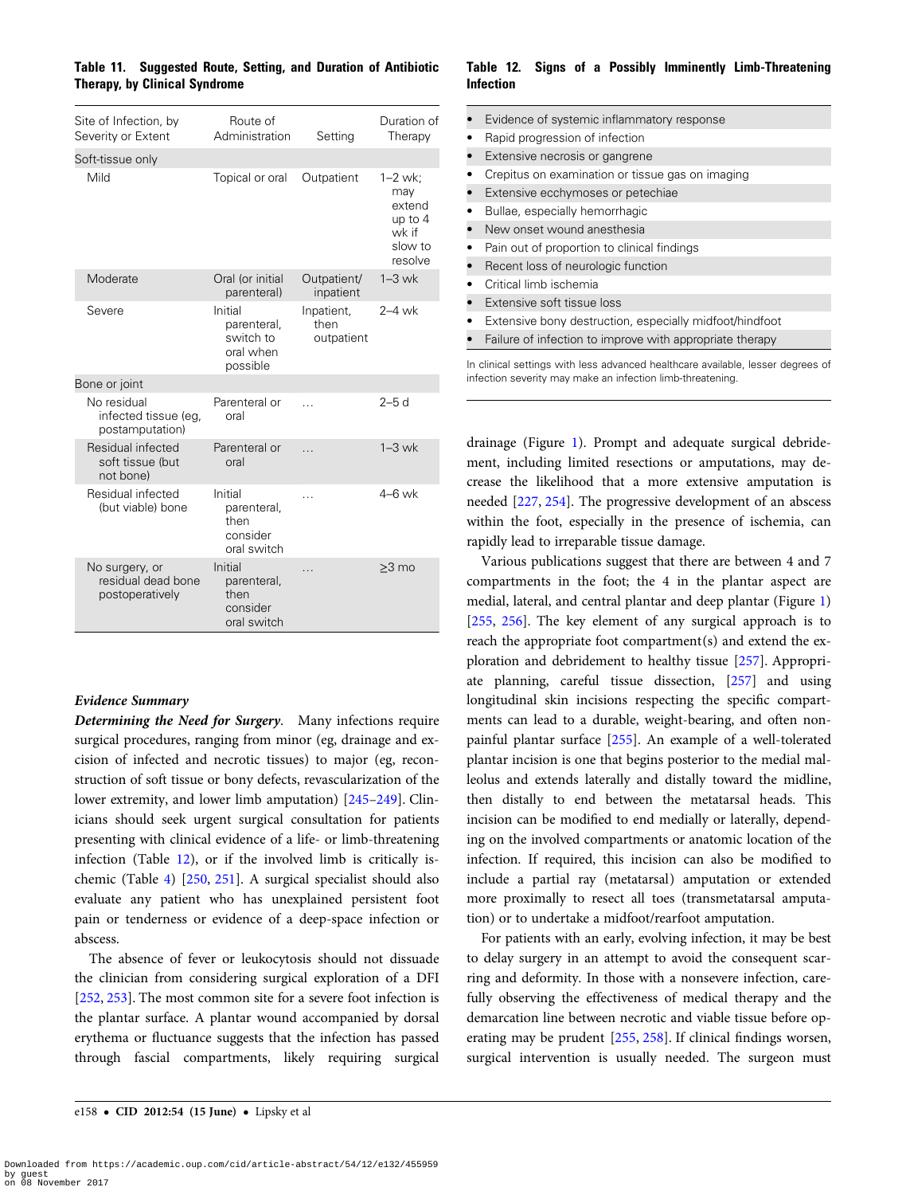| Site of Infection, by<br>Severity or Extent             | Route of<br>Administration                                   | Setting                          | Duration of<br>Therapy                                               |  |
|---------------------------------------------------------|--------------------------------------------------------------|----------------------------------|----------------------------------------------------------------------|--|
| Soft-tissue only                                        |                                                              |                                  |                                                                      |  |
| Mild                                                    | Topical or oral                                              | Outpatient                       | $1-2$ wk:<br>may<br>extend<br>up to 4<br>wk if<br>slow to<br>resolve |  |
| Moderate                                                | Oral (or initial<br>parenteral)                              | Outpatient/<br>inpatient         | $1-3$ wk                                                             |  |
| Severe                                                  | Initial<br>parenteral,<br>switch to<br>oral when<br>possible | Inpatient,<br>then<br>outpatient | $2-4$ wk                                                             |  |
| Bone or joint                                           |                                                              |                                  |                                                                      |  |
| No residual<br>infected tissue (eq.<br>postamputation)  | Parenteral or<br>oral                                        | .                                | $2-5d$                                                               |  |
| Residual infected<br>soft tissue (but<br>not bone)      | Parenteral or<br>oral                                        | .                                | $1-3$ wk                                                             |  |
| Residual infected<br>(but viable) bone                  | Initial<br>parenteral,<br>then<br>consider<br>oral switch    | $\cdots$                         | $4-6$ wk                                                             |  |
| No surgery, or<br>residual dead bone<br>postoperatively | Initial<br>parenteral,<br>then<br>consider<br>oral switch    | .                                | $>3$ mo                                                              |  |

<span id="page-26-0"></span>Table 11. Suggested Route, Setting, and Duration of Antibiotic Therapy, by Clinical Syndrome

#### Evidence Summary

Determining the Need for Surgery. Many infections require surgical procedures, ranging from minor (eg, drainage and excision of infected and necrotic tissues) to major (eg, reconstruction of soft tissue or bony defects, revascularization of the lower extremity, and lower limb amputation) [\[245](#page-38-0)–[249\]](#page-38-0). Clinicians should seek urgent surgical consultation for patients presenting with clinical evidence of a life- or limb-threatening infection (Table 12), or if the involved limb is critically ischemic (Table [4](#page-12-0)) [\[250,](#page-38-0) [251](#page-38-0)]. A surgical specialist should also evaluate any patient who has unexplained persistent foot pain or tenderness or evidence of a deep-space infection or abscess.

The absence of fever or leukocytosis should not dissuade the clinician from considering surgical exploration of a DFI [\[252,](#page-38-0) [253\]](#page-39-0). The most common site for a severe foot infection is the plantar surface. A plantar wound accompanied by dorsal erythema or fluctuance suggests that the infection has passed through fascial compartments, likely requiring surgical

e158 • CID 2012:54 (15 June) • Lipsky et al

#### Table 12. Signs of a Possibly Imminently Limb-Threatening Infection

| Evidence of systemic inflammatory response                                                                                                    |
|-----------------------------------------------------------------------------------------------------------------------------------------------|
| Rapid progression of infection                                                                                                                |
| Extensive necrosis or gangrene                                                                                                                |
| Crepitus on examination or tissue gas on imaging                                                                                              |
| Extensive ecchymoses or petechiae                                                                                                             |
| Bullae, especially hemorrhagic                                                                                                                |
| New onset wound anesthesia                                                                                                                    |
| Pain out of proportion to clinical findings                                                                                                   |
| Recent loss of neurologic function                                                                                                            |
| Critical limb ischemia                                                                                                                        |
| Extensive soft tissue loss                                                                                                                    |
| Extensive bony destruction, especially midfoot/hindfoot                                                                                       |
| Failure of infection to improve with appropriate therapy                                                                                      |
| In clinical settings with less advanced healthcare available, lesser degrees of<br>infection severity may make an infection limb-threatening. |

drainage (Figure [1](#page-27-0)). Prompt and adequate surgical debridement, including limited resections or amputations, may decrease the likelihood that a more extensive amputation is needed [\[227,](#page-38-0) [254](#page-39-0)]. The progressive development of an abscess within the foot, especially in the presence of ischemia, can rapidly lead to irreparable tissue damage.

Various publications suggest that there are between 4 and 7 compartments in the foot; the 4 in the plantar aspect are medial, lateral, and central plantar and deep plantar (Figure [1\)](#page-27-0) [\[255,](#page-39-0) [256\]](#page-39-0). The key element of any surgical approach is to reach the appropriate foot compartment(s) and extend the exploration and debridement to healthy tissue [\[257\]](#page-39-0). Appropriate planning, careful tissue dissection, [\[257\]](#page-39-0) and using longitudinal skin incisions respecting the specific compartments can lead to a durable, weight-bearing, and often nonpainful plantar surface [\[255\]](#page-39-0). An example of a well-tolerated plantar incision is one that begins posterior to the medial malleolus and extends laterally and distally toward the midline, then distally to end between the metatarsal heads. This incision can be modified to end medially or laterally, depending on the involved compartments or anatomic location of the infection. If required, this incision can also be modified to include a partial ray (metatarsal) amputation or extended more proximally to resect all toes (transmetatarsal amputation) or to undertake a midfoot/rearfoot amputation.

For patients with an early, evolving infection, it may be best to delay surgery in an attempt to avoid the consequent scarring and deformity. In those with a nonsevere infection, carefully observing the effectiveness of medical therapy and the demarcation line between necrotic and viable tissue before operating may be prudent [\[255,](#page-39-0) [258](#page-39-0)]. If clinical findings worsen, surgical intervention is usually needed. The surgeon must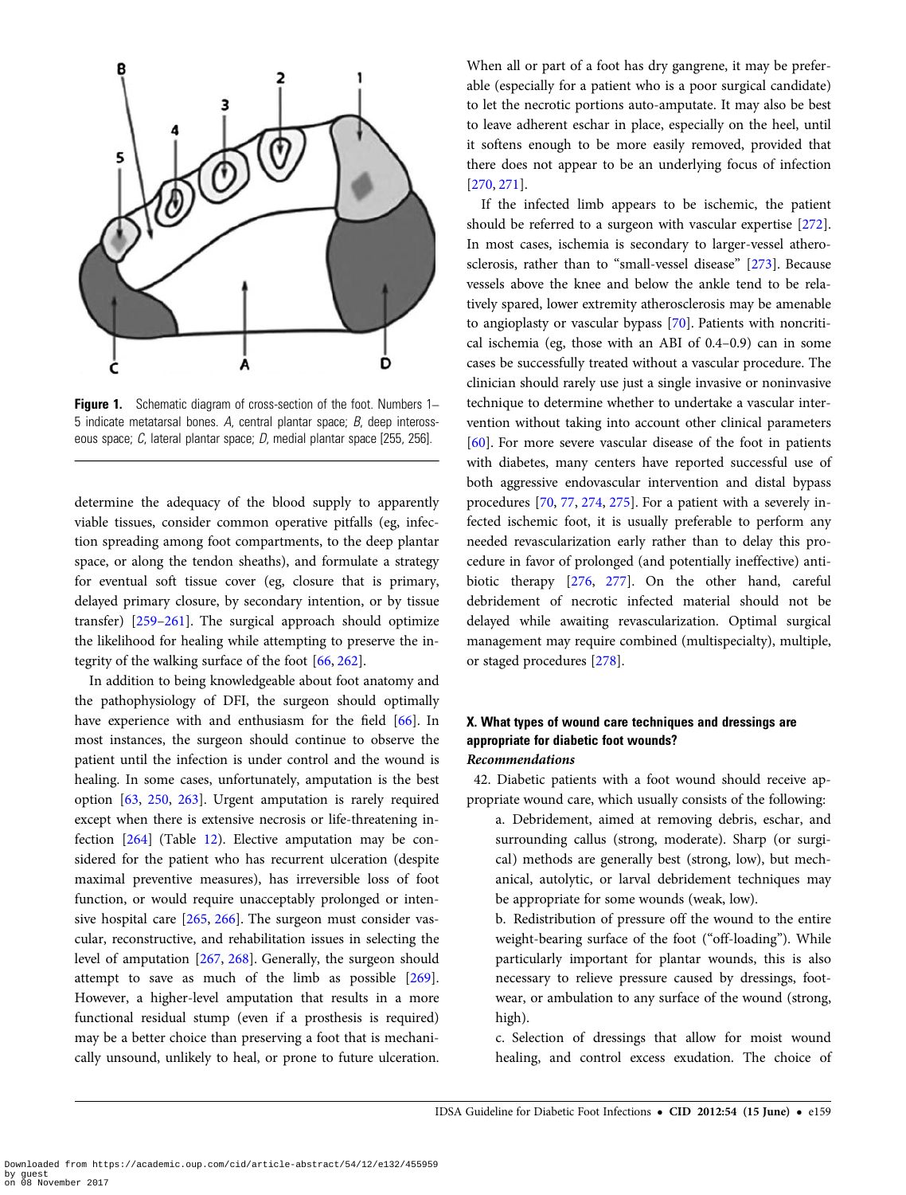<span id="page-27-0"></span>

Figure 1. Schematic diagram of cross-section of the foot. Numbers 1-5 indicate metatarsal bones. A, central plantar space; B, deep interosseous space; C, lateral plantar space; D, medial plantar space [255, 256].

determine the adequacy of the blood supply to apparently viable tissues, consider common operative pitfalls (eg, infection spreading among foot compartments, to the deep plantar space, or along the tendon sheaths), and formulate a strategy for eventual soft tissue cover (eg, closure that is primary, delayed primary closure, by secondary intention, or by tissue transfer) [\[259](#page-39-0)–[261\]](#page-39-0). The surgical approach should optimize the likelihood for healing while attempting to preserve the integrity of the walking surface of the foot [[66](#page-34-0), [262\]](#page-39-0).

In addition to being knowledgeable about foot anatomy and the pathophysiology of DFI, the surgeon should optimally have experience with and enthusiasm for the field [\[66](#page-34-0)]. In most instances, the surgeon should continue to observe the patient until the infection is under control and the wound is healing. In some cases, unfortunately, amputation is the best option [[63,](#page-34-0) [250,](#page-38-0) [263](#page-39-0)]. Urgent amputation is rarely required except when there is extensive necrosis or life-threatening infection  $[264]$  (Table [12\)](#page-26-0). Elective amputation may be considered for the patient who has recurrent ulceration (despite maximal preventive measures), has irreversible loss of foot function, or would require unacceptably prolonged or intensive hospital care [\[265,](#page-39-0) [266](#page-39-0)]. The surgeon must consider vascular, reconstructive, and rehabilitation issues in selecting the level of amputation [\[267,](#page-39-0) [268](#page-39-0)]. Generally, the surgeon should attempt to save as much of the limb as possible [[269\]](#page-39-0). However, a higher-level amputation that results in a more functional residual stump (even if a prosthesis is required) may be a better choice than preserving a foot that is mechanically unsound, unlikely to heal, or prone to future ulceration.

When all or part of a foot has dry gangrene, it may be preferable (especially for a patient who is a poor surgical candidate) to let the necrotic portions auto-amputate. It may also be best to leave adherent eschar in place, especially on the heel, until it softens enough to be more easily removed, provided that there does not appear to be an underlying focus of infection [\[270,](#page-39-0) [271\]](#page-39-0).

If the infected limb appears to be ischemic, the patient should be referred to a surgeon with vascular expertise [[272\]](#page-39-0). In most cases, ischemia is secondary to larger-vessel atherosclerosis, rather than to "small-vessel disease" [[273](#page-39-0)]. Because vessels above the knee and below the ankle tend to be relatively spared, lower extremity atherosclerosis may be amenable to angioplasty or vascular bypass [[70\]](#page-34-0). Patients with noncritical ischemia (eg, those with an ABI of 0.4–0.9) can in some cases be successfully treated without a vascular procedure. The clinician should rarely use just a single invasive or noninvasive technique to determine whether to undertake a vascular intervention without taking into account other clinical parameters [\[60](#page-34-0)]. For more severe vascular disease of the foot in patients with diabetes, many centers have reported successful use of both aggressive endovascular intervention and distal bypass procedures [[70](#page-34-0), [77,](#page-34-0) [274,](#page-39-0) [275](#page-39-0)]. For a patient with a severely infected ischemic foot, it is usually preferable to perform any needed revascularization early rather than to delay this procedure in favor of prolonged (and potentially ineffective) antibiotic therapy [\[276](#page-39-0), [277\]](#page-39-0). On the other hand, careful debridement of necrotic infected material should not be delayed while awaiting revascularization. Optimal surgical management may require combined (multispecialty), multiple, or staged procedures [[278](#page-39-0)].

#### X. What types of wound care techniques and dressings are appropriate for diabetic foot wounds? Recommendations

42. Diabetic patients with a foot wound should receive appropriate wound care, which usually consists of the following:

a. Debridement, aimed at removing debris, eschar, and surrounding callus (strong, moderate). Sharp (or surgical) methods are generally best (strong, low), but mechanical, autolytic, or larval debridement techniques may be appropriate for some wounds (weak, low).

b. Redistribution of pressure off the wound to the entire weight-bearing surface of the foot ("off-loading"). While particularly important for plantar wounds, this is also necessary to relieve pressure caused by dressings, footwear, or ambulation to any surface of the wound (strong, high).

c. Selection of dressings that allow for moist wound healing, and control excess exudation. The choice of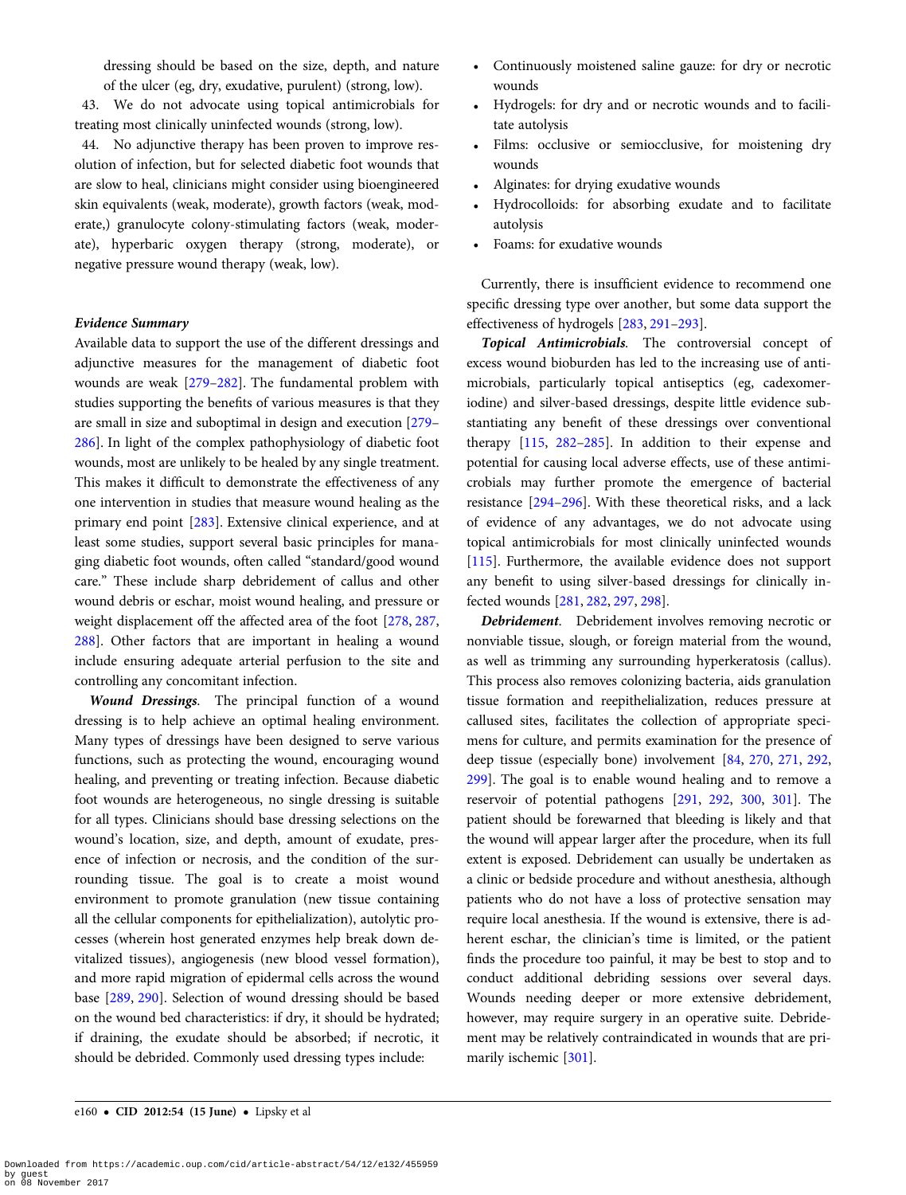dressing should be based on the size, depth, and nature of the ulcer (eg, dry, exudative, purulent) (strong, low).

43. We do not advocate using topical antimicrobials for treating most clinically uninfected wounds (strong, low).

44. No adjunctive therapy has been proven to improve resolution of infection, but for selected diabetic foot wounds that are slow to heal, clinicians might consider using bioengineered skin equivalents (weak, moderate), growth factors (weak, moderate,) granulocyte colony-stimulating factors (weak, moderate), hyperbaric oxygen therapy (strong, moderate), or negative pressure wound therapy (weak, low).

#### Evidence Summary

Available data to support the use of the different dressings and adjunctive measures for the management of diabetic foot wounds are weak [[279](#page-39-0)–[282\]](#page-39-0). The fundamental problem with studies supporting the benefits of various measures is that they are small in size and suboptimal in design and execution [\[279](#page-39-0)– [286\]](#page-39-0). In light of the complex pathophysiology of diabetic foot wounds, most are unlikely to be healed by any single treatment. This makes it difficult to demonstrate the effectiveness of any one intervention in studies that measure wound healing as the primary end point [\[283\]](#page-39-0). Extensive clinical experience, and at least some studies, support several basic principles for managing diabetic foot wounds, often called "standard/good wound care." These include sharp debridement of callus and other wound debris or eschar, moist wound healing, and pressure or weight displacement off the affected area of the foot [\[278,](#page-39-0) [287,](#page-39-0) [288\]](#page-39-0). Other factors that are important in healing a wound include ensuring adequate arterial perfusion to the site and controlling any concomitant infection.

Wound Dressings. The principal function of a wound dressing is to help achieve an optimal healing environment. Many types of dressings have been designed to serve various functions, such as protecting the wound, encouraging wound healing, and preventing or treating infection. Because diabetic foot wounds are heterogeneous, no single dressing is suitable for all types. Clinicians should base dressing selections on the wound's location, size, and depth, amount of exudate, presence of infection or necrosis, and the condition of the surrounding tissue. The goal is to create a moist wound environment to promote granulation (new tissue containing all the cellular components for epithelialization), autolytic processes (wherein host generated enzymes help break down devitalized tissues), angiogenesis (new blood vessel formation), and more rapid migration of epidermal cells across the wound base [[289,](#page-39-0) [290](#page-39-0)]. Selection of wound dressing should be based on the wound bed characteristics: if dry, it should be hydrated; if draining, the exudate should be absorbed; if necrotic, it should be debrided. Commonly used dressing types include:

- Continuously moistened saline gauze: for dry or necrotic wounds
- Hydrogels: for dry and or necrotic wounds and to facilitate autolysis
- Films: occlusive or semiocclusive, for moistening dry wounds
- Alginates: for drying exudative wounds
- Hydrocolloids: for absorbing exudate and to facilitate autolysis
- Foams: for exudative wounds

Currently, there is insufficient evidence to recommend one specific dressing type over another, but some data support the effectiveness of hydrogels [\[283,](#page-39-0) [291](#page-39-0)–[293](#page-39-0)].

Topical Antimicrobials. The controversial concept of excess wound bioburden has led to the increasing use of antimicrobials, particularly topical antiseptics (eg, cadexomeriodine) and silver-based dressings, despite little evidence substantiating any benefit of these dressings over conventional therapy [[115](#page-35-0), [282](#page-39-0)–[285\]](#page-39-0). In addition to their expense and potential for causing local adverse effects, use of these antimicrobials may further promote the emergence of bacterial resistance [[294](#page-39-0)–[296\]](#page-39-0). With these theoretical risks, and a lack of evidence of any advantages, we do not advocate using topical antimicrobials for most clinically uninfected wounds [\[115\]](#page-35-0). Furthermore, the available evidence does not support any benefit to using silver-based dressings for clinically infected wounds [[281](#page-39-0), [282](#page-39-0), [297,](#page-39-0) [298\]](#page-39-0).

Debridement. Debridement involves removing necrotic or nonviable tissue, slough, or foreign material from the wound, as well as trimming any surrounding hyperkeratosis (callus). This process also removes colonizing bacteria, aids granulation tissue formation and reepithelialization, reduces pressure at callused sites, facilitates the collection of appropriate specimens for culture, and permits examination for the presence of deep tissue (especially bone) involvement [[84,](#page-35-0) [270,](#page-39-0) [271,](#page-39-0) [292,](#page-39-0) [299\]](#page-39-0). The goal is to enable wound healing and to remove a reservoir of potential pathogens [\[291,](#page-39-0) [292](#page-39-0), [300](#page-39-0), [301\]](#page-40-0). The patient should be forewarned that bleeding is likely and that the wound will appear larger after the procedure, when its full extent is exposed. Debridement can usually be undertaken as a clinic or bedside procedure and without anesthesia, although patients who do not have a loss of protective sensation may require local anesthesia. If the wound is extensive, there is adherent eschar, the clinician's time is limited, or the patient finds the procedure too painful, it may be best to stop and to conduct additional debriding sessions over several days. Wounds needing deeper or more extensive debridement, however, may require surgery in an operative suite. Debridement may be relatively contraindicated in wounds that are primarily ischemic [\[301\]](#page-40-0).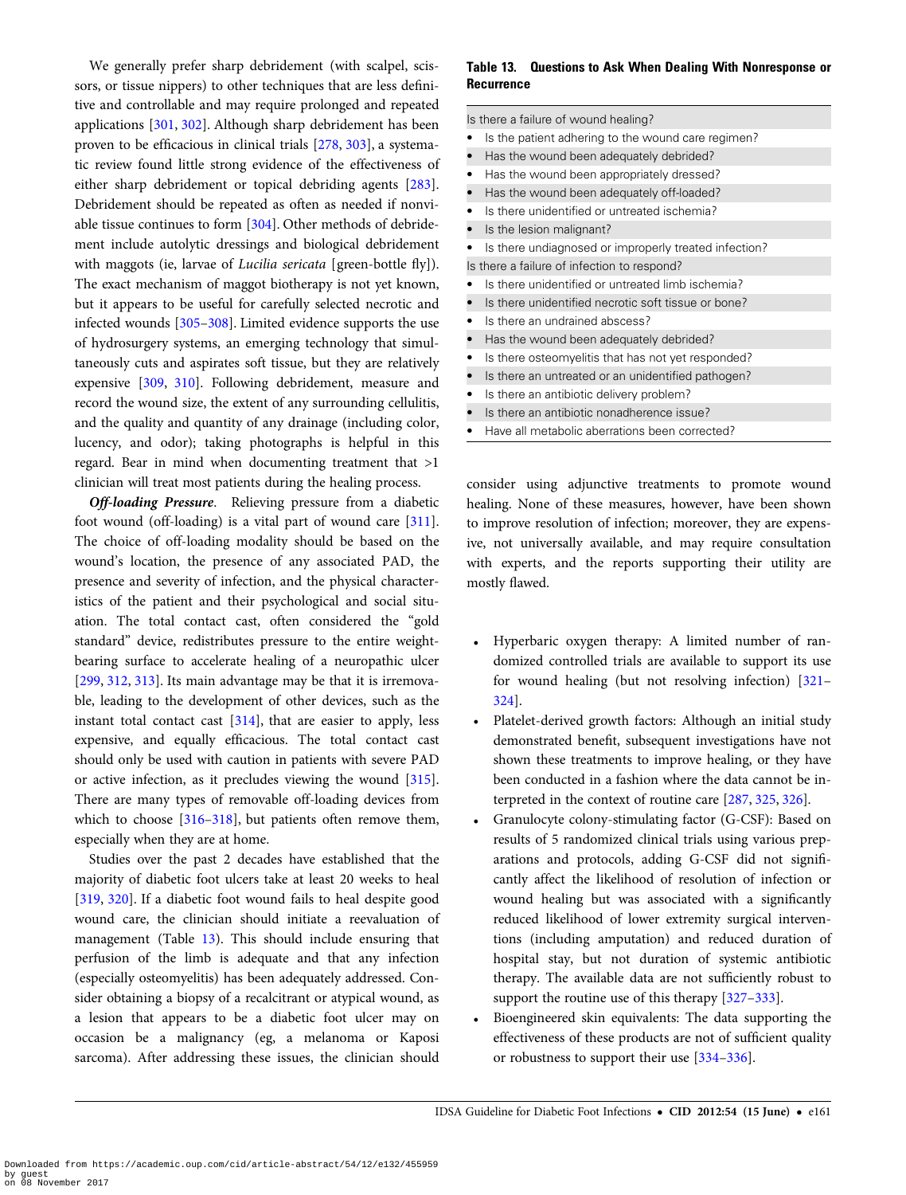We generally prefer sharp debridement (with scalpel, scissors, or tissue nippers) to other techniques that are less definitive and controllable and may require prolonged and repeated applications [[301](#page-40-0), [302](#page-40-0)]. Although sharp debridement has been proven to be efficacious in clinical trials [[278](#page-39-0), [303](#page-40-0)], a systematic review found little strong evidence of the effectiveness of either sharp debridement or topical debriding agents [[283\]](#page-39-0). Debridement should be repeated as often as needed if nonviable tissue continues to form [[304](#page-40-0)]. Other methods of debridement include autolytic dressings and biological debridement with maggots (ie, larvae of *Lucilia sericata* [green-bottle fly]). The exact mechanism of maggot biotherapy is not yet known, but it appears to be useful for carefully selected necrotic and infected wounds [[305](#page-40-0)–[308\]](#page-40-0). Limited evidence supports the use of hydrosurgery systems, an emerging technology that simultaneously cuts and aspirates soft tissue, but they are relatively expensive [[309,](#page-40-0) [310\]](#page-40-0). Following debridement, measure and record the wound size, the extent of any surrounding cellulitis, and the quality and quantity of any drainage (including color, lucency, and odor); taking photographs is helpful in this regard. Bear in mind when documenting treatment that >1 clinician will treat most patients during the healing process.

Off-loading Pressure. Relieving pressure from a diabetic foot wound (off-loading) is a vital part of wound care [[311\]](#page-40-0). The choice of off-loading modality should be based on the wound's location, the presence of any associated PAD, the presence and severity of infection, and the physical characteristics of the patient and their psychological and social situation. The total contact cast, often considered the "gold standard" device, redistributes pressure to the entire weightbearing surface to accelerate healing of a neuropathic ulcer [\[299,](#page-39-0) [312,](#page-40-0) [313\]](#page-40-0). Its main advantage may be that it is irremovable, leading to the development of other devices, such as the instant total contact cast [[314\]](#page-40-0), that are easier to apply, less expensive, and equally efficacious. The total contact cast should only be used with caution in patients with severe PAD or active infection, as it precludes viewing the wound [[315\]](#page-40-0). There are many types of removable off-loading devices from which to choose [\[316](#page-40-0)-[318\]](#page-40-0), but patients often remove them, especially when they are at home.

Studies over the past 2 decades have established that the majority of diabetic foot ulcers take at least 20 weeks to heal [\[319,](#page-40-0) [320](#page-40-0)]. If a diabetic foot wound fails to heal despite good wound care, the clinician should initiate a reevaluation of management (Table 13). This should include ensuring that perfusion of the limb is adequate and that any infection (especially osteomyelitis) has been adequately addressed. Consider obtaining a biopsy of a recalcitrant or atypical wound, as a lesion that appears to be a diabetic foot ulcer may on occasion be a malignancy (eg, a melanoma or Kaposi sarcoma). After addressing these issues, the clinician should

#### Table 13. Questions to Ask When Dealing With Nonresponse or **Recurrence**

Is there a failure of wound healing?

- Is the patient adhering to the wound care regimen?
- Has the wound been adequately debrided?
- Has the wound been appropriately dressed?
- Has the wound been adequately off-loaded?
- Is there unidentified or untreated ischemia?
- Is the lesion malignant?

• Is there undiagnosed or improperly treated infection? Is there a failure of infection to respond?

- Is there unidentified or untreated limb ischemia?
- Is there unidentified necrotic soft tissue or bone?
- Is there an undrained abscess?
- Has the wound been adequately debrided?
- Is there osteomyelitis that has not yet responded?
- Is there an untreated or an unidentified pathogen?
- Is there an antibiotic delivery problem?
- Is there an antibiotic nonadherence issue?
- Have all metabolic aberrations been corrected?

consider using adjunctive treatments to promote wound healing. None of these measures, however, have been shown to improve resolution of infection; moreover, they are expensive, not universally available, and may require consultation with experts, and the reports supporting their utility are mostly flawed.

- Hyperbaric oxygen therapy: A limited number of randomized controlled trials are available to support its use for wound healing (but not resolving infection) [\[321](#page-40-0)– [324](#page-40-0)].
- Platelet-derived growth factors: Although an initial study demonstrated benefit, subsequent investigations have not shown these treatments to improve healing, or they have been conducted in a fashion where the data cannot be interpreted in the context of routine care [\[287,](#page-39-0) [325,](#page-40-0) [326](#page-40-0)].
- Granulocyte colony-stimulating factor (G-CSF): Based on results of 5 randomized clinical trials using various preparations and protocols, adding G-CSF did not significantly affect the likelihood of resolution of infection or wound healing but was associated with a significantly reduced likelihood of lower extremity surgical interventions (including amputation) and reduced duration of hospital stay, but not duration of systemic antibiotic therapy. The available data are not sufficiently robust to support the routine use of this therapy [\[327](#page-40-0)–[333](#page-40-0)].
- Bioengineered skin equivalents: The data supporting the effectiveness of these products are not of sufficient quality or robustness to support their use [[334](#page-40-0)–[336](#page-40-0)].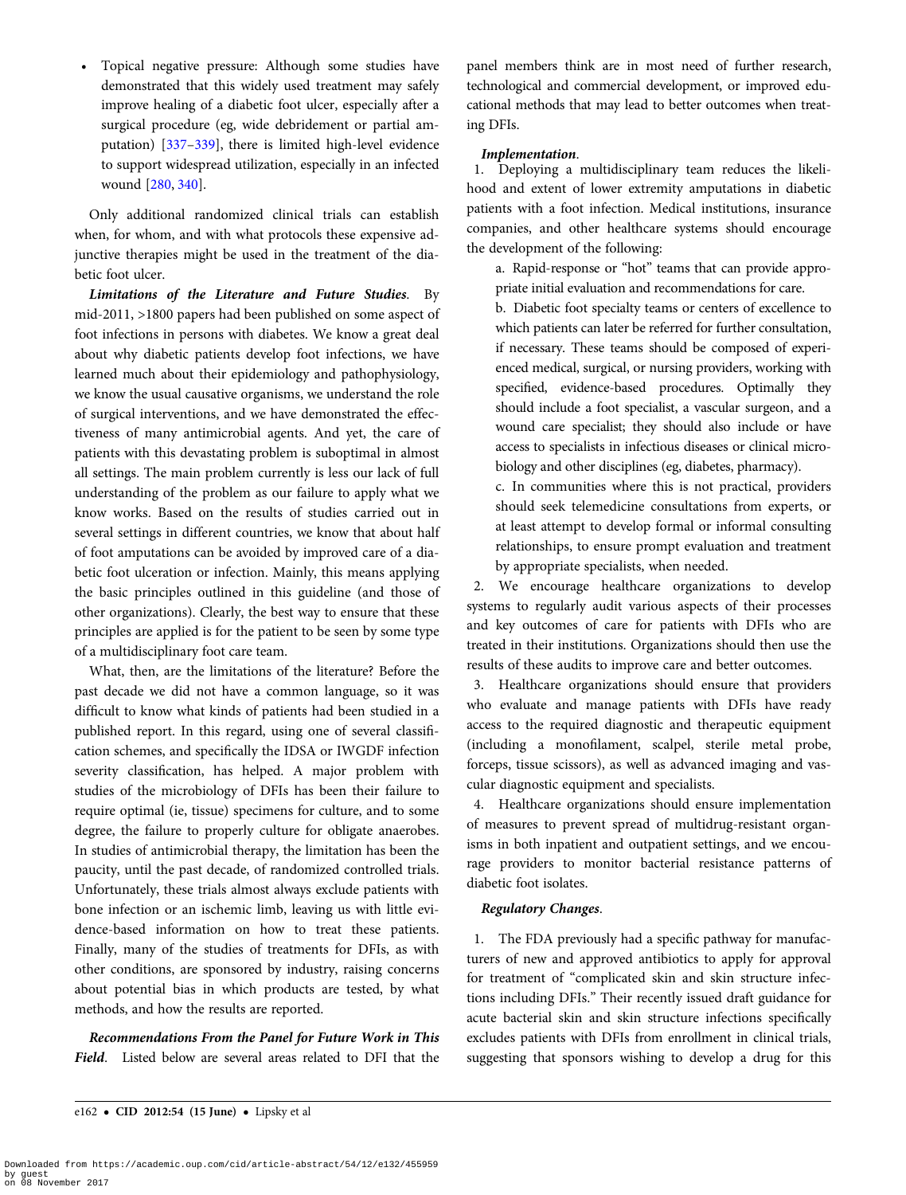• Topical negative pressure: Although some studies have demonstrated that this widely used treatment may safely improve healing of a diabetic foot ulcer, especially after a surgical procedure (eg, wide debridement or partial amputation) [[337](#page-40-0)–[339](#page-40-0)], there is limited high-level evidence to support widespread utilization, especially in an infected wound [[280](#page-39-0), [340\]](#page-40-0).

Only additional randomized clinical trials can establish when, for whom, and with what protocols these expensive adjunctive therapies might be used in the treatment of the diabetic foot ulcer.

Limitations of the Literature and Future Studies. By mid-2011, >1800 papers had been published on some aspect of foot infections in persons with diabetes. We know a great deal about why diabetic patients develop foot infections, we have learned much about their epidemiology and pathophysiology, we know the usual causative organisms, we understand the role of surgical interventions, and we have demonstrated the effectiveness of many antimicrobial agents. And yet, the care of patients with this devastating problem is suboptimal in almost all settings. The main problem currently is less our lack of full understanding of the problem as our failure to apply what we know works. Based on the results of studies carried out in several settings in different countries, we know that about half of foot amputations can be avoided by improved care of a diabetic foot ulceration or infection. Mainly, this means applying the basic principles outlined in this guideline (and those of other organizations). Clearly, the best way to ensure that these principles are applied is for the patient to be seen by some type of a multidisciplinary foot care team.

What, then, are the limitations of the literature? Before the past decade we did not have a common language, so it was difficult to know what kinds of patients had been studied in a published report. In this regard, using one of several classification schemes, and specifically the IDSA or IWGDF infection severity classification, has helped. A major problem with studies of the microbiology of DFIs has been their failure to require optimal (ie, tissue) specimens for culture, and to some degree, the failure to properly culture for obligate anaerobes. In studies of antimicrobial therapy, the limitation has been the paucity, until the past decade, of randomized controlled trials. Unfortunately, these trials almost always exclude patients with bone infection or an ischemic limb, leaving us with little evidence-based information on how to treat these patients. Finally, many of the studies of treatments for DFIs, as with other conditions, are sponsored by industry, raising concerns about potential bias in which products are tested, by what methods, and how the results are reported.

Recommendations From the Panel for Future Work in This Field. Listed below are several areas related to DFI that the

panel members think are in most need of further research, technological and commercial development, or improved educational methods that may lead to better outcomes when treating DFIs.

#### Implementation.

1. Deploying a multidisciplinary team reduces the likelihood and extent of lower extremity amputations in diabetic patients with a foot infection. Medical institutions, insurance companies, and other healthcare systems should encourage the development of the following:

a. Rapid-response or "hot" teams that can provide appropriate initial evaluation and recommendations for care.

b. Diabetic foot specialty teams or centers of excellence to which patients can later be referred for further consultation, if necessary. These teams should be composed of experienced medical, surgical, or nursing providers, working with specified, evidence-based procedures. Optimally they should include a foot specialist, a vascular surgeon, and a wound care specialist; they should also include or have access to specialists in infectious diseases or clinical microbiology and other disciplines (eg, diabetes, pharmacy).

c. In communities where this is not practical, providers should seek telemedicine consultations from experts, or at least attempt to develop formal or informal consulting relationships, to ensure prompt evaluation and treatment by appropriate specialists, when needed.

2. We encourage healthcare organizations to develop systems to regularly audit various aspects of their processes and key outcomes of care for patients with DFIs who are treated in their institutions. Organizations should then use the results of these audits to improve care and better outcomes.

3. Healthcare organizations should ensure that providers who evaluate and manage patients with DFIs have ready access to the required diagnostic and therapeutic equipment (including a monofilament, scalpel, sterile metal probe, forceps, tissue scissors), as well as advanced imaging and vascular diagnostic equipment and specialists.

4. Healthcare organizations should ensure implementation of measures to prevent spread of multidrug-resistant organisms in both inpatient and outpatient settings, and we encourage providers to monitor bacterial resistance patterns of diabetic foot isolates.

#### Regulatory Changes.

1. The FDA previously had a specific pathway for manufacturers of new and approved antibiotics to apply for approval for treatment of "complicated skin and skin structure infections including DFIs." Their recently issued draft guidance for acute bacterial skin and skin structure infections specifically excludes patients with DFIs from enrollment in clinical trials, suggesting that sponsors wishing to develop a drug for this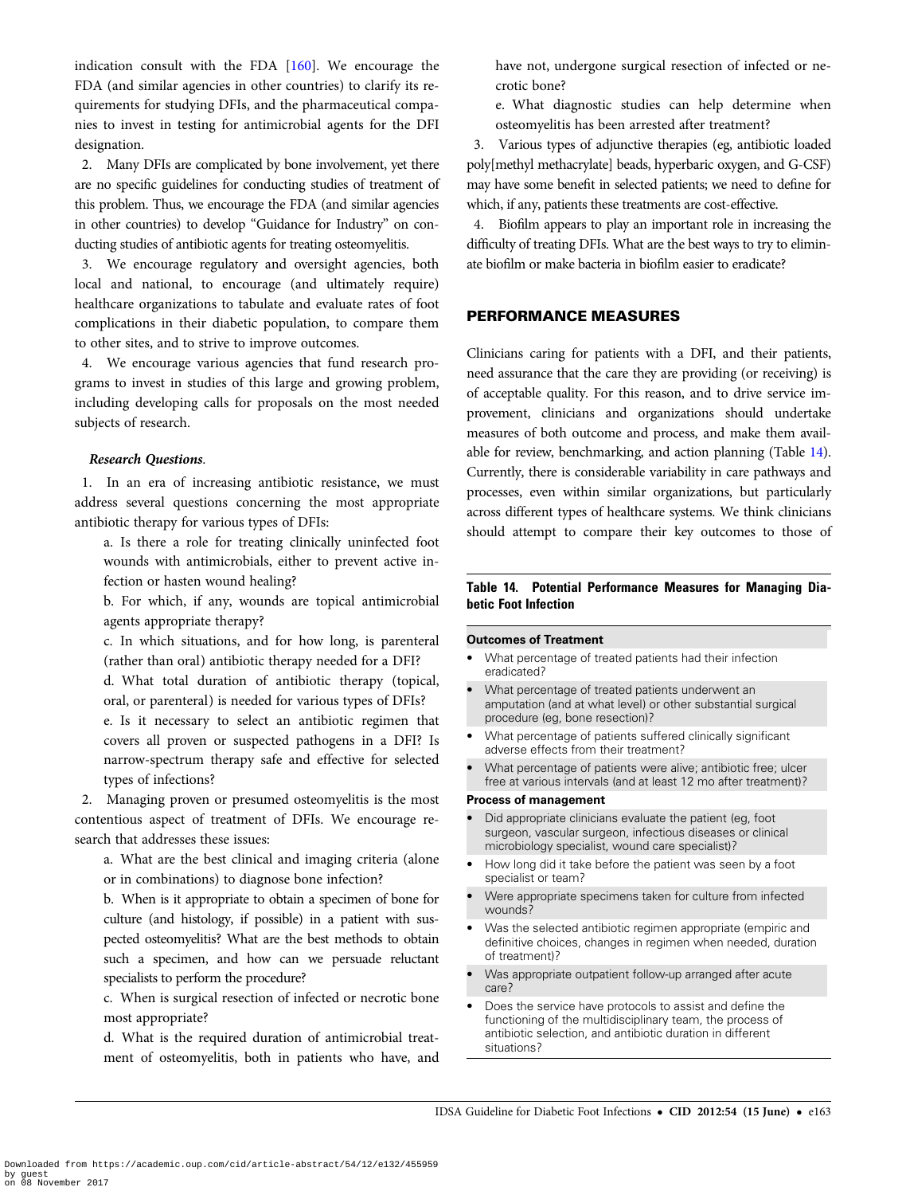indication consult with the FDA [\[160](#page-36-0)]. We encourage the FDA (and similar agencies in other countries) to clarify its requirements for studying DFIs, and the pharmaceutical companies to invest in testing for antimicrobial agents for the DFI designation.

2. Many DFIs are complicated by bone involvement, yet there are no specific guidelines for conducting studies of treatment of this problem. Thus, we encourage the FDA (and similar agencies in other countries) to develop "Guidance for Industry" on conducting studies of antibiotic agents for treating osteomyelitis.

3. We encourage regulatory and oversight agencies, both local and national, to encourage (and ultimately require) healthcare organizations to tabulate and evaluate rates of foot complications in their diabetic population, to compare them to other sites, and to strive to improve outcomes.

4. We encourage various agencies that fund research programs to invest in studies of this large and growing problem, including developing calls for proposals on the most needed subjects of research.

#### Research Questions.

1. In an era of increasing antibiotic resistance, we must address several questions concerning the most appropriate antibiotic therapy for various types of DFIs:

- a. Is there a role for treating clinically uninfected foot wounds with antimicrobials, either to prevent active infection or hasten wound healing?
- b. For which, if any, wounds are topical antimicrobial agents appropriate therapy?
- c. In which situations, and for how long, is parenteral (rather than oral) antibiotic therapy needed for a DFI?

d. What total duration of antibiotic therapy (topical, oral, or parenteral) is needed for various types of DFIs?

e. Is it necessary to select an antibiotic regimen that covers all proven or suspected pathogens in a DFI? Is narrow-spectrum therapy safe and effective for selected types of infections?

2. Managing proven or presumed osteomyelitis is the most contentious aspect of treatment of DFIs. We encourage research that addresses these issues:

a. What are the best clinical and imaging criteria (alone or in combinations) to diagnose bone infection?

b. When is it appropriate to obtain a specimen of bone for culture (and histology, if possible) in a patient with suspected osteomyelitis? What are the best methods to obtain such a specimen, and how can we persuade reluctant specialists to perform the procedure?

c. When is surgical resection of infected or necrotic bone most appropriate?

d. What is the required duration of antimicrobial treatment of osteomyelitis, both in patients who have, and have not, undergone surgical resection of infected or necrotic bone?

e. What diagnostic studies can help determine when osteomyelitis has been arrested after treatment?

3. Various types of adjunctive therapies (eg, antibiotic loaded poly[methyl methacrylate] beads, hyperbaric oxygen, and G-CSF) may have some benefit in selected patients; we need to define for which, if any, patients these treatments are cost-effective.

4. Biofilm appears to play an important role in increasing the difficulty of treating DFIs. What are the best ways to try to eliminate biofilm or make bacteria in biofilm easier to eradicate?

#### PERFORMANCE MEASURES

Clinicians caring for patients with a DFI, and their patients, need assurance that the care they are providing (or receiving) is of acceptable quality. For this reason, and to drive service improvement, clinicians and organizations should undertake measures of both outcome and process, and make them available for review, benchmarking, and action planning (Table 14). Currently, there is considerable variability in care pathways and processes, even within similar organizations, but particularly across different types of healthcare systems. We think clinicians should attempt to compare their key outcomes to those of

#### Table 14. Potential Performance Measures for Managing Diabetic Foot Infection

#### Outcomes of Treatment

- What percentage of treated patients had their infection eradicated?
- What percentage of treated patients underwent an amputation (and at what level) or other substantial surgical procedure (eg, bone resection)?
- What percentage of patients suffered clinically significant adverse effects from their treatment?
- What percentage of patients were alive; antibiotic free; ulcer free at various intervals (and at least 12 mo after treatment)?

#### Process of management

- Did appropriate clinicians evaluate the patient (eg, foot surgeon, vascular surgeon, infectious diseases or clinical microbiology specialist, wound care specialist)?
- How long did it take before the patient was seen by a foot specialist or team?
- Were appropriate specimens taken for culture from infected wounds?
- Was the selected antibiotic regimen appropriate (empiric and definitive choices, changes in regimen when needed, duration of treatment)?
- Was appropriate outpatient follow-up arranged after acute care?
- Does the service have protocols to assist and define the functioning of the multidisciplinary team, the process of antibiotic selection, and antibiotic duration in different situations?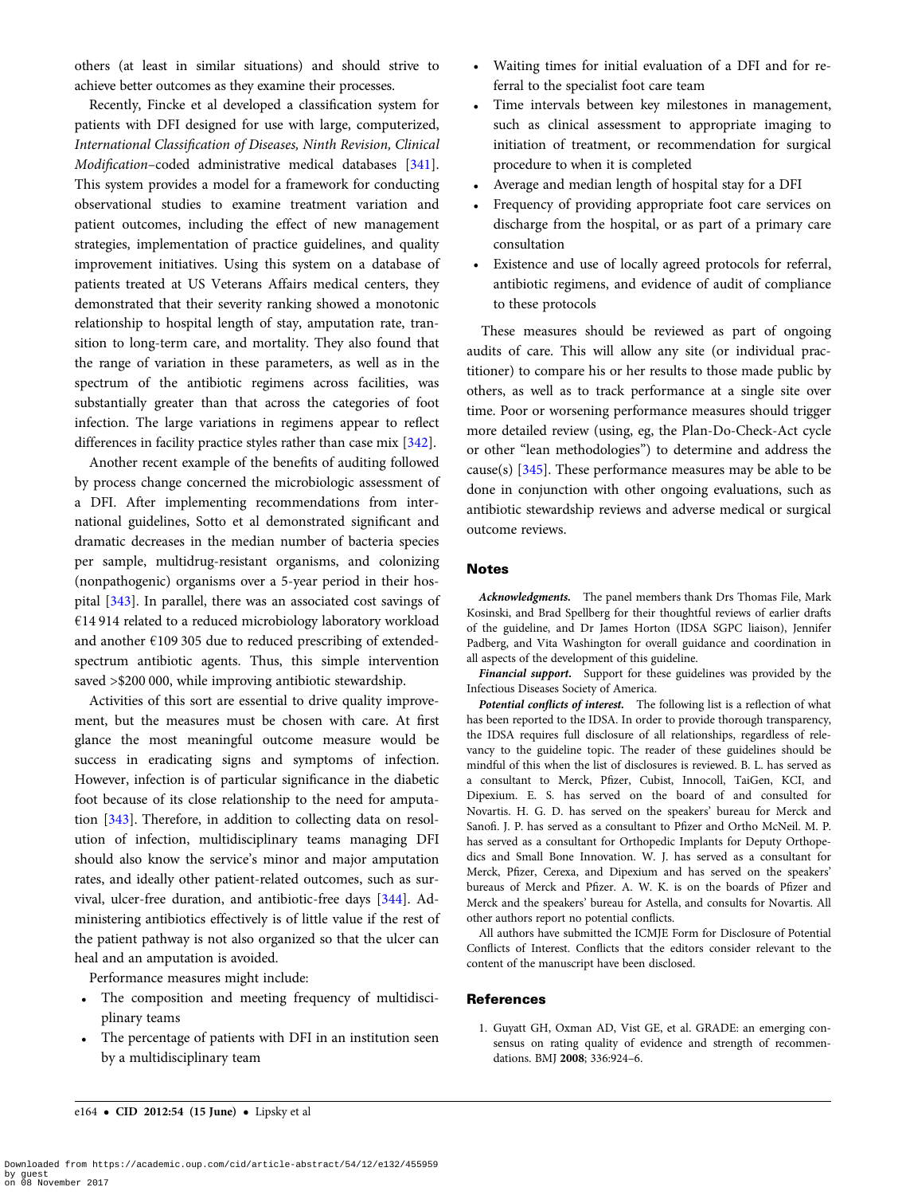<span id="page-32-0"></span>others (at least in similar situations) and should strive to achieve better outcomes as they examine their processes.

Recently, Fincke et al developed a classification system for patients with DFI designed for use with large, computerized, International Classification of Diseases, Ninth Revision, Clinical Modification–coded administrative medical databases [[341\]](#page-40-0). This system provides a model for a framework for conducting observational studies to examine treatment variation and patient outcomes, including the effect of new management strategies, implementation of practice guidelines, and quality improvement initiatives. Using this system on a database of patients treated at US Veterans Affairs medical centers, they demonstrated that their severity ranking showed a monotonic relationship to hospital length of stay, amputation rate, transition to long-term care, and mortality. They also found that the range of variation in these parameters, as well as in the spectrum of the antibiotic regimens across facilities, was substantially greater than that across the categories of foot infection. The large variations in regimens appear to reflect differences in facility practice styles rather than case mix [\[342\]](#page-41-0).

Another recent example of the benefits of auditing followed by process change concerned the microbiologic assessment of a DFI. After implementing recommendations from international guidelines, Sotto et al demonstrated significant and dramatic decreases in the median number of bacteria species per sample, multidrug-resistant organisms, and colonizing (nonpathogenic) organisms over a 5-year period in their hospital [\[343\]](#page-41-0). In parallel, there was an associated cost savings of €14 914 related to a reduced microbiology laboratory workload and another  $\epsilon$ 109 305 due to reduced prescribing of extendedspectrum antibiotic agents. Thus, this simple intervention saved >\$200 000, while improving antibiotic stewardship.

Activities of this sort are essential to drive quality improvement, but the measures must be chosen with care. At first glance the most meaningful outcome measure would be success in eradicating signs and symptoms of infection. However, infection is of particular significance in the diabetic foot because of its close relationship to the need for amputation [\[343\]](#page-41-0). Therefore, in addition to collecting data on resolution of infection, multidisciplinary teams managing DFI should also know the service's minor and major amputation rates, and ideally other patient-related outcomes, such as survival, ulcer-free duration, and antibiotic-free days [\[344\]](#page-41-0). Administering antibiotics effectively is of little value if the rest of the patient pathway is not also organized so that the ulcer can heal and an amputation is avoided.

Performance measures might include:

- The composition and meeting frequency of multidisciplinary teams
- The percentage of patients with DFI in an institution seen by a multidisciplinary team
- Waiting times for initial evaluation of a DFI and for referral to the specialist foot care team
- Time intervals between key milestones in management, such as clinical assessment to appropriate imaging to initiation of treatment, or recommendation for surgical procedure to when it is completed
- Average and median length of hospital stay for a DFI
- Frequency of providing appropriate foot care services on discharge from the hospital, or as part of a primary care consultation
- Existence and use of locally agreed protocols for referral, antibiotic regimens, and evidence of audit of compliance to these protocols

These measures should be reviewed as part of ongoing audits of care. This will allow any site (or individual practitioner) to compare his or her results to those made public by others, as well as to track performance at a single site over time. Poor or worsening performance measures should trigger more detailed review (using, eg, the Plan-Do-Check-Act cycle or other "lean methodologies") to determine and address the cause(s) [\[345](#page-41-0)]. These performance measures may be able to be done in conjunction with other ongoing evaluations, such as antibiotic stewardship reviews and adverse medical or surgical outcome reviews.

#### **Notes**

Acknowledgments. The panel members thank Drs Thomas File, Mark Kosinski, and Brad Spellberg for their thoughtful reviews of earlier drafts of the guideline, and Dr James Horton (IDSA SGPC liaison), Jennifer Padberg, and Vita Washington for overall guidance and coordination in all aspects of the development of this guideline.

Financial support. Support for these guidelines was provided by the Infectious Diseases Society of America.

Potential conflicts of interest. The following list is a reflection of what has been reported to the IDSA. In order to provide thorough transparency, the IDSA requires full disclosure of all relationships, regardless of relevancy to the guideline topic. The reader of these guidelines should be mindful of this when the list of disclosures is reviewed. B. L. has served as a consultant to Merck, Pfizer, Cubist, Innocoll, TaiGen, KCI, and Dipexium. E. S. has served on the board of and consulted for Novartis. H. G. D. has served on the speakers' bureau for Merck and Sanofi. J. P. has served as a consultant to Pfizer and Ortho McNeil. M. P. has served as a consultant for Orthopedic Implants for Deputy Orthopedics and Small Bone Innovation. W. J. has served as a consultant for Merck, Pfizer, Cerexa, and Dipexium and has served on the speakers' bureaus of Merck and Pfizer. A. W. K. is on the boards of Pfizer and Merck and the speakers' bureau for Astella, and consults for Novartis. All other authors report no potential conflicts.

All authors have submitted the ICMJE Form for Disclosure of Potential Conflicts of Interest. Conflicts that the editors consider relevant to the content of the manuscript have been disclosed.

#### References

1. Guyatt GH, Oxman AD, Vist GE, et al. GRADE: an emerging consensus on rating quality of evidence and strength of recommendations. BMJ 2008; 336:924–6.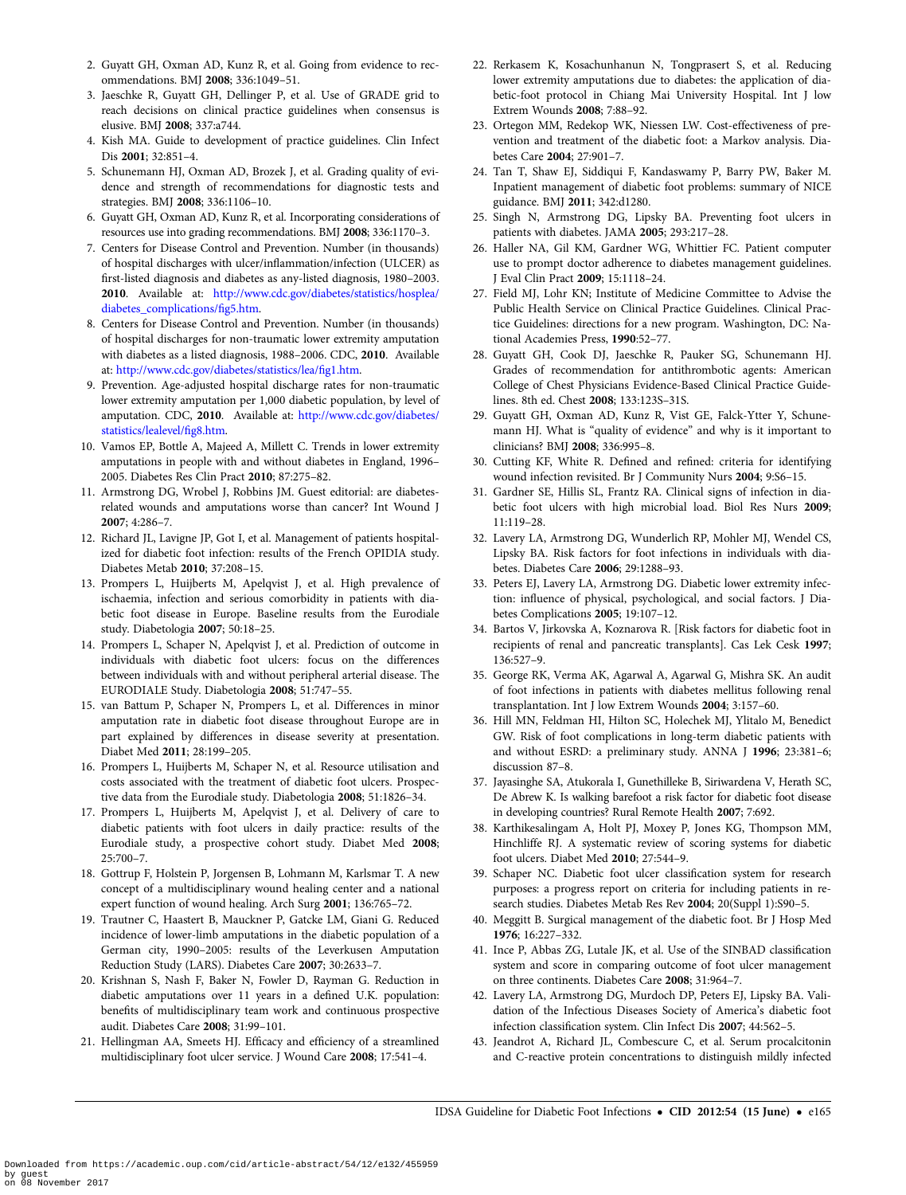- <span id="page-33-0"></span>2. Guyatt GH, Oxman AD, Kunz R, et al. Going from evidence to recommendations. BMJ 2008; 336:1049–51.
- 3. Jaeschke R, Guyatt GH, Dellinger P, et al. Use of GRADE grid to reach decisions on clinical practice guidelines when consensus is elusive. BMJ 2008; 337:a744.
- 4. Kish MA. Guide to development of practice guidelines. Clin Infect Dis 2001; 32:851–4.
- 5. Schunemann HJ, Oxman AD, Brozek J, et al. Grading quality of evidence and strength of recommendations for diagnostic tests and strategies. BMJ 2008; 336:1106–10.
- 6. Guyatt GH, Oxman AD, Kunz R, et al. Incorporating considerations of resources use into grading recommendations. BMJ 2008; 336:1170–3.
- 7. Centers for Disease Control and Prevention. Number (in thousands) of hospital discharges with ulcer/inflammation/infection (ULCER) as first-listed diagnosis and diabetes as any-listed diagnosis, 1980–2003. 2010. Available at: [http://www.cdc.gov/diabetes/statistics/hosplea/](http://www.cdc.gov/diabetes/statistics/hosplea/diabetes_complications/fig5.htm) [diabetes\\_complications/](http://www.cdc.gov/diabetes/statistics/hosplea/diabetes_complications/fig5.htm)fig5.htm.
- 8. Centers for Disease Control and Prevention. Number (in thousands) of hospital discharges for non-traumatic lower extremity amputation with diabetes as a listed diagnosis, 1988–2006. CDC, 2010. Available at: [http://www.cdc.gov/diabetes/statistics/lea/](http://www.cdc.gov/diabetes/statistics/lea/fig1.htm)fig1.htm.
- 9. Prevention. Age-adjusted hospital discharge rates for non-traumatic lower extremity amputation per 1,000 diabetic population, by level of amputation. CDC, 2010. Available at: [http://www.cdc.gov/diabetes/](http://www.cdc.gov/diabetes/statistics/lealevel/fig8.htm) [statistics/lealevel/](http://www.cdc.gov/diabetes/statistics/lealevel/fig8.htm)fig8.htm.
- 10. Vamos EP, Bottle A, Majeed A, Millett C. Trends in lower extremity amputations in people with and without diabetes in England, 1996– 2005. Diabetes Res Clin Pract 2010; 87:275–82.
- 11. Armstrong DG, Wrobel J, Robbins JM. Guest editorial: are diabetesrelated wounds and amputations worse than cancer? Int Wound J 2007; 4:286–7.
- 12. Richard JL, Lavigne JP, Got I, et al. Management of patients hospitalized for diabetic foot infection: results of the French OPIDIA study. Diabetes Metab 2010; 37:208–15.
- 13. Prompers L, Huijberts M, Apelqvist J, et al. High prevalence of ischaemia, infection and serious comorbidity in patients with diabetic foot disease in Europe. Baseline results from the Eurodiale study. Diabetologia 2007; 50:18–25.
- 14. Prompers L, Schaper N, Apelqvist J, et al. Prediction of outcome in individuals with diabetic foot ulcers: focus on the differences between individuals with and without peripheral arterial disease. The EURODIALE Study. Diabetologia 2008; 51:747–55.
- 15. van Battum P, Schaper N, Prompers L, et al. Differences in minor amputation rate in diabetic foot disease throughout Europe are in part explained by differences in disease severity at presentation. Diabet Med 2011; 28:199–205.
- 16. Prompers L, Huijberts M, Schaper N, et al. Resource utilisation and costs associated with the treatment of diabetic foot ulcers. Prospective data from the Eurodiale study. Diabetologia 2008; 51:1826–34.
- 17. Prompers L, Huijberts M, Apelqvist J, et al. Delivery of care to diabetic patients with foot ulcers in daily practice: results of the Eurodiale study, a prospective cohort study. Diabet Med 2008; 25:700–7.
- 18. Gottrup F, Holstein P, Jorgensen B, Lohmann M, Karlsmar T. A new concept of a multidisciplinary wound healing center and a national expert function of wound healing. Arch Surg 2001; 136:765–72.
- 19. Trautner C, Haastert B, Mauckner P, Gatcke LM, Giani G. Reduced incidence of lower-limb amputations in the diabetic population of a German city, 1990–2005: results of the Leverkusen Amputation Reduction Study (LARS). Diabetes Care 2007; 30:2633–7.
- 20. Krishnan S, Nash F, Baker N, Fowler D, Rayman G. Reduction in diabetic amputations over 11 years in a defined U.K. population: benefits of multidisciplinary team work and continuous prospective audit. Diabetes Care 2008; 31:99–101.
- 21. Hellingman AA, Smeets HJ. Efficacy and efficiency of a streamlined multidisciplinary foot ulcer service. J Wound Care 2008; 17:541–4.
- 22. Rerkasem K, Kosachunhanun N, Tongprasert S, et al. Reducing lower extremity amputations due to diabetes: the application of diabetic-foot protocol in Chiang Mai University Hospital. Int J low Extrem Wounds 2008; 7:88–92.
- 23. Ortegon MM, Redekop WK, Niessen LW. Cost-effectiveness of prevention and treatment of the diabetic foot: a Markov analysis. Diabetes Care 2004; 27:901–7.
- 24. Tan T, Shaw EJ, Siddiqui F, Kandaswamy P, Barry PW, Baker M. Inpatient management of diabetic foot problems: summary of NICE guidance. BMJ 2011; 342:d1280.
- 25. Singh N, Armstrong DG, Lipsky BA. Preventing foot ulcers in patients with diabetes. JAMA 2005; 293:217–28.
- 26. Haller NA, Gil KM, Gardner WG, Whittier FC. Patient computer use to prompt doctor adherence to diabetes management guidelines. J Eval Clin Pract 2009; 15:1118–24.
- 27. Field MJ, Lohr KN; Institute of Medicine Committee to Advise the Public Health Service on Clinical Practice Guidelines. Clinical Practice Guidelines: directions for a new program. Washington, DC: National Academies Press, 1990:52–77.
- 28. Guyatt GH, Cook DJ, Jaeschke R, Pauker SG, Schunemann HJ. Grades of recommendation for antithrombotic agents: American College of Chest Physicians Evidence-Based Clinical Practice Guidelines. 8th ed. Chest 2008; 133:123S–31S.
- 29. Guyatt GH, Oxman AD, Kunz R, Vist GE, Falck-Ytter Y, Schunemann HJ. What is "quality of evidence" and why is it important to clinicians? BMJ 2008; 336:995–8.
- 30. Cutting KF, White R. Defined and refined: criteria for identifying wound infection revisited. Br J Community Nurs 2004; 9:S6–15.
- 31. Gardner SE, Hillis SL, Frantz RA. Clinical signs of infection in diabetic foot ulcers with high microbial load. Biol Res Nurs 2009; 11:119–28.
- 32. Lavery LA, Armstrong DG, Wunderlich RP, Mohler MJ, Wendel CS, Lipsky BA. Risk factors for foot infections in individuals with diabetes. Diabetes Care 2006; 29:1288–93.
- 33. Peters EJ, Lavery LA, Armstrong DG. Diabetic lower extremity infection: influence of physical, psychological, and social factors. J Diabetes Complications 2005; 19:107–12.
- 34. Bartos V, Jirkovska A, Koznarova R. [Risk factors for diabetic foot in recipients of renal and pancreatic transplants]. Cas Lek Cesk 1997; 136:527–9.
- 35. George RK, Verma AK, Agarwal A, Agarwal G, Mishra SK. An audit of foot infections in patients with diabetes mellitus following renal transplantation. Int J low Extrem Wounds 2004; 3:157–60.
- 36. Hill MN, Feldman HI, Hilton SC, Holechek MJ, Ylitalo M, Benedict GW. Risk of foot complications in long-term diabetic patients with and without ESRD: a preliminary study. ANNA J 1996; 23:381–6; discussion 87–8.
- 37. Jayasinghe SA, Atukorala I, Gunethilleke B, Siriwardena V, Herath SC, De Abrew K. Is walking barefoot a risk factor for diabetic foot disease in developing countries? Rural Remote Health 2007; 7:692.
- 38. Karthikesalingam A, Holt PJ, Moxey P, Jones KG, Thompson MM, Hinchliffe RJ. A systematic review of scoring systems for diabetic foot ulcers. Diabet Med 2010; 27:544–9.
- 39. Schaper NC. Diabetic foot ulcer classification system for research purposes: a progress report on criteria for including patients in research studies. Diabetes Metab Res Rev 2004; 20(Suppl 1):S90–5.
- 40. Meggitt B. Surgical management of the diabetic foot. Br J Hosp Med 1976; 16:227–332.
- 41. Ince P, Abbas ZG, Lutale JK, et al. Use of the SINBAD classification system and score in comparing outcome of foot ulcer management on three continents. Diabetes Care 2008; 31:964–7.
- 42. Lavery LA, Armstrong DG, Murdoch DP, Peters EJ, Lipsky BA. Validation of the Infectious Diseases Society of America's diabetic foot infection classification system. Clin Infect Dis 2007; 44:562–5.
- 43. Jeandrot A, Richard JL, Combescure C, et al. Serum procalcitonin and C-reactive protein concentrations to distinguish mildly infected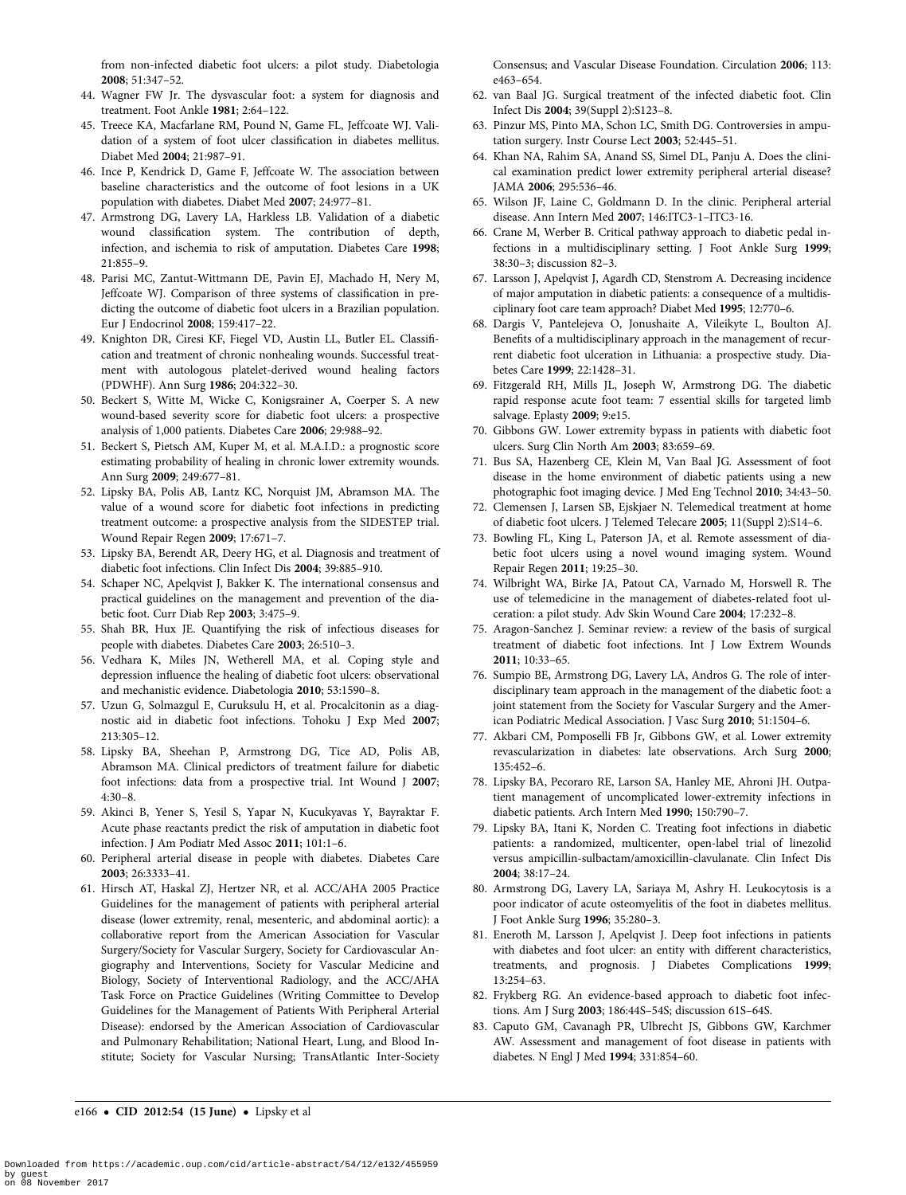<span id="page-34-0"></span>from non-infected diabetic foot ulcers: a pilot study. Diabetologia 2008; 51:347–52.

- 44. Wagner FW Jr. The dysvascular foot: a system for diagnosis and treatment. Foot Ankle 1981; 2:64–122.
- 45. Treece KA, Macfarlane RM, Pound N, Game FL, Jeffcoate WJ. Validation of a system of foot ulcer classification in diabetes mellitus. Diabet Med 2004; 21:987–91.
- 46. Ince P, Kendrick D, Game F, Jeffcoate W. The association between baseline characteristics and the outcome of foot lesions in a UK population with diabetes. Diabet Med 2007; 24:977–81.
- 47. Armstrong DG, Lavery LA, Harkless LB. Validation of a diabetic wound classification system. The contribution of depth, infection, and ischemia to risk of amputation. Diabetes Care 1998; 21:855–9.
- 48. Parisi MC, Zantut-Wittmann DE, Pavin EJ, Machado H, Nery M, Jeffcoate WJ. Comparison of three systems of classification in predicting the outcome of diabetic foot ulcers in a Brazilian population. Eur J Endocrinol 2008; 159:417–22.
- 49. Knighton DR, Ciresi KF, Fiegel VD, Austin LL, Butler EL. Classification and treatment of chronic nonhealing wounds. Successful treatment with autologous platelet-derived wound healing factors (PDWHF). Ann Surg 1986; 204:322–30.
- 50. Beckert S, Witte M, Wicke C, Konigsrainer A, Coerper S. A new wound-based severity score for diabetic foot ulcers: a prospective analysis of 1,000 patients. Diabetes Care 2006; 29:988–92.
- 51. Beckert S, Pietsch AM, Kuper M, et al. M.A.I.D.: a prognostic score estimating probability of healing in chronic lower extremity wounds. Ann Surg 2009; 249:677–81.
- 52. Lipsky BA, Polis AB, Lantz KC, Norquist JM, Abramson MA. The value of a wound score for diabetic foot infections in predicting treatment outcome: a prospective analysis from the SIDESTEP trial. Wound Repair Regen 2009; 17:671–7.
- 53. Lipsky BA, Berendt AR, Deery HG, et al. Diagnosis and treatment of diabetic foot infections. Clin Infect Dis 2004; 39:885–910.
- 54. Schaper NC, Apelqvist J, Bakker K. The international consensus and practical guidelines on the management and prevention of the diabetic foot. Curr Diab Rep 2003; 3:475–9.
- 55. Shah BR, Hux JE. Quantifying the risk of infectious diseases for people with diabetes. Diabetes Care 2003; 26:510–3.
- 56. Vedhara K, Miles JN, Wetherell MA, et al. Coping style and depression influence the healing of diabetic foot ulcers: observational and mechanistic evidence. Diabetologia 2010; 53:1590–8.
- 57. Uzun G, Solmazgul E, Curuksulu H, et al. Procalcitonin as a diagnostic aid in diabetic foot infections. Tohoku J Exp Med 2007; 213:305–12.
- 58. Lipsky BA, Sheehan P, Armstrong DG, Tice AD, Polis AB, Abramson MA. Clinical predictors of treatment failure for diabetic foot infections: data from a prospective trial. Int Wound J 2007; 4:30–8.
- 59. Akinci B, Yener S, Yesil S, Yapar N, Kucukyavas Y, Bayraktar F. Acute phase reactants predict the risk of amputation in diabetic foot infection. J Am Podiatr Med Assoc 2011; 101:1–6.
- 60. Peripheral arterial disease in people with diabetes. Diabetes Care 2003; 26:3333–41.
- 61. Hirsch AT, Haskal ZJ, Hertzer NR, et al. ACC/AHA 2005 Practice Guidelines for the management of patients with peripheral arterial disease (lower extremity, renal, mesenteric, and abdominal aortic): a collaborative report from the American Association for Vascular Surgery/Society for Vascular Surgery, Society for Cardiovascular Angiography and Interventions, Society for Vascular Medicine and Biology, Society of Interventional Radiology, and the ACC/AHA Task Force on Practice Guidelines (Writing Committee to Develop Guidelines for the Management of Patients With Peripheral Arterial Disease): endorsed by the American Association of Cardiovascular and Pulmonary Rehabilitation; National Heart, Lung, and Blood Institute; Society for Vascular Nursing; TransAtlantic Inter-Society

Consensus; and Vascular Disease Foundation. Circulation 2006; 113: e463–654.

- 62. van Baal JG. Surgical treatment of the infected diabetic foot. Clin Infect Dis 2004; 39(Suppl 2):S123–8.
- 63. Pinzur MS, Pinto MA, Schon LC, Smith DG. Controversies in amputation surgery. Instr Course Lect 2003; 52:445–51.
- 64. Khan NA, Rahim SA, Anand SS, Simel DL, Panju A. Does the clinical examination predict lower extremity peripheral arterial disease? JAMA 2006; 295:536–46.
- 65. Wilson JF, Laine C, Goldmann D. In the clinic. Peripheral arterial disease. Ann Intern Med 2007; 146:ITC3-1–ITC3-16.
- 66. Crane M, Werber B. Critical pathway approach to diabetic pedal infections in a multidisciplinary setting. J Foot Ankle Surg 1999; 38:30–3; discussion 82–3.
- 67. Larsson J, Apelqvist J, Agardh CD, Stenstrom A. Decreasing incidence of major amputation in diabetic patients: a consequence of a multidisciplinary foot care team approach? Diabet Med 1995; 12:770–6.
- 68. Dargis V, Pantelejeva O, Jonushaite A, Vileikyte L, Boulton AJ. Benefits of a multidisciplinary approach in the management of recurrent diabetic foot ulceration in Lithuania: a prospective study. Diabetes Care 1999; 22:1428–31.
- 69. Fitzgerald RH, Mills JL, Joseph W, Armstrong DG. The diabetic rapid response acute foot team: 7 essential skills for targeted limb salvage. Eplasty 2009; 9:e15.
- 70. Gibbons GW. Lower extremity bypass in patients with diabetic foot ulcers. Surg Clin North Am 2003; 83:659–69.
- 71. Bus SA, Hazenberg CE, Klein M, Van Baal JG. Assessment of foot disease in the home environment of diabetic patients using a new photographic foot imaging device. J Med Eng Technol 2010; 34:43–50.
- 72. Clemensen J, Larsen SB, Ejskjaer N. Telemedical treatment at home of diabetic foot ulcers. J Telemed Telecare 2005; 11(Suppl 2):S14–6.
- 73. Bowling FL, King L, Paterson JA, et al. Remote assessment of diabetic foot ulcers using a novel wound imaging system. Wound Repair Regen 2011; 19:25–30.
- 74. Wilbright WA, Birke JA, Patout CA, Varnado M, Horswell R. The use of telemedicine in the management of diabetes-related foot ulceration: a pilot study. Adv Skin Wound Care 2004; 17:232–8.
- 75. Aragon-Sanchez J. Seminar review: a review of the basis of surgical treatment of diabetic foot infections. Int J Low Extrem Wounds 2011; 10:33–65.
- 76. Sumpio BE, Armstrong DG, Lavery LA, Andros G. The role of interdisciplinary team approach in the management of the diabetic foot: a joint statement from the Society for Vascular Surgery and the American Podiatric Medical Association. J Vasc Surg 2010; 51:1504–6.
- 77. Akbari CM, Pomposelli FB Jr, Gibbons GW, et al. Lower extremity revascularization in diabetes: late observations. Arch Surg 2000; 135:452–6.
- 78. Lipsky BA, Pecoraro RE, Larson SA, Hanley ME, Ahroni JH. Outpatient management of uncomplicated lower-extremity infections in diabetic patients. Arch Intern Med 1990; 150:790–7.
- 79. Lipsky BA, Itani K, Norden C. Treating foot infections in diabetic patients: a randomized, multicenter, open-label trial of linezolid versus ampicillin-sulbactam/amoxicillin-clavulanate. Clin Infect Dis 2004; 38:17–24.
- 80. Armstrong DG, Lavery LA, Sariaya M, Ashry H. Leukocytosis is a poor indicator of acute osteomyelitis of the foot in diabetes mellitus. J Foot Ankle Surg 1996; 35:280–3.
- 81. Eneroth M, Larsson J, Apelqvist J. Deep foot infections in patients with diabetes and foot ulcer: an entity with different characteristics, treatments, and prognosis. J Diabetes Complications 1999; 13:254–63.
- 82. Frykberg RG. An evidence-based approach to diabetic foot infections. Am J Surg 2003; 186:44S–54S; discussion 61S–64S.
- 83. Caputo GM, Cavanagh PR, Ulbrecht JS, Gibbons GW, Karchmer AW. Assessment and management of foot disease in patients with diabetes. N Engl J Med 1994; 331:854–60.

e166 • CID 2012:54 (15 June) • Lipsky et al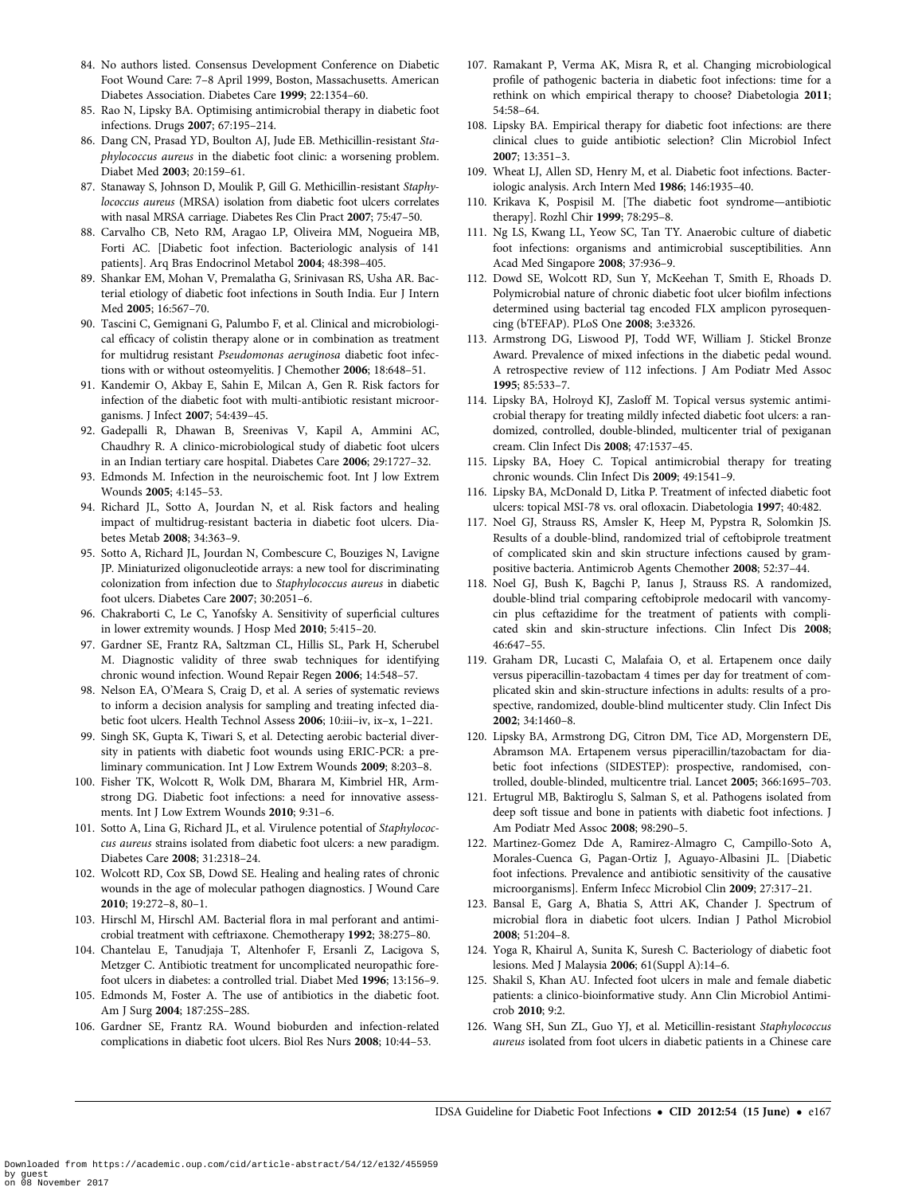- <span id="page-35-0"></span>84. No authors listed. Consensus Development Conference on Diabetic Foot Wound Care: 7–8 April 1999, Boston, Massachusetts. American Diabetes Association. Diabetes Care 1999; 22:1354–60.
- 85. Rao N, Lipsky BA. Optimising antimicrobial therapy in diabetic foot infections. Drugs 2007; 67:195–214.
- 86. Dang CN, Prasad YD, Boulton AJ, Jude EB. Methicillin-resistant Staphylococcus aureus in the diabetic foot clinic: a worsening problem. Diabet Med 2003; 20:159–61.
- 87. Stanaway S, Johnson D, Moulik P, Gill G. Methicillin-resistant Staphylococcus aureus (MRSA) isolation from diabetic foot ulcers correlates with nasal MRSA carriage. Diabetes Res Clin Pract 2007; 75:47–50.
- 88. Carvalho CB, Neto RM, Aragao LP, Oliveira MM, Nogueira MB, Forti AC. [Diabetic foot infection. Bacteriologic analysis of 141 patients]. Arq Bras Endocrinol Metabol 2004; 48:398–405.
- 89. Shankar EM, Mohan V, Premalatha G, Srinivasan RS, Usha AR. Bacterial etiology of diabetic foot infections in South India. Eur J Intern Med 2005; 16:567–70.
- 90. Tascini C, Gemignani G, Palumbo F, et al. Clinical and microbiological efficacy of colistin therapy alone or in combination as treatment for multidrug resistant Pseudomonas aeruginosa diabetic foot infections with or without osteomyelitis. J Chemother 2006; 18:648–51.
- 91. Kandemir O, Akbay E, Sahin E, Milcan A, Gen R. Risk factors for infection of the diabetic foot with multi-antibiotic resistant microorganisms. J Infect 2007; 54:439–45.
- 92. Gadepalli R, Dhawan B, Sreenivas V, Kapil A, Ammini AC, Chaudhry R. A clinico-microbiological study of diabetic foot ulcers in an Indian tertiary care hospital. Diabetes Care 2006; 29:1727–32.
- 93. Edmonds M. Infection in the neuroischemic foot. Int J low Extrem Wounds 2005; 4:145–53.
- 94. Richard JL, Sotto A, Jourdan N, et al. Risk factors and healing impact of multidrug-resistant bacteria in diabetic foot ulcers. Diabetes Metab 2008; 34:363–9.
- 95. Sotto A, Richard JL, Jourdan N, Combescure C, Bouziges N, Lavigne JP. Miniaturized oligonucleotide arrays: a new tool for discriminating colonization from infection due to Staphylococcus aureus in diabetic foot ulcers. Diabetes Care 2007; 30:2051–6.
- 96. Chakraborti C, Le C, Yanofsky A. Sensitivity of superficial cultures in lower extremity wounds. J Hosp Med 2010; 5:415–20.
- 97. Gardner SE, Frantz RA, Saltzman CL, Hillis SL, Park H, Scherubel M. Diagnostic validity of three swab techniques for identifying chronic wound infection. Wound Repair Regen 2006; 14:548–57.
- 98. Nelson EA, O'Meara S, Craig D, et al. A series of systematic reviews to inform a decision analysis for sampling and treating infected diabetic foot ulcers. Health Technol Assess 2006; 10:iii–iv, ix–x, 1–221.
- 99. Singh SK, Gupta K, Tiwari S, et al. Detecting aerobic bacterial diversity in patients with diabetic foot wounds using ERIC-PCR: a preliminary communication. Int J Low Extrem Wounds 2009; 8:203–8.
- 100. Fisher TK, Wolcott R, Wolk DM, Bharara M, Kimbriel HR, Armstrong DG. Diabetic foot infections: a need for innovative assessments. Int J Low Extrem Wounds 2010; 9:31–6.
- 101. Sotto A, Lina G, Richard JL, et al. Virulence potential of Staphylococcus aureus strains isolated from diabetic foot ulcers: a new paradigm. Diabetes Care 2008; 31:2318–24.
- 102. Wolcott RD, Cox SB, Dowd SE. Healing and healing rates of chronic wounds in the age of molecular pathogen diagnostics. J Wound Care 2010; 19:272–8, 80–1.
- 103. Hirschl M, Hirschl AM. Bacterial flora in mal perforant and antimicrobial treatment with ceftriaxone. Chemotherapy 1992; 38:275–80.
- 104. Chantelau E, Tanudjaja T, Altenhofer F, Ersanli Z, Lacigova S, Metzger C. Antibiotic treatment for uncomplicated neuropathic forefoot ulcers in diabetes: a controlled trial. Diabet Med 1996; 13:156–9.
- 105. Edmonds M, Foster A. The use of antibiotics in the diabetic foot. Am J Surg 2004; 187:25S–28S.
- 106. Gardner SE, Frantz RA. Wound bioburden and infection-related complications in diabetic foot ulcers. Biol Res Nurs 2008; 10:44–53.
- 107. Ramakant P, Verma AK, Misra R, et al. Changing microbiological profile of pathogenic bacteria in diabetic foot infections: time for a rethink on which empirical therapy to choose? Diabetologia 2011; 54:58–64.
- 108. Lipsky BA. Empirical therapy for diabetic foot infections: are there clinical clues to guide antibiotic selection? Clin Microbiol Infect 2007; 13:351–3.
- 109. Wheat LJ, Allen SD, Henry M, et al. Diabetic foot infections. Bacteriologic analysis. Arch Intern Med 1986; 146:1935–40.
- 110. Krikava K, Pospisil M. [The diabetic foot syndrome—antibiotic therapy]. Rozhl Chir 1999; 78:295–8.
- 111. Ng LS, Kwang LL, Yeow SC, Tan TY. Anaerobic culture of diabetic foot infections: organisms and antimicrobial susceptibilities. Ann Acad Med Singapore 2008; 37:936–9.
- 112. Dowd SE, Wolcott RD, Sun Y, McKeehan T, Smith E, Rhoads D. Polymicrobial nature of chronic diabetic foot ulcer biofilm infections determined using bacterial tag encoded FLX amplicon pyrosequencing (bTEFAP). PLoS One 2008; 3:e3326.
- 113. Armstrong DG, Liswood PJ, Todd WF, William J. Stickel Bronze Award. Prevalence of mixed infections in the diabetic pedal wound. A retrospective review of 112 infections. J Am Podiatr Med Assoc 1995; 85:533–7.
- 114. Lipsky BA, Holroyd KJ, Zasloff M. Topical versus systemic antimicrobial therapy for treating mildly infected diabetic foot ulcers: a randomized, controlled, double-blinded, multicenter trial of pexiganan cream. Clin Infect Dis 2008; 47:1537–45.
- 115. Lipsky BA, Hoey C. Topical antimicrobial therapy for treating chronic wounds. Clin Infect Dis 2009; 49:1541–9.
- 116. Lipsky BA, McDonald D, Litka P. Treatment of infected diabetic foot ulcers: topical MSI-78 vs. oral ofloxacin. Diabetologia 1997; 40:482.
- 117. Noel GJ, Strauss RS, Amsler K, Heep M, Pypstra R, Solomkin JS. Results of a double-blind, randomized trial of ceftobiprole treatment of complicated skin and skin structure infections caused by grampositive bacteria. Antimicrob Agents Chemother 2008; 52:37–44.
- 118. Noel GJ, Bush K, Bagchi P, Ianus J, Strauss RS. A randomized, double-blind trial comparing ceftobiprole medocaril with vancomycin plus ceftazidime for the treatment of patients with complicated skin and skin-structure infections. Clin Infect Dis 2008; 46:647–55.
- 119. Graham DR, Lucasti C, Malafaia O, et al. Ertapenem once daily versus piperacillin-tazobactam 4 times per day for treatment of complicated skin and skin-structure infections in adults: results of a prospective, randomized, double-blind multicenter study. Clin Infect Dis 2002; 34:1460–8.
- 120. Lipsky BA, Armstrong DG, Citron DM, Tice AD, Morgenstern DE, Abramson MA. Ertapenem versus piperacillin/tazobactam for diabetic foot infections (SIDESTEP): prospective, randomised, controlled, double-blinded, multicentre trial. Lancet 2005; 366:1695–703.
- 121. Ertugrul MB, Baktiroglu S, Salman S, et al. Pathogens isolated from deep soft tissue and bone in patients with diabetic foot infections. J Am Podiatr Med Assoc 2008; 98:290–5.
- 122. Martinez-Gomez Dde A, Ramirez-Almagro C, Campillo-Soto A, Morales-Cuenca G, Pagan-Ortiz J, Aguayo-Albasini JL. [Diabetic foot infections. Prevalence and antibiotic sensitivity of the causative microorganisms]. Enferm Infecc Microbiol Clin 2009; 27:317–21.
- 123. Bansal E, Garg A, Bhatia S, Attri AK, Chander J. Spectrum of microbial flora in diabetic foot ulcers. Indian J Pathol Microbiol 2008; 51:204–8.
- 124. Yoga R, Khairul A, Sunita K, Suresh C. Bacteriology of diabetic foot lesions. Med J Malaysia 2006; 61(Suppl A):14–6.
- 125. Shakil S, Khan AU. Infected foot ulcers in male and female diabetic patients: a clinico-bioinformative study. Ann Clin Microbiol Antimicrob 2010; 9:2.
- 126. Wang SH, Sun ZL, Guo YJ, et al. Meticillin-resistant Staphylococcus aureus isolated from foot ulcers in diabetic patients in a Chinese care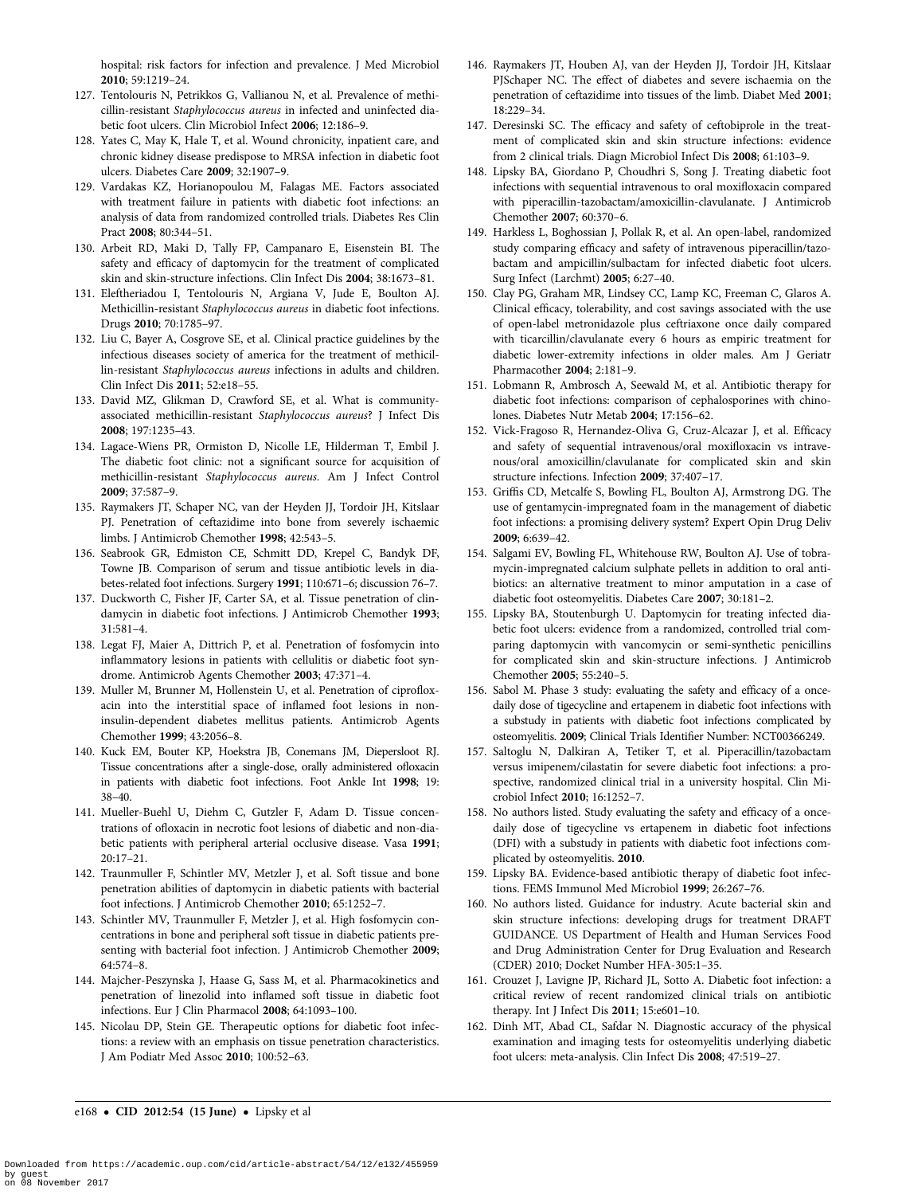<span id="page-36-0"></span>hospital: risk factors for infection and prevalence. J Med Microbiol 2010; 59:1219–24.

- 127. Tentolouris N, Petrikkos G, Vallianou N, et al. Prevalence of methicillin-resistant Staphylococcus aureus in infected and uninfected diabetic foot ulcers. Clin Microbiol Infect 2006; 12:186–9.
- 128. Yates C, May K, Hale T, et al. Wound chronicity, inpatient care, and chronic kidney disease predispose to MRSA infection in diabetic foot ulcers. Diabetes Care 2009; 32:1907–9.
- 129. Vardakas KZ, Horianopoulou M, Falagas ME. Factors associated with treatment failure in patients with diabetic foot infections: an analysis of data from randomized controlled trials. Diabetes Res Clin Pract 2008; 80:344–51.
- 130. Arbeit RD, Maki D, Tally FP, Campanaro E, Eisenstein BI. The safety and efficacy of daptomycin for the treatment of complicated skin and skin-structure infections. Clin Infect Dis 2004; 38:1673–81.
- 131. Eleftheriadou I, Tentolouris N, Argiana V, Jude E, Boulton AJ. Methicillin-resistant Staphylococcus aureus in diabetic foot infections. Drugs 2010; 70:1785–97.
- 132. Liu C, Bayer A, Cosgrove SE, et al. Clinical practice guidelines by the infectious diseases society of america for the treatment of methicillin-resistant Staphylococcus aureus infections in adults and children. Clin Infect Dis 2011; 52:e18–55.
- 133. David MZ, Glikman D, Crawford SE, et al. What is communityassociated methicillin-resistant Staphylococcus aureus? J Infect Dis 2008; 197:1235–43.
- 134. Lagace-Wiens PR, Ormiston D, Nicolle LE, Hilderman T, Embil J. The diabetic foot clinic: not a significant source for acquisition of methicillin-resistant Staphylococcus aureus. Am J Infect Control 2009; 37:587–9.
- 135. Raymakers JT, Schaper NC, van der Heyden JJ, Tordoir JH, Kitslaar PJ. Penetration of ceftazidime into bone from severely ischaemic limbs. J Antimicrob Chemother 1998; 42:543–5.
- 136. Seabrook GR, Edmiston CE, Schmitt DD, Krepel C, Bandyk DF, Towne JB. Comparison of serum and tissue antibiotic levels in diabetes-related foot infections. Surgery 1991; 110:671–6; discussion 76–7.
- 137. Duckworth C, Fisher JF, Carter SA, et al. Tissue penetration of clindamycin in diabetic foot infections. J Antimicrob Chemother 1993; 31:581–4.
- 138. Legat FJ, Maier A, Dittrich P, et al. Penetration of fosfomycin into inflammatory lesions in patients with cellulitis or diabetic foot syndrome. Antimicrob Agents Chemother 2003; 47:371–4.
- 139. Muller M, Brunner M, Hollenstein U, et al. Penetration of ciprofloxacin into the interstitial space of inflamed foot lesions in noninsulin-dependent diabetes mellitus patients. Antimicrob Agents Chemother 1999; 43:2056–8.
- 140. Kuck EM, Bouter KP, Hoekstra JB, Conemans JM, Diepersloot RJ. Tissue concentrations after a single-dose, orally administered ofloxacin in patients with diabetic foot infections. Foot Ankle Int 1998; 19: 38–40.
- 141. Mueller-Buehl U, Diehm C, Gutzler F, Adam D. Tissue concentrations of ofloxacin in necrotic foot lesions of diabetic and non-diabetic patients with peripheral arterial occlusive disease. Vasa 1991; 20:17–21.
- 142. Traunmuller F, Schintler MV, Metzler J, et al. Soft tissue and bone penetration abilities of daptomycin in diabetic patients with bacterial foot infections. J Antimicrob Chemother 2010; 65:1252–7.
- 143. Schintler MV, Traunmuller F, Metzler J, et al. High fosfomycin concentrations in bone and peripheral soft tissue in diabetic patients presenting with bacterial foot infection. J Antimicrob Chemother 2009; 64:574–8.
- 144. Majcher-Peszynska J, Haase G, Sass M, et al. Pharmacokinetics and penetration of linezolid into inflamed soft tissue in diabetic foot infections. Eur J Clin Pharmacol 2008; 64:1093–100.
- 145. Nicolau DP, Stein GE. Therapeutic options for diabetic foot infections: a review with an emphasis on tissue penetration characteristics. J Am Podiatr Med Assoc 2010; 100:52–63.
- 146. Raymakers JT, Houben AJ, van der Heyden JJ, Tordoir JH, Kitslaar PJSchaper NC. The effect of diabetes and severe ischaemia on the penetration of ceftazidime into tissues of the limb. Diabet Med 2001; 18:229–34.
- 147. Deresinski SC. The efficacy and safety of ceftobiprole in the treatment of complicated skin and skin structure infections: evidence from 2 clinical trials. Diagn Microbiol Infect Dis 2008; 61:103–9.
- 148. Lipsky BA, Giordano P, Choudhri S, Song J. Treating diabetic foot infections with sequential intravenous to oral moxifloxacin compared with piperacillin-tazobactam/amoxicillin-clavulanate. J Antimicrob Chemother 2007; 60:370–6.
- 149. Harkless L, Boghossian J, Pollak R, et al. An open-label, randomized study comparing efficacy and safety of intravenous piperacillin/tazobactam and ampicillin/sulbactam for infected diabetic foot ulcers. Surg Infect (Larchmt) 2005; 6:27–40.
- 150. Clay PG, Graham MR, Lindsey CC, Lamp KC, Freeman C, Glaros A. Clinical efficacy, tolerability, and cost savings associated with the use of open-label metronidazole plus ceftriaxone once daily compared with ticarcillin/clavulanate every 6 hours as empiric treatment for diabetic lower-extremity infections in older males. Am J Geriatr Pharmacother 2004; 2:181–9.
- 151. Lobmann R, Ambrosch A, Seewald M, et al. Antibiotic therapy for diabetic foot infections: comparison of cephalosporines with chinolones. Diabetes Nutr Metab 2004; 17:156–62.
- 152. Vick-Fragoso R, Hernandez-Oliva G, Cruz-Alcazar J, et al. Efficacy and safety of sequential intravenous/oral moxifloxacin vs intravenous/oral amoxicillin/clavulanate for complicated skin and skin structure infections. Infection 2009; 37:407–17.
- 153. Griffis CD, Metcalfe S, Bowling FL, Boulton AJ, Armstrong DG. The use of gentamycin-impregnated foam in the management of diabetic foot infections: a promising delivery system? Expert Opin Drug Deliv 2009; 6:639–42.
- 154. Salgami EV, Bowling FL, Whitehouse RW, Boulton AJ. Use of tobramycin-impregnated calcium sulphate pellets in addition to oral antibiotics: an alternative treatment to minor amputation in a case of diabetic foot osteomyelitis. Diabetes Care 2007; 30:181–2.
- 155. Lipsky BA, Stoutenburgh U. Daptomycin for treating infected diabetic foot ulcers: evidence from a randomized, controlled trial comparing daptomycin with vancomycin or semi-synthetic penicillins for complicated skin and skin-structure infections. J Antimicrob Chemother 2005; 55:240–5.
- 156. Sabol M. Phase 3 study: evaluating the safety and efficacy of a oncedaily dose of tigecycline and ertapenem in diabetic foot infections with a substudy in patients with diabetic foot infections complicated by osteomyelitis. 2009; Clinical Trials Identifier Number: NCT00366249.
- 157. Saltoglu N, Dalkiran A, Tetiker T, et al. Piperacillin/tazobactam versus imipenem/cilastatin for severe diabetic foot infections: a prospective, randomized clinical trial in a university hospital. Clin Microbiol Infect 2010; 16:1252–7.
- 158. No authors listed. Study evaluating the safety and efficacy of a oncedaily dose of tigecycline vs ertapenem in diabetic foot infections (DFI) with a substudy in patients with diabetic foot infections complicated by osteomyelitis. 2010.
- 159. Lipsky BA. Evidence-based antibiotic therapy of diabetic foot infections. FEMS Immunol Med Microbiol 1999; 26:267–76.
- 160. No authors listed. Guidance for industry. Acute bacterial skin and skin structure infections: developing drugs for treatment DRAFT GUIDANCE. US Department of Health and Human Services Food and Drug Administration Center for Drug Evaluation and Research (CDER) 2010; Docket Number HFA-305:1–35.
- 161. Crouzet J, Lavigne JP, Richard JL, Sotto A. Diabetic foot infection: a critical review of recent randomized clinical trials on antibiotic therapy. Int J Infect Dis 2011; 15:e601–10.
- 162. Dinh MT, Abad CL, Safdar N. Diagnostic accuracy of the physical examination and imaging tests for osteomyelitis underlying diabetic foot ulcers: meta-analysis. Clin Infect Dis 2008; 47:519–27.

e168 • CID 2012:54 (15 June) • Lipsky et al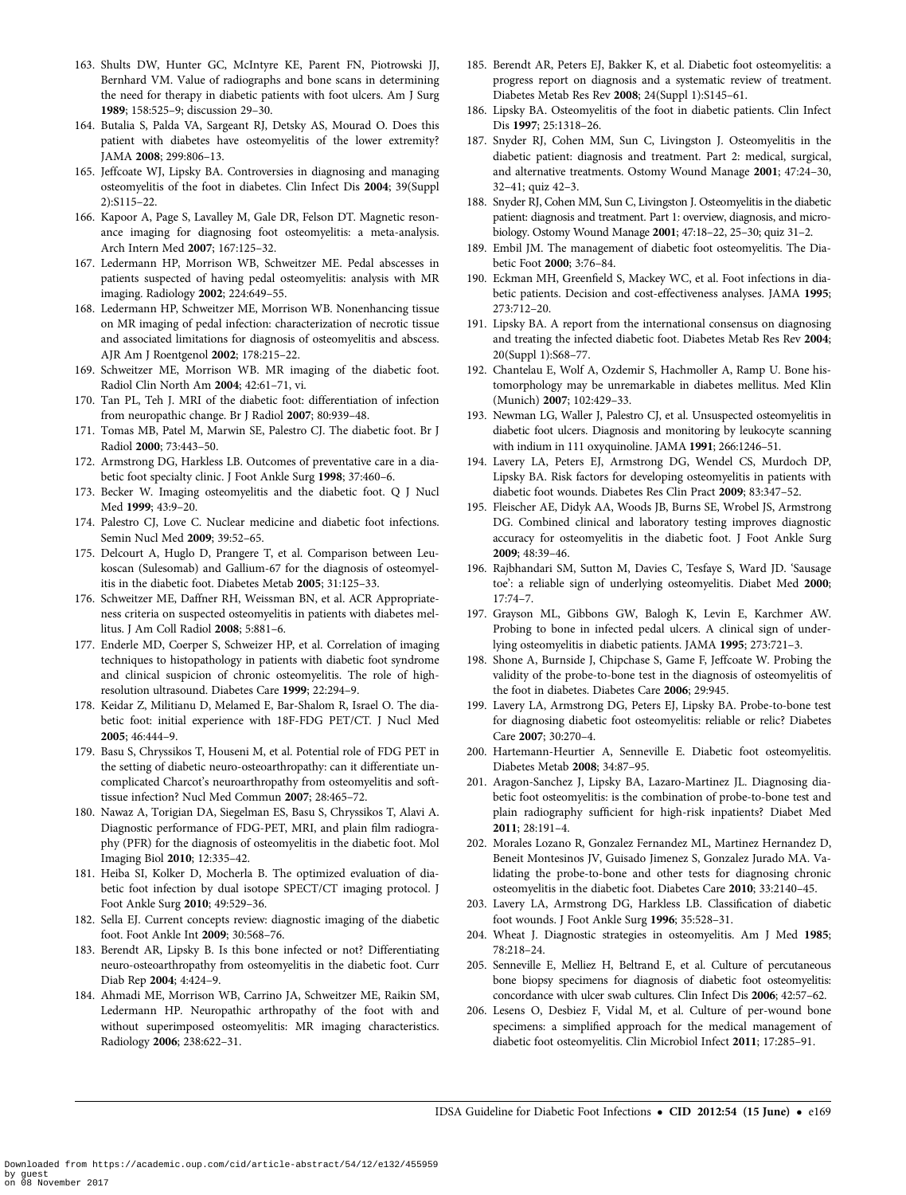- <span id="page-37-0"></span>163. Shults DW, Hunter GC, McIntyre KE, Parent FN, Piotrowski JJ, Bernhard VM. Value of radiographs and bone scans in determining the need for therapy in diabetic patients with foot ulcers. Am J Surg 1989; 158:525–9; discussion 29–30.
- 164. Butalia S, Palda VA, Sargeant RJ, Detsky AS, Mourad O. Does this patient with diabetes have osteomyelitis of the lower extremity? JAMA 2008; 299:806–13.
- 165. Jeffcoate WJ, Lipsky BA. Controversies in diagnosing and managing osteomyelitis of the foot in diabetes. Clin Infect Dis 2004; 39(Suppl 2):S115–22.
- 166. Kapoor A, Page S, Lavalley M, Gale DR, Felson DT. Magnetic resonance imaging for diagnosing foot osteomyelitis: a meta-analysis. Arch Intern Med 2007; 167:125–32.
- 167. Ledermann HP, Morrison WB, Schweitzer ME. Pedal abscesses in patients suspected of having pedal osteomyelitis: analysis with MR imaging. Radiology 2002; 224:649–55.
- 168. Ledermann HP, Schweitzer ME, Morrison WB. Nonenhancing tissue on MR imaging of pedal infection: characterization of necrotic tissue and associated limitations for diagnosis of osteomyelitis and abscess. AJR Am J Roentgenol 2002; 178:215–22.
- 169. Schweitzer ME, Morrison WB. MR imaging of the diabetic foot. Radiol Clin North Am 2004; 42:61–71, vi.
- 170. Tan PL, Teh J. MRI of the diabetic foot: differentiation of infection from neuropathic change. Br J Radiol 2007; 80:939–48.
- 171. Tomas MB, Patel M, Marwin SE, Palestro CJ. The diabetic foot. Br J Radiol 2000; 73:443–50.
- 172. Armstrong DG, Harkless LB. Outcomes of preventative care in a diabetic foot specialty clinic. J Foot Ankle Surg 1998; 37:460–6.
- 173. Becker W. Imaging osteomyelitis and the diabetic foot. Q J Nucl Med 1999; 43:9–20.
- 174. Palestro CJ, Love C. Nuclear medicine and diabetic foot infections. Semin Nucl Med 2009; 39:52–65.
- 175. Delcourt A, Huglo D, Prangere T, et al. Comparison between Leukoscan (Sulesomab) and Gallium-67 for the diagnosis of osteomyelitis in the diabetic foot. Diabetes Metab 2005; 31:125–33.
- 176. Schweitzer ME, Daffner RH, Weissman BN, et al. ACR Appropriateness criteria on suspected osteomyelitis in patients with diabetes mellitus. J Am Coll Radiol 2008; 5:881–6.
- 177. Enderle MD, Coerper S, Schweizer HP, et al. Correlation of imaging techniques to histopathology in patients with diabetic foot syndrome and clinical suspicion of chronic osteomyelitis. The role of highresolution ultrasound. Diabetes Care 1999; 22:294–9.
- 178. Keidar Z, Militianu D, Melamed E, Bar-Shalom R, Israel O. The diabetic foot: initial experience with 18F-FDG PET/CT. J Nucl Med 2005; 46:444–9.
- 179. Basu S, Chryssikos T, Houseni M, et al. Potential role of FDG PET in the setting of diabetic neuro-osteoarthropathy: can it differentiate uncomplicated Charcot's neuroarthropathy from osteomyelitis and softtissue infection? Nucl Med Commun 2007; 28:465–72.
- 180. Nawaz A, Torigian DA, Siegelman ES, Basu S, Chryssikos T, Alavi A. Diagnostic performance of FDG-PET, MRI, and plain film radiography (PFR) for the diagnosis of osteomyelitis in the diabetic foot. Mol Imaging Biol 2010; 12:335–42.
- 181. Heiba SI, Kolker D, Mocherla B. The optimized evaluation of diabetic foot infection by dual isotope SPECT/CT imaging protocol. J Foot Ankle Surg 2010; 49:529–36.
- 182. Sella EJ. Current concepts review: diagnostic imaging of the diabetic foot. Foot Ankle Int 2009; 30:568–76.
- 183. Berendt AR, Lipsky B. Is this bone infected or not? Differentiating neuro-osteoarthropathy from osteomyelitis in the diabetic foot. Curr Diab Rep 2004; 4:424–9.
- 184. Ahmadi ME, Morrison WB, Carrino JA, Schweitzer ME, Raikin SM, Ledermann HP. Neuropathic arthropathy of the foot with and without superimposed osteomyelitis: MR imaging characteristics. Radiology 2006; 238:622–31.
- 185. Berendt AR, Peters EJ, Bakker K, et al. Diabetic foot osteomyelitis: a progress report on diagnosis and a systematic review of treatment. Diabetes Metab Res Rev 2008; 24(Suppl 1):S145–61.
- 186. Lipsky BA. Osteomyelitis of the foot in diabetic patients. Clin Infect Dis 1997; 25:1318–26.
- 187. Snyder RJ, Cohen MM, Sun C, Livingston J. Osteomyelitis in the diabetic patient: diagnosis and treatment. Part 2: medical, surgical, and alternative treatments. Ostomy Wound Manage 2001; 47:24–30, 32–41; quiz 42–3.
- 188. Snyder RJ, Cohen MM, Sun C, Livingston J. Osteomyelitis in the diabetic patient: diagnosis and treatment. Part 1: overview, diagnosis, and microbiology. Ostomy Wound Manage 2001; 47:18–22, 25–30; quiz 31–2.
- 189. Embil JM. The management of diabetic foot osteomyelitis. The Diabetic Foot 2000; 3:76–84.
- 190. Eckman MH, Greenfield S, Mackey WC, et al. Foot infections in diabetic patients. Decision and cost-effectiveness analyses. JAMA 1995; 273:712–20.
- 191. Lipsky BA. A report from the international consensus on diagnosing and treating the infected diabetic foot. Diabetes Metab Res Rev 2004; 20(Suppl 1):S68–77.
- 192. Chantelau E, Wolf A, Ozdemir S, Hachmoller A, Ramp U. Bone histomorphology may be unremarkable in diabetes mellitus. Med Klin (Munich) 2007; 102:429–33.
- 193. Newman LG, Waller J, Palestro CJ, et al. Unsuspected osteomyelitis in diabetic foot ulcers. Diagnosis and monitoring by leukocyte scanning with indium in 111 oxyquinoline. JAMA 1991; 266:1246–51.
- 194. Lavery LA, Peters EJ, Armstrong DG, Wendel CS, Murdoch DP, Lipsky BA. Risk factors for developing osteomyelitis in patients with diabetic foot wounds. Diabetes Res Clin Pract 2009; 83:347–52.
- 195. Fleischer AE, Didyk AA, Woods JB, Burns SE, Wrobel JS, Armstrong DG. Combined clinical and laboratory testing improves diagnostic accuracy for osteomyelitis in the diabetic foot. J Foot Ankle Surg 2009; 48:39–46.
- 196. Rajbhandari SM, Sutton M, Davies C, Tesfaye S, Ward JD. 'Sausage toe': a reliable sign of underlying osteomyelitis. Diabet Med 2000; 17:74–7.
- 197. Grayson ML, Gibbons GW, Balogh K, Levin E, Karchmer AW. Probing to bone in infected pedal ulcers. A clinical sign of underlying osteomyelitis in diabetic patients. JAMA 1995; 273:721–3.
- 198. Shone A, Burnside J, Chipchase S, Game F, Jeffcoate W. Probing the validity of the probe-to-bone test in the diagnosis of osteomyelitis of the foot in diabetes. Diabetes Care 2006; 29:945.
- 199. Lavery LA, Armstrong DG, Peters EJ, Lipsky BA. Probe-to-bone test for diagnosing diabetic foot osteomyelitis: reliable or relic? Diabetes Care 2007; 30:270–4.
- 200. Hartemann-Heurtier A, Senneville E. Diabetic foot osteomyelitis. Diabetes Metab 2008; 34:87–95.
- 201. Aragon-Sanchez J, Lipsky BA, Lazaro-Martinez JL. Diagnosing diabetic foot osteomyelitis: is the combination of probe-to-bone test and plain radiography sufficient for high-risk inpatients? Diabet Med 2011; 28:191–4.
- 202. Morales Lozano R, Gonzalez Fernandez ML, Martinez Hernandez D, Beneit Montesinos JV, Guisado Jimenez S, Gonzalez Jurado MA. Validating the probe-to-bone and other tests for diagnosing chronic osteomyelitis in the diabetic foot. Diabetes Care 2010; 33:2140–45.
- 203. Lavery LA, Armstrong DG, Harkless LB. Classification of diabetic foot wounds. J Foot Ankle Surg 1996; 35:528–31.
- 204. Wheat J. Diagnostic strategies in osteomyelitis. Am J Med 1985; 78:218–24.
- 205. Senneville E, Melliez H, Beltrand E, et al. Culture of percutaneous bone biopsy specimens for diagnosis of diabetic foot osteomyelitis: concordance with ulcer swab cultures. Clin Infect Dis 2006; 42:57–62.
- 206. Lesens O, Desbiez F, Vidal M, et al. Culture of per-wound bone specimens: a simplified approach for the medical management of diabetic foot osteomyelitis. Clin Microbiol Infect 2011; 17:285–91.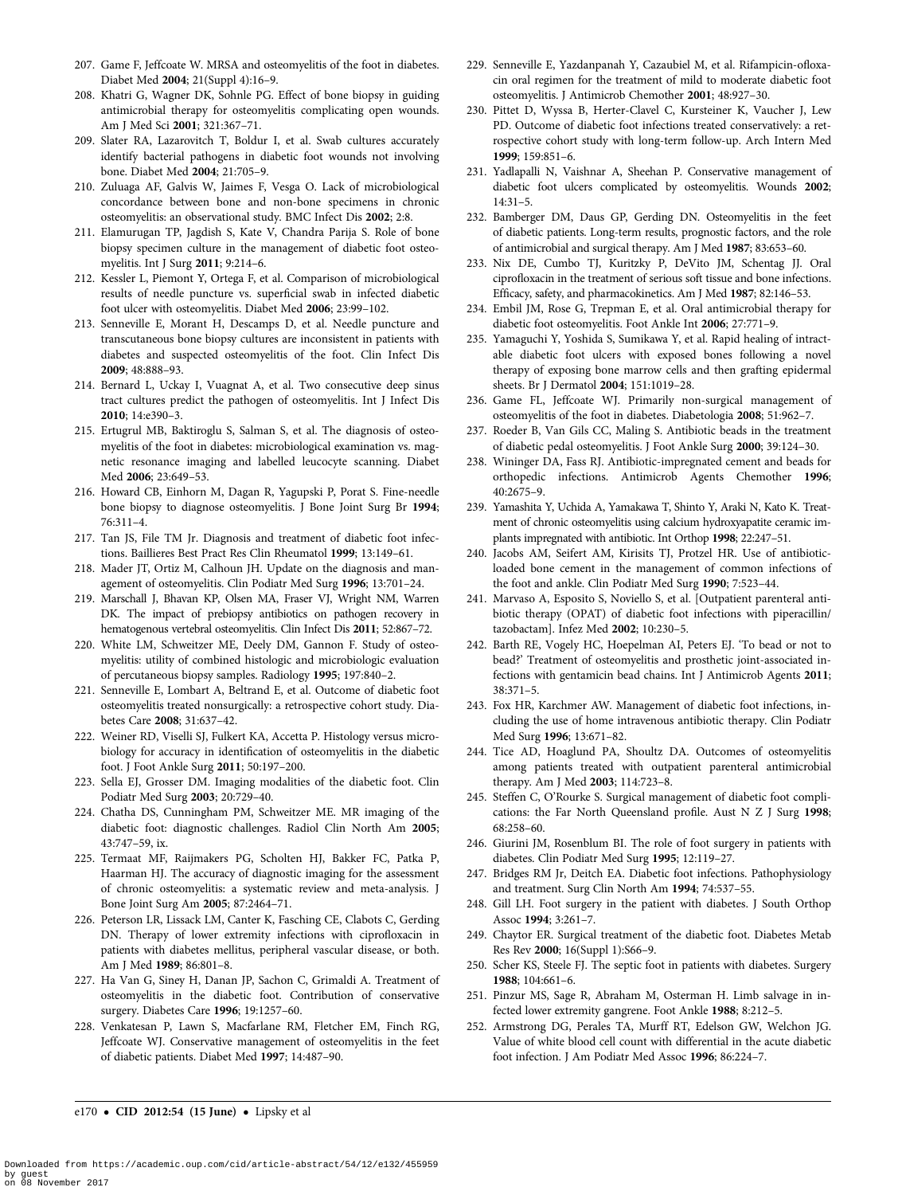- <span id="page-38-0"></span>207. Game F, Jeffcoate W. MRSA and osteomyelitis of the foot in diabetes. Diabet Med 2004; 21(Suppl 4):16–9.
- 208. Khatri G, Wagner DK, Sohnle PG. Effect of bone biopsy in guiding antimicrobial therapy for osteomyelitis complicating open wounds. Am J Med Sci 2001; 321:367–71.
- 209. Slater RA, Lazarovitch T, Boldur I, et al. Swab cultures accurately identify bacterial pathogens in diabetic foot wounds not involving bone. Diabet Med 2004; 21:705–9.
- 210. Zuluaga AF, Galvis W, Jaimes F, Vesga O. Lack of microbiological concordance between bone and non-bone specimens in chronic osteomyelitis: an observational study. BMC Infect Dis 2002; 2:8.
- 211. Elamurugan TP, Jagdish S, Kate V, Chandra Parija S. Role of bone biopsy specimen culture in the management of diabetic foot osteomyelitis. Int J Surg 2011; 9:214–6.
- 212. Kessler L, Piemont Y, Ortega F, et al. Comparison of microbiological results of needle puncture vs. superficial swab in infected diabetic foot ulcer with osteomyelitis. Diabet Med 2006; 23:99–102.
- 213. Senneville E, Morant H, Descamps D, et al. Needle puncture and transcutaneous bone biopsy cultures are inconsistent in patients with diabetes and suspected osteomyelitis of the foot. Clin Infect Dis 2009; 48:888–93.
- 214. Bernard L, Uckay I, Vuagnat A, et al. Two consecutive deep sinus tract cultures predict the pathogen of osteomyelitis. Int J Infect Dis 2010; 14:e390–3.
- 215. Ertugrul MB, Baktiroglu S, Salman S, et al. The diagnosis of osteomyelitis of the foot in diabetes: microbiological examination vs. magnetic resonance imaging and labelled leucocyte scanning. Diabet Med 2006; 23:649–53.
- 216. Howard CB, Einhorn M, Dagan R, Yagupski P, Porat S. Fine-needle bone biopsy to diagnose osteomyelitis. J Bone Joint Surg Br 1994; 76:311–4.
- 217. Tan JS, File TM Jr. Diagnosis and treatment of diabetic foot infections. Baillieres Best Pract Res Clin Rheumatol 1999; 13:149–61.
- 218. Mader JT, Ortiz M, Calhoun JH. Update on the diagnosis and management of osteomyelitis. Clin Podiatr Med Surg 1996; 13:701–24.
- 219. Marschall J, Bhavan KP, Olsen MA, Fraser VJ, Wright NM, Warren DK. The impact of prebiopsy antibiotics on pathogen recovery in hematogenous vertebral osteomyelitis. Clin Infect Dis 2011; 52:867–72.
- 220. White LM, Schweitzer ME, Deely DM, Gannon F. Study of osteomyelitis: utility of combined histologic and microbiologic evaluation of percutaneous biopsy samples. Radiology 1995; 197:840–2.
- 221. Senneville E, Lombart A, Beltrand E, et al. Outcome of diabetic foot osteomyelitis treated nonsurgically: a retrospective cohort study. Diabetes Care 2008; 31:637–42.
- 222. Weiner RD, Viselli SJ, Fulkert KA, Accetta P. Histology versus microbiology for accuracy in identification of osteomyelitis in the diabetic foot. J Foot Ankle Surg 2011; 50:197–200.
- 223. Sella EJ, Grosser DM. Imaging modalities of the diabetic foot. Clin Podiatr Med Surg 2003; 20:729–40.
- 224. Chatha DS, Cunningham PM, Schweitzer ME. MR imaging of the diabetic foot: diagnostic challenges. Radiol Clin North Am 2005; 43:747–59, ix.
- 225. Termaat MF, Raijmakers PG, Scholten HJ, Bakker FC, Patka P, Haarman HJ. The accuracy of diagnostic imaging for the assessment of chronic osteomyelitis: a systematic review and meta-analysis. J Bone Joint Surg Am 2005; 87:2464–71.
- 226. Peterson LR, Lissack LM, Canter K, Fasching CE, Clabots C, Gerding DN. Therapy of lower extremity infections with ciprofloxacin in patients with diabetes mellitus, peripheral vascular disease, or both. Am J Med 1989; 86:801–8.
- 227. Ha Van G, Siney H, Danan JP, Sachon C, Grimaldi A. Treatment of osteomyelitis in the diabetic foot. Contribution of conservative surgery. Diabetes Care 1996; 19:1257–60.
- 228. Venkatesan P, Lawn S, Macfarlane RM, Fletcher EM, Finch RG, Jeffcoate WJ. Conservative management of osteomyelitis in the feet of diabetic patients. Diabet Med 1997; 14:487–90.
- 229. Senneville E, Yazdanpanah Y, Cazaubiel M, et al. Rifampicin-ofloxacin oral regimen for the treatment of mild to moderate diabetic foot osteomyelitis. J Antimicrob Chemother 2001; 48:927–30.
- 230. Pittet D, Wyssa B, Herter-Clavel C, Kursteiner K, Vaucher J, Lew PD. Outcome of diabetic foot infections treated conservatively: a retrospective cohort study with long-term follow-up. Arch Intern Med 1999; 159:851–6.
- 231. Yadlapalli N, Vaishnar A, Sheehan P. Conservative management of diabetic foot ulcers complicated by osteomyelitis. Wounds 2002; 14:31–5.
- 232. Bamberger DM, Daus GP, Gerding DN. Osteomyelitis in the feet of diabetic patients. Long-term results, prognostic factors, and the role of antimicrobial and surgical therapy. Am J Med 1987; 83:653–60.
- 233. Nix DE, Cumbo TJ, Kuritzky P, DeVito JM, Schentag JJ. Oral ciprofloxacin in the treatment of serious soft tissue and bone infections. Efficacy, safety, and pharmacokinetics. Am J Med 1987; 82:146–53.
- 234. Embil JM, Rose G, Trepman E, et al. Oral antimicrobial therapy for diabetic foot osteomyelitis. Foot Ankle Int 2006; 27:771–9.
- 235. Yamaguchi Y, Yoshida S, Sumikawa Y, et al. Rapid healing of intractable diabetic foot ulcers with exposed bones following a novel therapy of exposing bone marrow cells and then grafting epidermal sheets. Br J Dermatol 2004; 151:1019–28.
- 236. Game FL, Jeffcoate WJ. Primarily non-surgical management of osteomyelitis of the foot in diabetes. Diabetologia 2008; 51:962–7.
- 237. Roeder B, Van Gils CC, Maling S. Antibiotic beads in the treatment of diabetic pedal osteomyelitis. J Foot Ankle Surg 2000; 39:124–30.
- 238. Wininger DA, Fass RJ. Antibiotic-impregnated cement and beads for orthopedic infections. Antimicrob Agents Chemother 1996; 40:2675–9.
- 239. Yamashita Y, Uchida A, Yamakawa T, Shinto Y, Araki N, Kato K. Treatment of chronic osteomyelitis using calcium hydroxyapatite ceramic implants impregnated with antibiotic. Int Orthop 1998; 22:247–51.
- 240. Jacobs AM, Seifert AM, Kirisits TJ, Protzel HR. Use of antibioticloaded bone cement in the management of common infections of the foot and ankle. Clin Podiatr Med Surg 1990; 7:523–44.
- 241. Marvaso A, Esposito S, Noviello S, et al. [Outpatient parenteral antibiotic therapy (OPAT) of diabetic foot infections with piperacillin/ tazobactam]. Infez Med 2002; 10:230–5.
- 242. Barth RE, Vogely HC, Hoepelman AI, Peters EJ. 'To bead or not to bead?' Treatment of osteomyelitis and prosthetic joint-associated infections with gentamicin bead chains. Int J Antimicrob Agents 2011; 38:371–5.
- 243. Fox HR, Karchmer AW. Management of diabetic foot infections, including the use of home intravenous antibiotic therapy. Clin Podiatr Med Surg 1996; 13:671–82.
- 244. Tice AD, Hoaglund PA, Shoultz DA. Outcomes of osteomyelitis among patients treated with outpatient parenteral antimicrobial therapy. Am J Med 2003; 114:723–8.
- 245. Steffen C, O'Rourke S. Surgical management of diabetic foot complications: the Far North Queensland profile. Aust N Z J Surg 1998; 68:258–60.
- 246. Giurini JM, Rosenblum BI. The role of foot surgery in patients with diabetes. Clin Podiatr Med Surg 1995; 12:119–27.
- 247. Bridges RM Jr, Deitch EA. Diabetic foot infections. Pathophysiology and treatment. Surg Clin North Am 1994; 74:537–55.
- 248. Gill LH. Foot surgery in the patient with diabetes. J South Orthop Assoc 1994; 3:261–7.
- 249. Chaytor ER. Surgical treatment of the diabetic foot. Diabetes Metab Res Rev 2000; 16(Suppl 1):S66–9.
- 250. Scher KS, Steele FJ. The septic foot in patients with diabetes. Surgery 1988; 104:661–6.
- 251. Pinzur MS, Sage R, Abraham M, Osterman H. Limb salvage in infected lower extremity gangrene. Foot Ankle 1988; 8:212–5.
- 252. Armstrong DG, Perales TA, Murff RT, Edelson GW, Welchon JG. Value of white blood cell count with differential in the acute diabetic foot infection. J Am Podiatr Med Assoc 1996; 86:224–7.

e170 • CID 2012:54 (15 June) • Lipsky et al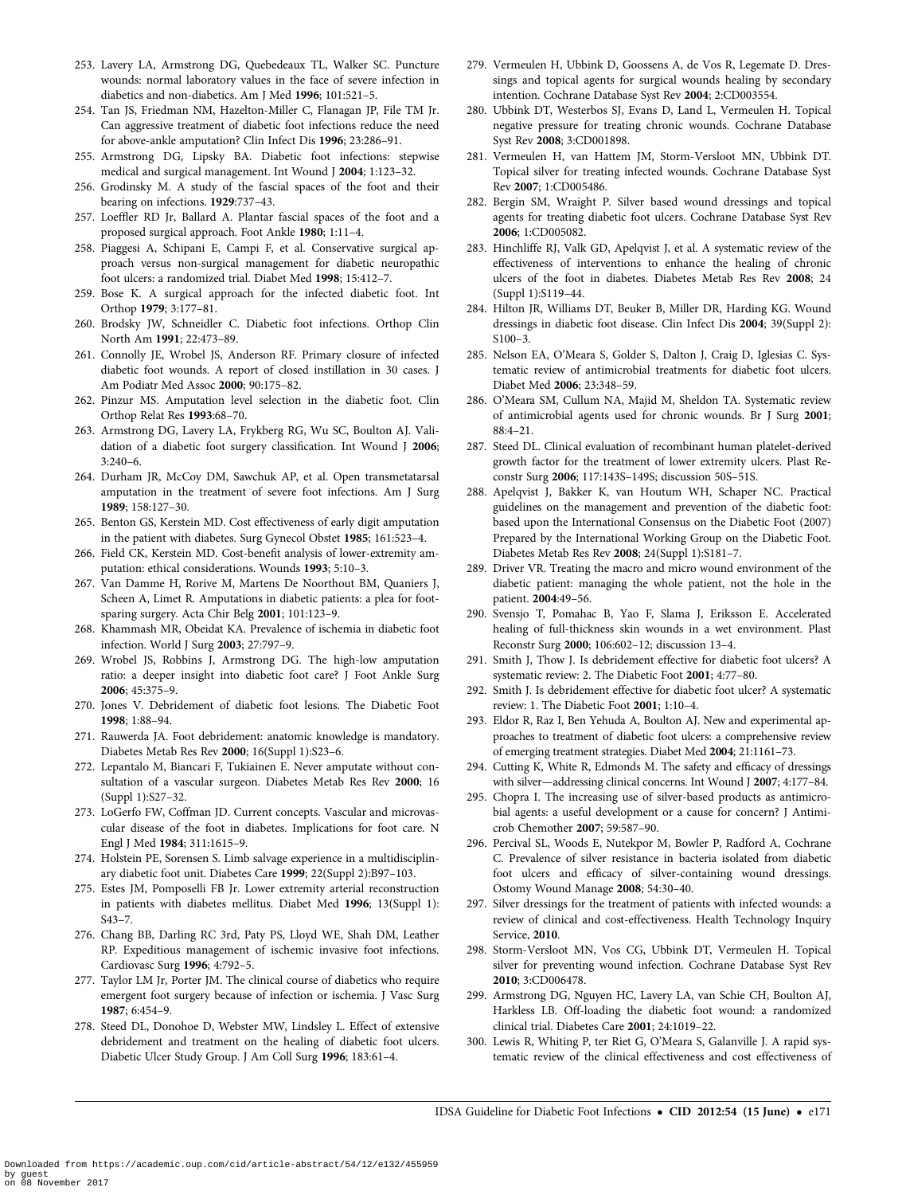- <span id="page-39-0"></span>253. Lavery LA, Armstrong DG, Quebedeaux TL, Walker SC. Puncture wounds: normal laboratory values in the face of severe infection in diabetics and non-diabetics. Am J Med 1996; 101:521–5.
- 254. Tan JS, Friedman NM, Hazelton-Miller C, Flanagan JP, File TM Jr. Can aggressive treatment of diabetic foot infections reduce the need for above-ankle amputation? Clin Infect Dis 1996; 23:286–91.
- 255. Armstrong DG, Lipsky BA. Diabetic foot infections: stepwise medical and surgical management. Int Wound J 2004; 1:123–32.
- 256. Grodinsky M. A study of the fascial spaces of the foot and their bearing on infections. 1929:737–43.
- 257. Loeffler RD Jr, Ballard A. Plantar fascial spaces of the foot and a proposed surgical approach. Foot Ankle 1980; 1:11–4.
- 258. Piaggesi A, Schipani E, Campi F, et al. Conservative surgical approach versus non-surgical management for diabetic neuropathic foot ulcers: a randomized trial. Diabet Med 1998; 15:412–7.
- 259. Bose K. A surgical approach for the infected diabetic foot. Int Orthop 1979; 3:177–81.
- 260. Brodsky JW, Schneidler C. Diabetic foot infections. Orthop Clin North Am 1991; 22:473–89.
- 261. Connolly JE, Wrobel JS, Anderson RF. Primary closure of infected diabetic foot wounds. A report of closed instillation in 30 cases. J Am Podiatr Med Assoc 2000; 90:175–82.
- 262. Pinzur MS. Amputation level selection in the diabetic foot. Clin Orthop Relat Res 1993:68–70.
- 263. Armstrong DG, Lavery LA, Frykberg RG, Wu SC, Boulton AJ. Validation of a diabetic foot surgery classification. Int Wound J 2006; 3:240–6.
- 264. Durham JR, McCoy DM, Sawchuk AP, et al. Open transmetatarsal amputation in the treatment of severe foot infections. Am J Surg 1989; 158:127–30.
- 265. Benton GS, Kerstein MD. Cost effectiveness of early digit amputation in the patient with diabetes. Surg Gynecol Obstet 1985; 161:523–4.
- 266. Field CK, Kerstein MD. Cost-benefit analysis of lower-extremity amputation: ethical considerations. Wounds 1993; 5:10–3.
- 267. Van Damme H, Rorive M, Martens De Noorthout BM, Quaniers J, Scheen A, Limet R. Amputations in diabetic patients: a plea for footsparing surgery. Acta Chir Belg 2001; 101:123–9.
- 268. Khammash MR, Obeidat KA. Prevalence of ischemia in diabetic foot infection. World J Surg 2003; 27:797–9.
- 269. Wrobel JS, Robbins J, Armstrong DG. The high-low amputation ratio: a deeper insight into diabetic foot care? J Foot Ankle Surg 2006; 45:375–9.
- 270. Jones V. Debridement of diabetic foot lesions. The Diabetic Foot 1998; 1:88–94.
- 271. Rauwerda JA. Foot debridement: anatomic knowledge is mandatory. Diabetes Metab Res Rev 2000; 16(Suppl 1):S23–6.
- 272. Lepantalo M, Biancari F, Tukiainen E. Never amputate without consultation of a vascular surgeon. Diabetes Metab Res Rev 2000; 16 (Suppl 1):S27–32.
- 273. LoGerfo FW, Coffman JD. Current concepts. Vascular and microvascular disease of the foot in diabetes. Implications for foot care. N Engl J Med 1984; 311:1615–9.
- 274. Holstein PE, Sorensen S. Limb salvage experience in a multidisciplinary diabetic foot unit. Diabetes Care 1999; 22(Suppl 2):B97–103.
- 275. Estes JM, Pomposelli FB Jr. Lower extremity arterial reconstruction in patients with diabetes mellitus. Diabet Med 1996; 13(Suppl 1): S43–7.
- 276. Chang BB, Darling RC 3rd, Paty PS, Lloyd WE, Shah DM, Leather RP. Expeditious management of ischemic invasive foot infections. Cardiovasc Surg 1996; 4:792–5.
- 277. Taylor LM Jr, Porter JM. The clinical course of diabetics who require emergent foot surgery because of infection or ischemia. J Vasc Surg 1987; 6:454–9.
- 278. Steed DL, Donohoe D, Webster MW, Lindsley L. Effect of extensive debridement and treatment on the healing of diabetic foot ulcers. Diabetic Ulcer Study Group. J Am Coll Surg 1996; 183:61–4.
- 279. Vermeulen H, Ubbink D, Goossens A, de Vos R, Legemate D. Dressings and topical agents for surgical wounds healing by secondary intention. Cochrane Database Syst Rev 2004; 2:CD003554.
- 280. Ubbink DT, Westerbos SJ, Evans D, Land L, Vermeulen H. Topical negative pressure for treating chronic wounds. Cochrane Database Syst Rev 2008; 3:CD001898.
- 281. Vermeulen H, van Hattem JM, Storm-Versloot MN, Ubbink DT. Topical silver for treating infected wounds. Cochrane Database Syst Rev 2007; 1:CD005486.
- 282. Bergin SM, Wraight P. Silver based wound dressings and topical agents for treating diabetic foot ulcers. Cochrane Database Syst Rev 2006; 1:CD005082.
- 283. Hinchliffe RJ, Valk GD, Apelqvist J, et al. A systematic review of the effectiveness of interventions to enhance the healing of chronic ulcers of the foot in diabetes. Diabetes Metab Res Rev 2008; 24 (Suppl 1):S119–44.
- 284. Hilton JR, Williams DT, Beuker B, Miller DR, Harding KG. Wound dressings in diabetic foot disease. Clin Infect Dis 2004; 39(Suppl 2): S100–3.
- 285. Nelson EA, O'Meara S, Golder S, Dalton J, Craig D, Iglesias C. Systematic review of antimicrobial treatments for diabetic foot ulcers. Diabet Med 2006; 23:348–59.
- 286. O'Meara SM, Cullum NA, Majid M, Sheldon TA. Systematic review of antimicrobial agents used for chronic wounds. Br J Surg 2001; 88:4–21.
- 287. Steed DL. Clinical evaluation of recombinant human platelet-derived growth factor for the treatment of lower extremity ulcers. Plast Reconstr Surg 2006; 117:143S–149S; discussion 50S–51S.
- 288. Apelqvist J, Bakker K, van Houtum WH, Schaper NC. Practical guidelines on the management and prevention of the diabetic foot: based upon the International Consensus on the Diabetic Foot (2007) Prepared by the International Working Group on the Diabetic Foot. Diabetes Metab Res Rev 2008; 24(Suppl 1):S181–7.
- 289. Driver VR. Treating the macro and micro wound environment of the diabetic patient: managing the whole patient, not the hole in the patient. 2004:49–56.
- 290. Svensjo T, Pomahac B, Yao F, Slama J, Eriksson E. Accelerated healing of full-thickness skin wounds in a wet environment. Plast Reconstr Surg 2000; 106:602–12; discussion 13–4.
- 291. Smith J, Thow J. Is debridement effective for diabetic foot ulcers? A systematic review: 2. The Diabetic Foot 2001; 4:77–80.
- 292. Smith J. Is debridement effective for diabetic foot ulcer? A systematic review: 1. The Diabetic Foot 2001; 1:10–4.
- 293. Eldor R, Raz I, Ben Yehuda A, Boulton AJ. New and experimental approaches to treatment of diabetic foot ulcers: a comprehensive review of emerging treatment strategies. Diabet Med 2004; 21:1161–73.
- 294. Cutting K, White R, Edmonds M. The safety and efficacy of dressings with silver—addressing clinical concerns. Int Wound J 2007; 4:177–84.
- 295. Chopra I. The increasing use of silver-based products as antimicrobial agents: a useful development or a cause for concern? J Antimicrob Chemother 2007; 59:587–90.
- 296. Percival SL, Woods E, Nutekpor M, Bowler P, Radford A, Cochrane C. Prevalence of silver resistance in bacteria isolated from diabetic foot ulcers and efficacy of silver-containing wound dressings. Ostomy Wound Manage 2008; 54:30–40.
- 297. Silver dressings for the treatment of patients with infected wounds: a review of clinical and cost-effectiveness. Health Technology Inquiry Service, 2010.
- 298. Storm-Versloot MN, Vos CG, Ubbink DT, Vermeulen H. Topical silver for preventing wound infection. Cochrane Database Syst Rev 2010; 3:CD006478.
- 299. Armstrong DG, Nguyen HC, Lavery LA, van Schie CH, Boulton AJ, Harkless LB. Off-loading the diabetic foot wound: a randomized clinical trial. Diabetes Care 2001; 24:1019–22.
- 300. Lewis R, Whiting P, ter Riet G, O'Meara S, Galanville J. A rapid systematic review of the clinical effectiveness and cost effectiveness of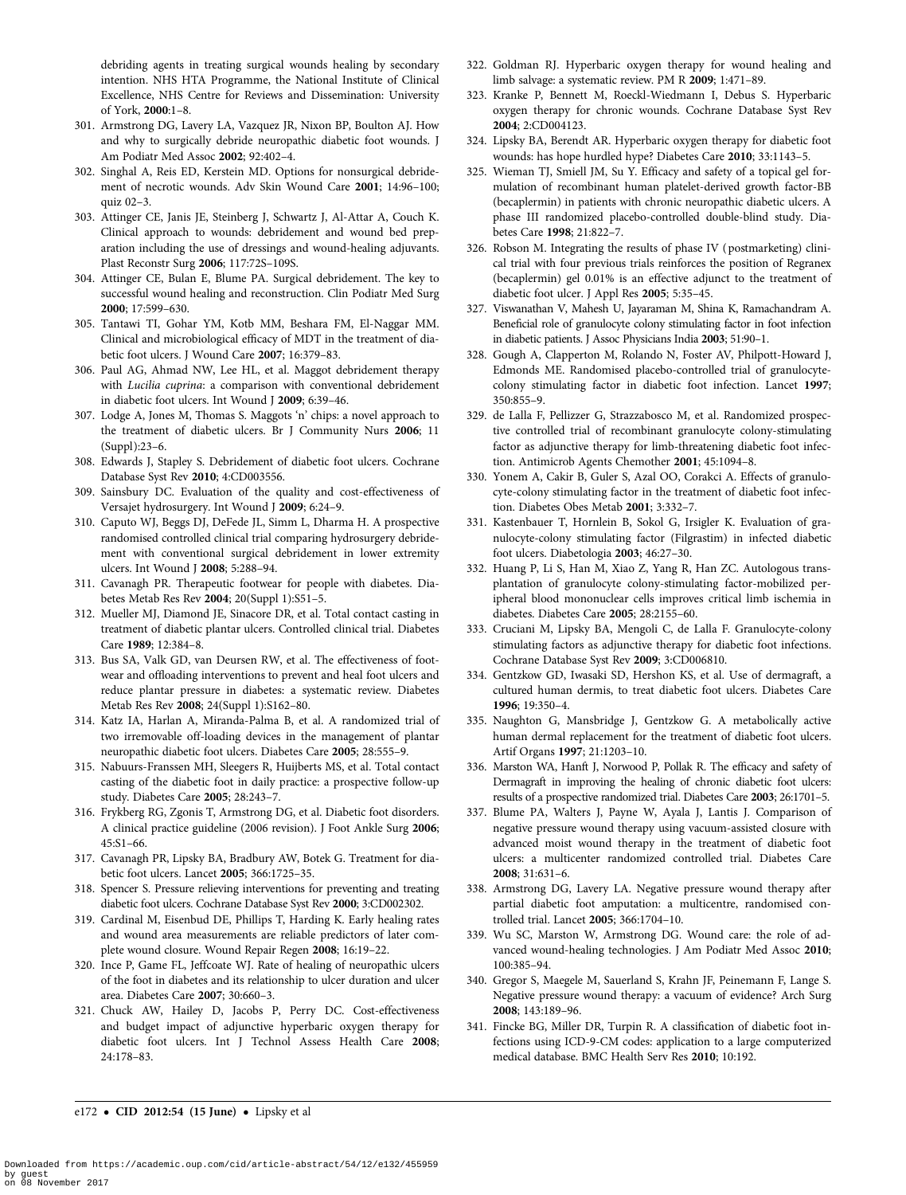<span id="page-40-0"></span>debriding agents in treating surgical wounds healing by secondary intention. NHS HTA Programme, the National Institute of Clinical Excellence, NHS Centre for Reviews and Dissemination: University of York, 2000:1–8.

- 301. Armstrong DG, Lavery LA, Vazquez JR, Nixon BP, Boulton AJ. How and why to surgically debride neuropathic diabetic foot wounds. J Am Podiatr Med Assoc 2002; 92:402–4.
- 302. Singhal A, Reis ED, Kerstein MD. Options for nonsurgical debridement of necrotic wounds. Adv Skin Wound Care 2001; 14:96–100; quiz 02–3.
- 303. Attinger CE, Janis JE, Steinberg J, Schwartz J, Al-Attar A, Couch K. Clinical approach to wounds: debridement and wound bed preparation including the use of dressings and wound-healing adjuvants. Plast Reconstr Surg 2006; 117:72S–109S.
- 304. Attinger CE, Bulan E, Blume PA. Surgical debridement. The key to successful wound healing and reconstruction. Clin Podiatr Med Surg 2000; 17:599–630.
- 305. Tantawi TI, Gohar YM, Kotb MM, Beshara FM, El-Naggar MM. Clinical and microbiological efficacy of MDT in the treatment of diabetic foot ulcers. J Wound Care 2007; 16:379–83.
- 306. Paul AG, Ahmad NW, Lee HL, et al. Maggot debridement therapy with Lucilia cuprina: a comparison with conventional debridement in diabetic foot ulcers. Int Wound J 2009; 6:39–46.
- 307. Lodge A, Jones M, Thomas S. Maggots 'n' chips: a novel approach to the treatment of diabetic ulcers. Br J Community Nurs 2006; 11 (Suppl):23–6.
- 308. Edwards J, Stapley S. Debridement of diabetic foot ulcers. Cochrane Database Syst Rev 2010; 4:CD003556.
- 309. Sainsbury DC. Evaluation of the quality and cost-effectiveness of Versajet hydrosurgery. Int Wound J 2009; 6:24–9.
- 310. Caputo WJ, Beggs DJ, DeFede JL, Simm L, Dharma H. A prospective randomised controlled clinical trial comparing hydrosurgery debridement with conventional surgical debridement in lower extremity ulcers. Int Wound J 2008; 5:288–94.
- 311. Cavanagh PR. Therapeutic footwear for people with diabetes. Diabetes Metab Res Rev 2004; 20(Suppl 1):S51–5.
- 312. Mueller MJ, Diamond JE, Sinacore DR, et al. Total contact casting in treatment of diabetic plantar ulcers. Controlled clinical trial. Diabetes Care 1989; 12:384–8.
- 313. Bus SA, Valk GD, van Deursen RW, et al. The effectiveness of footwear and offloading interventions to prevent and heal foot ulcers and reduce plantar pressure in diabetes: a systematic review. Diabetes Metab Res Rev 2008; 24(Suppl 1):S162–80.
- 314. Katz IA, Harlan A, Miranda-Palma B, et al. A randomized trial of two irremovable off-loading devices in the management of plantar neuropathic diabetic foot ulcers. Diabetes Care 2005; 28:555–9.
- 315. Nabuurs-Franssen MH, Sleegers R, Huijberts MS, et al. Total contact casting of the diabetic foot in daily practice: a prospective follow-up study. Diabetes Care 2005; 28:243–7.
- 316. Frykberg RG, Zgonis T, Armstrong DG, et al. Diabetic foot disorders. A clinical practice guideline (2006 revision). J Foot Ankle Surg 2006; 45:S1–66.
- 317. Cavanagh PR, Lipsky BA, Bradbury AW, Botek G. Treatment for diabetic foot ulcers. Lancet 2005; 366:1725–35.
- 318. Spencer S. Pressure relieving interventions for preventing and treating diabetic foot ulcers. Cochrane Database Syst Rev 2000; 3:CD002302.
- 319. Cardinal M, Eisenbud DE, Phillips T, Harding K. Early healing rates and wound area measurements are reliable predictors of later complete wound closure. Wound Repair Regen 2008; 16:19–22.
- 320. Ince P, Game FL, Jeffcoate WJ. Rate of healing of neuropathic ulcers of the foot in diabetes and its relationship to ulcer duration and ulcer area. Diabetes Care 2007; 30:660–3.
- 321. Chuck AW, Hailey D, Jacobs P, Perry DC. Cost-effectiveness and budget impact of adjunctive hyperbaric oxygen therapy for diabetic foot ulcers. Int J Technol Assess Health Care 2008; 24:178–83.
- 322. Goldman RJ. Hyperbaric oxygen therapy for wound healing and limb salvage: a systematic review. PM R 2009; 1:471–89.
- 323. Kranke P, Bennett M, Roeckl-Wiedmann I, Debus S. Hyperbaric oxygen therapy for chronic wounds. Cochrane Database Syst Rev 2004; 2:CD004123.
- 324. Lipsky BA, Berendt AR. Hyperbaric oxygen therapy for diabetic foot wounds: has hope hurdled hype? Diabetes Care 2010; 33:1143–5.
- 325. Wieman TJ, Smiell JM, Su Y. Efficacy and safety of a topical gel formulation of recombinant human platelet-derived growth factor-BB (becaplermin) in patients with chronic neuropathic diabetic ulcers. A phase III randomized placebo-controlled double-blind study. Diabetes Care 1998; 21:822–7.
- 326. Robson M. Integrating the results of phase IV ( postmarketing) clinical trial with four previous trials reinforces the position of Regranex (becaplermin) gel 0.01% is an effective adjunct to the treatment of diabetic foot ulcer. J Appl Res 2005; 5:35–45.
- 327. Viswanathan V, Mahesh U, Jayaraman M, Shina K, Ramachandram A. Beneficial role of granulocyte colony stimulating factor in foot infection in diabetic patients. J Assoc Physicians India 2003; 51:90–1.
- 328. Gough A, Clapperton M, Rolando N, Foster AV, Philpott-Howard J, Edmonds ME. Randomised placebo-controlled trial of granulocytecolony stimulating factor in diabetic foot infection. Lancet 1997; 350:855–9.
- 329. de Lalla F, Pellizzer G, Strazzabosco M, et al. Randomized prospective controlled trial of recombinant granulocyte colony-stimulating factor as adjunctive therapy for limb-threatening diabetic foot infection. Antimicrob Agents Chemother 2001; 45:1094–8.
- 330. Yonem A, Cakir B, Guler S, Azal OO, Corakci A. Effects of granulocyte-colony stimulating factor in the treatment of diabetic foot infection. Diabetes Obes Metab 2001; 3:332–7.
- 331. Kastenbauer T, Hornlein B, Sokol G, Irsigler K. Evaluation of granulocyte-colony stimulating factor (Filgrastim) in infected diabetic foot ulcers. Diabetologia 2003; 46:27–30.
- 332. Huang P, Li S, Han M, Xiao Z, Yang R, Han ZC. Autologous transplantation of granulocyte colony-stimulating factor-mobilized peripheral blood mononuclear cells improves critical limb ischemia in diabetes. Diabetes Care 2005; 28:2155–60.
- 333. Cruciani M, Lipsky BA, Mengoli C, de Lalla F. Granulocyte-colony stimulating factors as adjunctive therapy for diabetic foot infections. Cochrane Database Syst Rev 2009; 3:CD006810.
- 334. Gentzkow GD, Iwasaki SD, Hershon KS, et al. Use of dermagraft, a cultured human dermis, to treat diabetic foot ulcers. Diabetes Care 1996; 19:350–4.
- 335. Naughton G, Mansbridge J, Gentzkow G. A metabolically active human dermal replacement for the treatment of diabetic foot ulcers. Artif Organs 1997; 21:1203–10.
- 336. Marston WA, Hanft J, Norwood P, Pollak R. The efficacy and safety of Dermagraft in improving the healing of chronic diabetic foot ulcers: results of a prospective randomized trial. Diabetes Care 2003; 26:1701–5.
- 337. Blume PA, Walters J, Payne W, Ayala J, Lantis J. Comparison of negative pressure wound therapy using vacuum-assisted closure with advanced moist wound therapy in the treatment of diabetic foot ulcers: a multicenter randomized controlled trial. Diabetes Care 2008; 31:631–6.
- 338. Armstrong DG, Lavery LA. Negative pressure wound therapy after partial diabetic foot amputation: a multicentre, randomised controlled trial. Lancet 2005; 366:1704–10.
- 339. Wu SC, Marston W, Armstrong DG. Wound care: the role of advanced wound-healing technologies. J Am Podiatr Med Assoc 2010; 100:385–94.
- 340. Gregor S, Maegele M, Sauerland S, Krahn JF, Peinemann F, Lange S. Negative pressure wound therapy: a vacuum of evidence? Arch Surg 2008; 143:189–96.
- 341. Fincke BG, Miller DR, Turpin R. A classification of diabetic foot infections using ICD-9-CM codes: application to a large computerized medical database. BMC Health Serv Res 2010; 10:192.

e172 • CID 2012:54 (15 June) • Lipsky et al